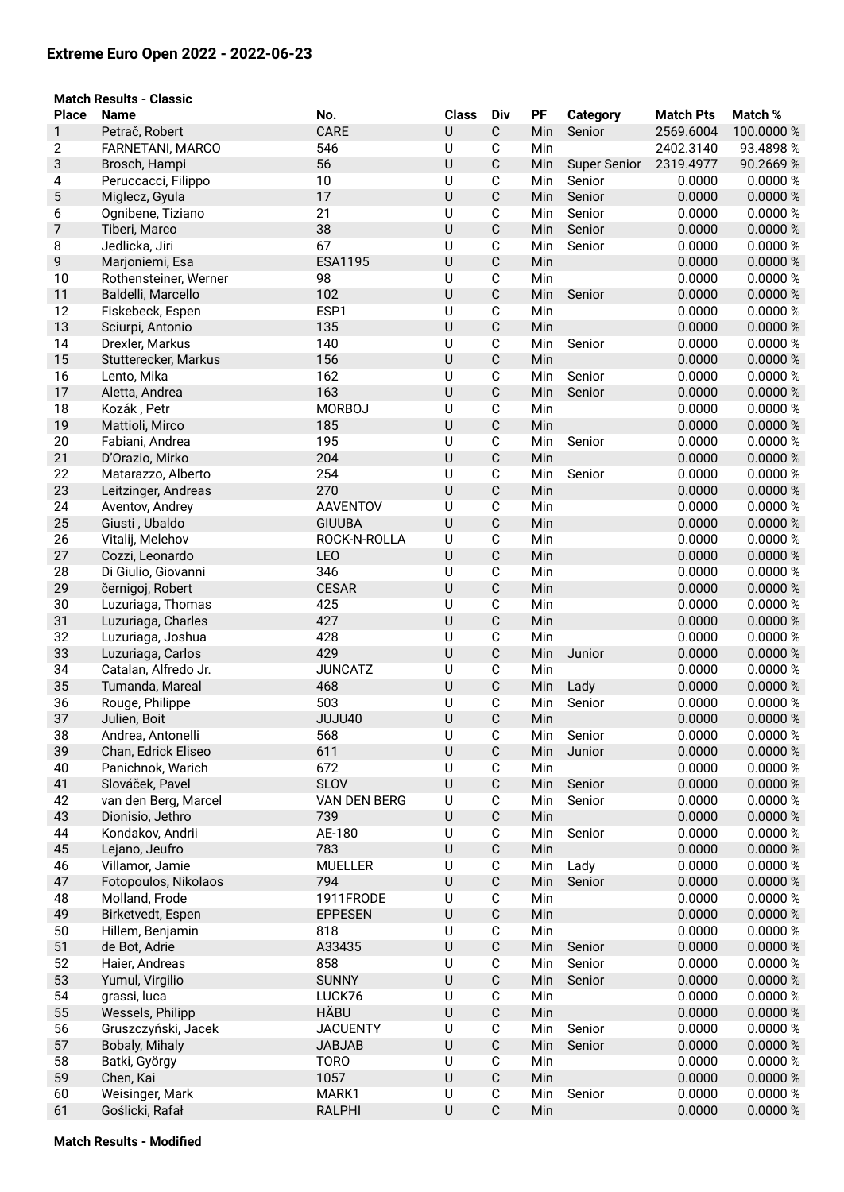## **Extreme Euro Open 2022 - 2022-06-23**

|              | <b>Match Results - Classic</b>     |                      |              |                  |            |                     |                  |                     |
|--------------|------------------------------------|----------------------|--------------|------------------|------------|---------------------|------------------|---------------------|
| <b>Place</b> | <b>Name</b>                        | No.                  | <b>Class</b> | <b>Div</b>       | PF         | <b>Category</b>     | <b>Match Pts</b> | Match %             |
| 1            | Petrač, Robert                     | CARE                 | U            | $\mathsf C$      | Min        | Senior              | 2569.6004        | 100.0000 %          |
| 2            | FARNETANI, MARCO                   | 546                  | $\cup$       | C                | Min        |                     | 2402.3140        | 93.4898 %           |
| 3            | Brosch, Hampi                      | 56                   | U            | $\mathsf C$      | Min        | <b>Super Senior</b> | 2319.4977        | 90.2669 %           |
| 4            | Peruccacci, Filippo                | 10                   | $\cup$       | C                | Min        | Senior              | 0.0000           | 0.0000%             |
| 5            | Miglecz, Gyula                     | 17                   | U            | $\mathsf C$      | Min        | Senior              | 0.0000           | 0.0000%             |
| 6            | Ognibene, Tiziano                  | 21                   | U            | C                | Min        | Senior              | 0.0000           | 0.0000 %            |
| 7            | Tiberi, Marco                      | 38                   | U            | $\mathsf C$      | Min        | Senior              | 0.0000           | 0.0000 %            |
| 8            | Jedlicka, Jiri                     | 67                   | U            | C                | Min        | Senior              | 0.0000           | 0.0000%             |
| 9            | Marjoniemi, Esa                    | <b>ESA1195</b>       | U            | $\mathsf C$      | Min        |                     | 0.0000           | 0.0000 %            |
| 10           | Rothensteiner, Werner              | 98                   | U            | C                | Min        |                     | 0.0000           | 0.0000%             |
| 11           | Baldelli, Marcello                 | 102                  | U            | $\mathsf C$      | Min        | Senior              | 0.0000           | 0.0000 %            |
| 12           | Fiskebeck, Espen                   | ESP1                 | $\cup$       | C                | Min        |                     | 0.0000           | 0.0000 %            |
| 13           | Sciurpi, Antonio                   | 135                  | U            | $\mathsf C$      | Min        |                     | 0.0000           | 0.0000 %            |
| 14           | Drexler, Markus                    | 140                  | $\cup$       | $\mathsf C$      | Min        | Senior              | 0.0000           | 0.0000 %            |
| 15           | Stutterecker, Markus               | 156                  | U            | $\mathsf C$      | Min        |                     | 0.0000           | 0.0000 %            |
| 16           | Lento, Mika                        | 162                  | $\cup$       | C                | Min        | Senior              | 0.0000           | 0.0000 %            |
| 17           | Aletta, Andrea                     | 163<br><b>MORBOJ</b> | U            | $\mathsf C$      | Min        | Senior              | 0.0000           | 0.0000%             |
| 18<br>19     | Kozák, Petr<br>Mattioli, Mirco     | 185                  | U<br>U       | C<br>$\mathsf C$ | Min        |                     | 0.0000<br>0.0000 | 0.0000 %<br>0.0000% |
| 20           |                                    | 195                  | U            | C                | Min        | Senior              | 0.0000           | 0.0000%             |
| 21           | Fabiani, Andrea<br>D'Orazio, Mirko | 204                  | U            | $\mathsf C$      | Min<br>Min |                     | 0.0000           | 0.0000 %            |
| 22           | Matarazzo, Alberto                 | 254                  | U            | C                | Min        | Senior              | 0.0000           | 0.0000%             |
| 23           | Leitzinger, Andreas                | 270                  | U            | $\mathsf C$      | Min        |                     | 0.0000           | 0.0000%             |
| 24           | Aventov, Andrey                    | <b>AAVENTOV</b>      | U            | C                | Min        |                     | 0.0000           | 0.0000 %            |
| 25           | Giusti, Ubaldo                     | <b>GIUUBA</b>        | U            | $\mathsf C$      | Min        |                     | 0.0000           | 0.0000 %            |
| 26           | Vitalij, Melehov                   | ROCK-N-ROLLA         | $\cup$       | $\mathsf C$      | Min        |                     | 0.0000           | 0.0000 %            |
| 27           | Cozzi, Leonardo                    | <b>LEO</b>           | U            | $\mathsf C$      | Min        |                     | 0.0000           | 0.0000 %            |
| 28           | Di Giulio, Giovanni                | 346                  | $\cup$       | C                | Min        |                     | 0.0000           | 0.0000 %            |
| 29           | černigoj, Robert                   | <b>CESAR</b>         | U            | $\mathsf C$      | Min        |                     | 0.0000           | 0.0000 %            |
| 30           | Luzuriaga, Thomas                  | 425                  | U            | C                | Min        |                     | 0.0000           | 0.0000%             |
| 31           | Luzuriaga, Charles                 | 427                  | U            | $\mathsf C$      | Min        |                     | 0.0000           | 0.0000%             |
| 32           | Luzuriaga, Joshua                  | 428                  | U            | $\mathsf C$      | Min        |                     | 0.0000           | 0.0000%             |
| 33           | Luzuriaga, Carlos                  | 429                  | $\cup$       | $\mathsf C$      | Min        | Junior              | 0.0000           | 0.0000 %            |
| 34           | Catalan, Alfredo Jr.               | <b>JUNCATZ</b>       | $\cup$       | С                | Min        |                     | 0.0000           | 0.0000%             |
| 35           | Tumanda, Mareal                    | 468                  | U            | $\mathsf C$      | Min        | Lady                | 0.0000           | 0.0000 %            |
| 36           | Rouge, Philippe                    | 503                  | U            | C                | Min        | Senior              | 0.0000           | 0.0000 %            |
| 37           | Julien, Boit                       | JUJU40               | U            | С                | Min        |                     | 0.0000           | 0.0000 %            |
| 38           | Andrea, Antonelli                  | 568                  | U            | С                | Min        | Senior              | 0.0000           | 0.0000 %            |
| 39           | Chan, Edrick Eliseo                | 611                  | $\sf U$      | $\mathsf C$      | Min        | Junior              | 0.0000           | 0.0000 %            |
| 40           | Panichnok, Warich                  | 672                  | U            | С                | Min        |                     | 0.0000           | 0.0000 %            |
| 41           | Slováček, Pavel                    | <b>SLOV</b>          | U            | $\mathsf C$      | Min        | Senior              | 0.0000           | 0.0000 %            |
| 42           | van den Berg, Marcel               | <b>VAN DEN BERG</b>  | U            | С                | Min        | Senior              | 0.0000           | 0.0000%             |
| 43           | Dionisio, Jethro                   | 739                  | U            | $\mathsf C$      | Min        |                     | 0.0000           | 0.0000 %            |
| 44           | Kondakov, Andrii                   | AE-180               | $\cup$       | С                | Min        | Senior              | 0.0000           | 0.0000 %            |
| 45           | Lejano, Jeufro                     | 783                  | $\cup$       | $\mathsf C$      | Min        |                     | 0.0000           | 0.0000 %            |
| 46           | Villamor, Jamie                    | <b>MUELLER</b>       | $\cup$       | С                | Min        | Lady                | 0.0000           | 0.0000 %            |
| 47           | Fotopoulos, Nikolaos               | 794                  | $\sf U$      | ${\bf C}$        | Min        | Senior              | 0.0000           | 0.0000 %            |
| 48           | Molland, Frode                     | 1911FRODE            | U            | С                | Min        |                     | 0.0000           | 0.0000%             |
| 49           | Birketvedt, Espen                  | <b>EPPESEN</b>       | $\sf U$      | $\mathsf C$      | Min        |                     | 0.0000           | 0.0000 %            |
| 50           | Hillem, Benjamin                   | 818                  | $\cup$       | $\mathsf C$      | Min        |                     | 0.0000           | 0.0000%             |
| 51           | de Bot, Adrie                      | A33435               | U            | $\mathsf C$      | Min        | Senior              | 0.0000           | 0.0000 %            |
| 52           | Haier, Andreas                     | 858                  | $\cup$       | С                | Min        | Senior              | 0.0000           | 0.0000%             |
| 53           | Yumul, Virgilio                    | <b>SUNNY</b>         | $\cup$       | $\mathsf C$      | Min        | Senior              | 0.0000           | 0.0000 %            |
| 54           | grassi, luca                       | LUCK76               | $\cup$       | С                | Min        |                     | 0.0000           | 0.0000%             |
| 55           | Wessels, Philipp                   | HÄBU                 | U            | $\mathsf C$      | Min        |                     | 0.0000           | 0.0000 %            |
| 56           | Gruszczyński, Jacek                | <b>JACUENTY</b>      | U            | С                | Min        | Senior              | 0.0000           | 0.0000 %            |
| 57           | Bobaly, Mihaly                     | <b>JABJAB</b>        | $\cup$       | $\mathsf C$      | Min        | Senior              | 0.0000           | 0.0000 %            |
| 58           | Batki, György                      | <b>TORO</b>          | $\cup$       | С                | Min        |                     | 0.0000           | 0.0000 %            |
| 59           | Chen, Kai                          | 1057                 | $\cup$       | $\mathsf C$      | Min        |                     | 0.0000           | 0.0000 %            |
| 60           | Weisinger, Mark                    | MARK1                | U<br>U       | С<br>$\mathsf C$ | Min        | Senior              | 0.0000           | 0.0000 %            |
| 61           | Goślicki, Rafał                    | <b>RALPHI</b>        |              |                  | Min        |                     | 0.0000           | 0.0000 %            |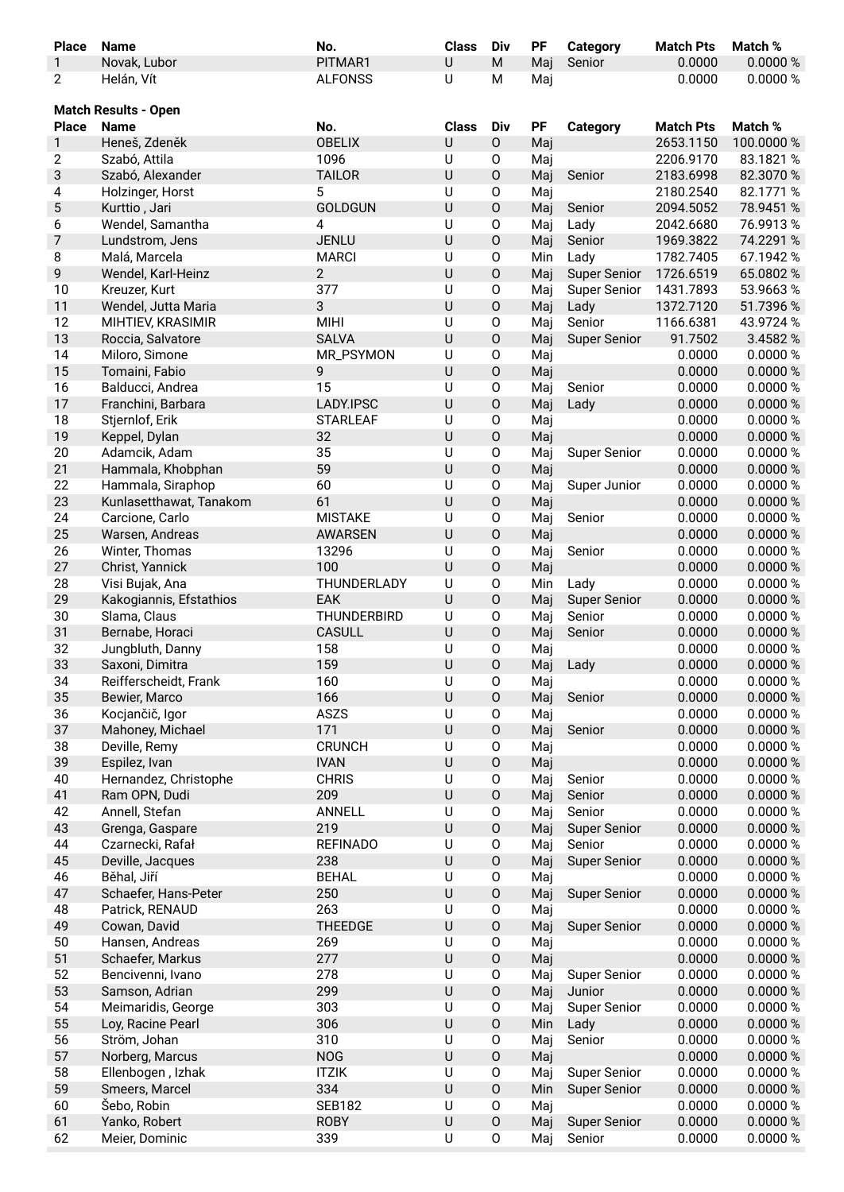| <b>Place</b>   | <b>Name</b>                 | No.             | <b>Class</b> | Div                 | PF  | Category            | <b>Match Pts</b> | Match %    |
|----------------|-----------------------------|-----------------|--------------|---------------------|-----|---------------------|------------------|------------|
| $\mathbf{1}$   | Novak, Lubor                | PITMAR1         | U            | M                   | Maj | Senior              | 0.0000           | 0.0000 %   |
| $\mathbf{2}$   | Helán, Vít                  | <b>ALFONSS</b>  | U            | M                   | Maj |                     | 0.0000           | 0.0000 %   |
|                |                             |                 |              |                     |     |                     |                  |            |
|                | <b>Match Results - Open</b> |                 |              |                     |     |                     |                  |            |
| <b>Place</b>   | <b>Name</b>                 | No.             | <b>Class</b> | Div                 | PF  | <b>Category</b>     | <b>Match Pts</b> | Match %    |
| 1              | Heneš, Zdeněk               | <b>OBELIX</b>   | U            | 0                   | Maj |                     | 2653.1150        | 100.0000 % |
| $\mathbf{2}$   | Szabó, Attila               | 1096            | $\sf U$      | 0                   | Maj |                     | 2206.9170        | 83.1821 %  |
| 3              | Szabó, Alexander            | <b>TAILOR</b>   | U            | $\mathsf O$         | Maj | Senior              | 2183.6998        | 82.3070 %  |
| 4              | Holzinger, Horst            | 5               | U            | O                   | Maj |                     | 2180.2540        | 82.1771 %  |
|                |                             | <b>GOLDGUN</b>  | U            | $\mathsf O$         |     |                     | 2094.5052        | 78.9451 %  |
| $\sqrt{5}$     | Kurttio, Jari               |                 |              |                     | Maj | Senior              |                  |            |
| 6              | Wendel, Samantha            | 4               | U            | $\mathsf O$         | Maj | Lady                | 2042.6680        | 76.9913%   |
| $\overline{7}$ | Lundstrom, Jens             | <b>JENLU</b>    | U            | $\mathsf O$         | Maj | Senior              | 1969.3822        | 74.2291 %  |
| 8              | Malá, Marcela               | <b>MARCI</b>    | U            | 0                   | Min | Lady                | 1782.7405        | 67.1942 %  |
| 9              | Wendel, Karl-Heinz          | $\overline{2}$  | U            | $\mathsf O$         | Maj | <b>Super Senior</b> | 1726.6519        | 65.0802%   |
| 10             | Kreuzer, Kurt               | 377             | U            | O                   | Maj | <b>Super Senior</b> | 1431.7893        | 53.9663%   |
| 11             | Wendel, Jutta Maria         | 3               | U            | $\mathsf O$         | Maj | Lady                | 1372.7120        | 51.7396 %  |
| 12             | MIHTIEV, KRASIMIR           | <b>MIHI</b>     | $\cup$       | $\mathsf O$         | Maj | Senior              | 1166.6381        | 43.9724 %  |
| 13             | Roccia, Salvatore           | <b>SALVA</b>    | U            | $\mathsf O$         | Maj | <b>Super Senior</b> | 91.7502          | 3.4582 %   |
| 14             | Miloro, Simone              | MR_PSYMON       | $\cup$       | $\mathsf O$         | Maj |                     | 0.0000           | 0.0000 %   |
| 15             | Tomaini, Fabio              | 9               | U            | $\mathsf O$         | Maj |                     | 0.0000           | 0.0000 %   |
| 16             | Balducci, Andrea            | 15              | $\cup$       | $\mathsf O$         | Maj | Senior              | 0.0000           | 0.0000 %   |
| 17             | Franchini, Barbara          | LADY.IPSC       | U            | $\mathsf O$         | Maj | Lady                | 0.0000           | 0.0000 %   |
| 18             | Stjernlof, Erik             | <b>STARLEAF</b> | U            | $\mathsf O$         | Maj |                     | 0.0000           | 0.0000 %   |
| 19             | Keppel, Dylan               | 32              | U            | $\mathsf O$         |     |                     | 0.0000           | 0.0000 %   |
|                |                             |                 |              |                     | Maj |                     |                  |            |
| 20             | Adamcik, Adam               | 35              | $\cup$       | $\mathsf O$         | Maj | <b>Super Senior</b> | 0.0000           | 0.0000 %   |
| 21             | Hammala, Khobphan           | 59              | U            | $\mathsf O$         | Maj |                     | 0.0000           | 0.0000 %   |
| 22             | Hammala, Siraphop           | 60              | U            | $\mathsf O$         | Maj | Super Junior        | 0.0000           | 0.0000 %   |
| 23             | Kunlasetthawat, Tanakom     | 61              | U            | $\mathsf O$         | Maj |                     | 0.0000           | 0.0000 %   |
| 24             | Carcione, Carlo             | <b>MISTAKE</b>  | U            | $\mathsf O$         | Maj | Senior              | 0.0000           | 0.0000 %   |
| 25             | Warsen, Andreas             | <b>AWARSEN</b>  | U            | $\mathsf O$         | Maj |                     | 0.0000           | 0.0000 %   |
| 26             | Winter, Thomas              | 13296           | $\cup$       | $\mathsf O$         | Maj | Senior              | 0.0000           | 0.0000 %   |
| 27             | Christ, Yannick             | 100             | U            | $\mathsf O$         | Maj |                     | 0.0000           | 0.0000 %   |
| 28             | Visi Bujak, Ana             | THUNDERLADY     | U            | $\mathsf O$         | Min | Lady                | 0.0000           | 0.0000 %   |
| 29             | Kakogiannis, Efstathios     | EAK             | U            | $\mathsf O$         | Maj | <b>Super Senior</b> | 0.0000           | 0.0000 %   |
| 30             | Slama, Claus                | THUNDERBIRD     | U            | $\mathsf O$         | Maj | Senior              | 0.0000           | 0.0000 %   |
| 31             | Bernabe, Horaci             | CASULL          | U            | $\mathsf O$         | Maj | Senior              | 0.0000           | 0.0000 %   |
| 32             | Jungbluth, Danny            | 158             | U            | 0                   | Maj |                     | 0.0000           | 0.0000 %   |
| 33             | Saxoni, Dimitra             | 159             | U            | 0                   | Maj |                     | 0.0000           | 0.0000 %   |
|                |                             |                 |              |                     |     | Lady                |                  |            |
| 34             | Reifferscheidt, Frank       | 160             | U            | 0                   | Maj |                     | 0.0000           | 0.0000 %   |
| 35             | Bewier, Marco               | 166             | U            | $\mathsf O$         | Maj | Senior              | 0.0000           | 0.0000 %   |
| 36             | Kocjančič, Igor             | <b>ASZS</b>     | U            | $\mathsf O$         | Maj |                     | 0.0000           | 0.0000 %   |
| 37             | Mahoney, Michael            | 171             | U            | $\mathsf O$         | Maj | Senior              | 0.0000           | 0.0000 %   |
| 38             | Deville, Remy               | <b>CRUNCH</b>   | $\sf U$      | $\mathsf O$         | Maj |                     | 0.0000           | 0.0000 %   |
| 39             | Espilez, Ivan               | <b>IVAN</b>     | U            | $\mathsf O$         | Maj |                     | 0.0000           | 0.0000 %   |
| 40             | Hernandez, Christophe       | <b>CHRIS</b>    | U            | O                   | Maj | Senior              | 0.0000           | 0.0000 %   |
| 41             | Ram OPN, Dudi               | 209             | U            | $\mathsf O$         | Maj | Senior              | 0.0000           | 0.0000 %   |
| 42             | Annell, Stefan              | ANNELL          | U            | $\mathsf O$         | Maj | Senior              | 0.0000           | 0.0000 %   |
| 43             | Grenga, Gaspare             | 219             | U            | $\mathsf O$         | Maj | <b>Super Senior</b> | 0.0000           | 0.0000 %   |
| 44             | Czarnecki, Rafał            | <b>REFINADO</b> | U            | 0                   | Maj | Senior              | 0.0000           | 0.0000 %   |
| 45             | Deville, Jacques            | 238             | U            | $\mathsf O$         | Maj | <b>Super Senior</b> | 0.0000           | 0.0000 %   |
| 46             | Běhal, Jiří                 | <b>BEHAL</b>    | U            | 0                   | Maj |                     | 0.0000           | 0.0000 %   |
| 47             | Schaefer, Hans-Peter        | 250             | U            | $\mathsf{O}\xspace$ | Maj | <b>Super Senior</b> | 0.0000           | 0.0000 %   |
|                |                             |                 |              |                     |     |                     |                  |            |
| 48             | Patrick, RENAUD             | 263             | U            | $\mathsf O$         | Maj |                     | 0.0000           | 0.0000 %   |
| 49             | Cowan, David                | <b>THEEDGE</b>  | U            | $\mathsf O$         | Maj | <b>Super Senior</b> | 0.0000           | 0.0000 %   |
| 50             | Hansen, Andreas             | 269             | $\sf U$      | $\mathsf O$         | Maj |                     | 0.0000           | 0.0000 %   |
| 51             | Schaefer, Markus            | 277             | U            | $\mathsf O$         | Maj |                     | 0.0000           | 0.0000 %   |
| 52             | Bencivenni, Ivano           | 278             | $\sf U$      | O                   | Maj | <b>Super Senior</b> | 0.0000           | 0.0000 %   |
| 53             | Samson, Adrian              | 299             | U            | $\mathsf O$         | Maj | Junior              | 0.0000           | 0.0000 %   |
| 54             | Meimaridis, George          | 303             | U            | $\mathsf O$         | Maj | <b>Super Senior</b> | 0.0000           | 0.0000 %   |
| 55             | Loy, Racine Pearl           | 306             | U            | $\mathsf O$         | Min | Lady                | 0.0000           | 0.0000 %   |
| 56             | Ström, Johan                | 310             | $\cup$       | 0                   | Maj | Senior              | 0.0000           | 0.0000 %   |
| 57             | Norberg, Marcus             | <b>NOG</b>      | U            | $\mathsf O$         | Maj |                     | 0.0000           | 0.0000 %   |
| 58             | Ellenbogen, Izhak           | <b>ITZIK</b>    | U            | 0                   | Maj | <b>Super Senior</b> | 0.0000           | 0.0000 %   |
| 59             | Smeers, Marcel              | 334             | U            | $\mathsf O$         | Min | <b>Super Senior</b> | 0.0000           | 0.0000 %   |
| 60             | Šebo, Robin                 | <b>SEB182</b>   | U            | $\mathsf O$         | Maj |                     | 0.0000           | 0.0000 %   |
|                |                             |                 |              |                     |     |                     |                  |            |
| 61             | Yanko, Robert               | <b>ROBY</b>     | U            | $\mathsf O$         | Maj | <b>Super Senior</b> | 0.0000           | 0.0000 %   |
| 62             | Meier, Dominic              | 339             | $\sf U$      | $\mathsf O$         | Maj | Senior              | 0.0000           | 0.0000 %   |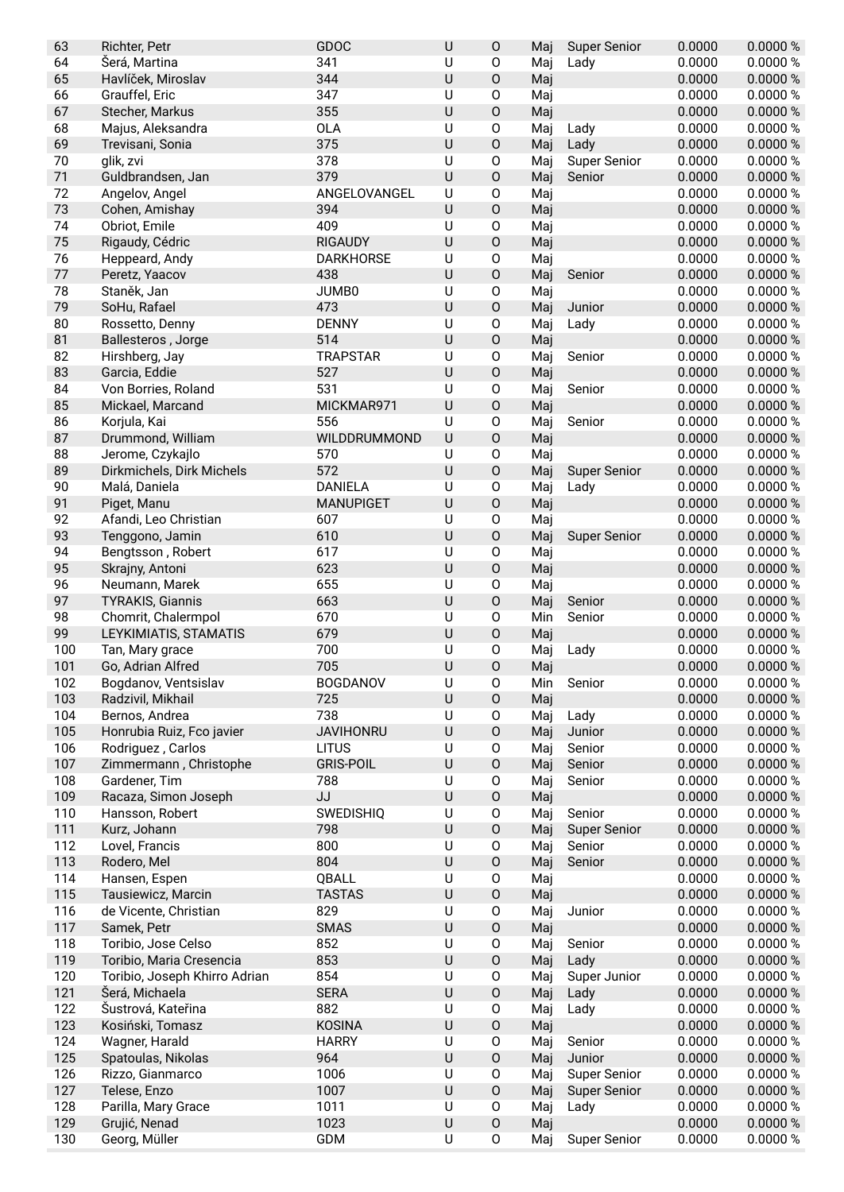| 63  | Richter, Petr                 | GDOC             | $\sf U$ | $\mathsf O$         | Maj | <b>Super Senior</b> | 0.0000 | 0.0000%  |
|-----|-------------------------------|------------------|---------|---------------------|-----|---------------------|--------|----------|
| 64  | Šerá, Martina                 | 341              | U       | 0                   | Maj | Lady                | 0.0000 | 0.0000%  |
| 65  | Havlíček, Miroslav            | 344              | $\cup$  | O                   | Maj |                     | 0.0000 | 0.0000%  |
| 66  | Grauffel, Eric                | 347              | U       | 0                   | Maj |                     | 0.0000 | 0.0000%  |
| 67  | Stecher, Markus               | 355              | $\sf U$ | $\mathsf O$         | Maj |                     | 0.0000 | 0.0000 % |
| 68  | Majus, Aleksandra             | <b>OLA</b>       | U       | 0                   | Maj | Lady                | 0.0000 | 0.0000%  |
| 69  | Trevisani, Sonia              | 375              | $\sf U$ | $\mathsf O$         | Maj | Lady                | 0.0000 | 0.0000 % |
| 70  | glik, zvi                     | 378              | U       | 0                   | Maj | <b>Super Senior</b> | 0.0000 | 0.0000 % |
| 71  | Guldbrandsen, Jan             | 379              | $\cup$  | $\mathsf O$         | Maj | Senior              | 0.0000 | 0.0000%  |
| 72  | Angelov, Angel                | ANGELOVANGEL     | U       | 0                   | Maj |                     | 0.0000 | 0.0000%  |
| 73  | Cohen, Amishay                | 394              | $\sf U$ | $\mathsf O$         | Maj |                     | 0.0000 | 0.0000%  |
| 74  | Obriot, Emile                 | 409              | U       | 0                   | Maj |                     | 0.0000 | 0.0000 % |
| 75  | Rigaudy, Cédric               | <b>RIGAUDY</b>   | $\sf U$ | $\mathsf O$         | Maj |                     | 0.0000 | 0.0000%  |
| 76  | Heppeard, Andy                | <b>DARKHORSE</b> | U       | 0                   | Maj |                     | 0.0000 | 0.0000 % |
| 77  | Peretz, Yaacov                | 438              | $\cup$  | $\mathsf O$         | Maj | Senior              | 0.0000 | 0.0000%  |
| 78  | Staněk, Jan                   | JUMB0            | U       | 0                   | Maj |                     | 0.0000 | 0.0000 % |
| 79  | SoHu, Rafael                  | 473              | U       | $\mathsf O$         | Maj | Junior              | 0.0000 | 0.0000%  |
| 80  | Rossetto, Denny               | <b>DENNY</b>     | U       | 0                   | Maj | Lady                | 0.0000 | 0.0000%  |
| 81  | Ballesteros, Jorge            | 514              | $\cup$  | $\mathsf O$         | Maj |                     | 0.0000 | 0.0000%  |
| 82  | Hirshberg, Jay                | <b>TRAPSTAR</b>  | U       | 0                   | Maj | Senior              | 0.0000 | 0.0000%  |
| 83  | Garcia, Eddie                 | 527              | U       | $\mathsf O$         | Maj |                     | 0.0000 | 0.0000%  |
| 84  | Von Borries, Roland           | 531              | U       | $\mathsf O$         | Maj | Senior              | 0.0000 | 0.0000 % |
| 85  | Mickael, Marcand              | MICKMAR971       | $\cup$  | $\mathsf O$         | Maj |                     | 0.0000 | 0.0000 % |
| 86  | Korjula, Kai                  | 556              | $\sf U$ | $\mathsf O$         | Maj | Senior              | 0.0000 | 0.0000 % |
| 87  | Drummond, William             | WILDDRUMMOND     | $\sf U$ | $\mathsf O$         | Maj |                     | 0.0000 | 0.0000 % |
| 88  | Jerome, Czykajlo              | 570              | U       | 0                   | Maj |                     | 0.0000 | 0.0000 % |
| 89  | Dirkmichels, Dirk Michels     | 572              | U       | $\mathsf O$         | Maj | <b>Super Senior</b> | 0.0000 | 0.0000%  |
| 90  | Malá, Daniela                 | <b>DANIELA</b>   | U       | 0                   | Maj | Lady                | 0.0000 | 0.0000 % |
| 91  | Piget, Manu                   | <b>MANUPIGET</b> | $\cup$  | $\mathsf O$         | Maj |                     | 0.0000 | 0.0000 % |
| 92  | Afandi, Leo Christian         | 607              | U       | 0                   | Maj |                     | 0.0000 | 0.0000%  |
| 93  | Tenggono, Jamin               | 610              | $\sf U$ | $\mathsf O$         | Maj | <b>Super Senior</b> | 0.0000 | 0.0000 % |
| 94  | Bengtsson, Robert             | 617              | U       | 0                   | Maj |                     | 0.0000 | 0.0000%  |
| 95  | Skrajny, Antoni               | 623              | $\sf U$ | $\mathsf O$         | Maj |                     | 0.0000 | 0.0000%  |
| 96  | Neumann, Marek                | 655              | U       | $\mathsf O$         | Maj |                     | 0.0000 | 0.0000 % |
| 97  | <b>TYRAKIS, Giannis</b>       | 663              | $\sf U$ | $\mathsf O$         | Maj | Senior              | 0.0000 | 0.0000 % |
| 98  | Chomrit, Chalermpol           | 670              | $\sf U$ | $\mathsf{O}\xspace$ | Min | Senior              | 0.0000 | 0.0000 % |
| 99  | LEYKIMIATIS, STAMATIS         | 679              | $\sf U$ | $\mathsf O$         | Maj |                     | 0.0000 | 0.0000 % |
| 100 | Tan, Mary grace               | 700              | U       | 0                   | Maj | Lady                | 0.0000 | 0.0000%  |
| 101 | Go, Adrian Alfred             | 705              | $\cup$  | O                   | Maj |                     | 0.0000 | 0.0000%  |
| 102 | Bogdanov, Ventsislav          | <b>BOGDANOV</b>  | U       | 0                   | Min | Senior              | 0.0000 | 0.0000 % |
| 103 | Radzivil, Mikhail             | 725              | $\sf U$ | $\mathsf O$         | Maj |                     | 0.0000 | 0.0000 % |
| 104 | Bernos, Andrea                | 738              | U       | 0                   | Maj | Lady                | 0.0000 | 0.0000 % |
| 105 | Honrubia Ruiz, Fco javier     | <b>JAVIHONRU</b> | $\sf U$ | $\mathsf O$         | Maj | Junior              | 0.0000 | 0.0000 % |
| 106 | Rodriguez, Carlos             | <b>LITUS</b>     | U       | 0                   | Maj | Senior              | 0.0000 | 0.0000 % |
| 107 | Zimmermann, Christophe        | <b>GRIS-POIL</b> | U       | 0                   | Maj | Senior              | 0.0000 | 0.0000 % |
| 108 | Gardener, Tim                 | 788              | U       | 0                   | Maj | Senior              | 0.0000 | 0.0000%  |
| 109 | Racaza, Simon Joseph          | JJ               | $\sf U$ | 0                   | Maj |                     | 0.0000 | 0.0000 % |
| 110 | Hansson, Robert               | SWEDISHIQ        | $\sf U$ | $\mathsf O$         | Maj | Senior              | 0.0000 | 0.0000%  |
| 111 | Kurz, Johann                  | 798              | $\sf U$ | 0                   | Maj | <b>Super Senior</b> | 0.0000 | 0.0000 % |
| 112 | Lovel, Francis                | 800              | $\sf U$ | 0                   | Maj | Senior              | 0.0000 | 0.0000%  |
| 113 | Rodero, Mel                   | 804              | $\sf U$ | $\mathsf O$         | Maj | Senior              | 0.0000 | 0.0000 % |
| 114 | Hansen, Espen                 | QBALL            | U       | 0                   | Maj |                     | 0.0000 | 0.0000%  |
| 115 | Tausiewicz, Marcin            | <b>TASTAS</b>    | $\sf U$ | $\mathsf O$         | Maj |                     | 0.0000 | 0.0000 % |
| 116 | de Vicente, Christian         | 829              | U       | 0                   | Maj | Junior              | 0.0000 | 0.0000%  |
| 117 | Samek, Petr                   | <b>SMAS</b>      | $\sf U$ | 0                   | Maj |                     | 0.0000 | 0.0000 % |
| 118 | Toribio, Jose Celso           | 852              | U       | 0                   | Maj | Senior              | 0.0000 | 0.0000%  |
| 119 | Toribio, Maria Cresencia      | 853              | $\sf U$ | $\mathsf O$         | Maj | Lady                | 0.0000 | 0.0000 % |
| 120 | Toribio, Joseph Khirro Adrian | 854              | U       | 0                   | Maj | Super Junior        | 0.0000 | 0.0000%  |
| 121 | Šerá, Michaela                | <b>SERA</b>      | $\sf U$ | $\mathsf O$         | Maj | Lady                | 0.0000 | 0.0000 % |
| 122 | Šustrová, Kateřina            | 882              | $\sf U$ | 0                   | Maj | Lady                | 0.0000 | 0.0000%  |
| 123 | Kosiński, Tomasz              | <b>KOSINA</b>    | $\sf U$ | 0                   | Maj |                     | 0.0000 | 0.0000 % |
| 124 | Wagner, Harald                | <b>HARRY</b>     | $\sf U$ | 0                   | Maj | Senior              | 0.0000 | 0.0000%  |
| 125 | Spatoulas, Nikolas            | 964              | $\sf U$ | $\mathsf O$         | Maj | Junior              | 0.0000 | 0.0000 % |
| 126 | Rizzo, Gianmarco              | 1006             | U       | 0                   | Maj | <b>Super Senior</b> | 0.0000 | 0.0000%  |
| 127 | Telese, Enzo                  | 1007             | $\sf U$ | $\mathsf O$         | Maj | <b>Super Senior</b> | 0.0000 | 0.0000 % |
| 128 | Parilla, Mary Grace           | 1011             | U       | 0                   | Maj | Lady                | 0.0000 | 0.0000 % |
| 129 | Grujić, Nenad                 | 1023             | $\sf U$ | $\mathsf O$         | Maj |                     | 0.0000 | 0.0000 % |
| 130 | Georg, Müller                 | GDM              | $\sf U$ | 0                   | Maj | <b>Super Senior</b> | 0.0000 | 0.0000 % |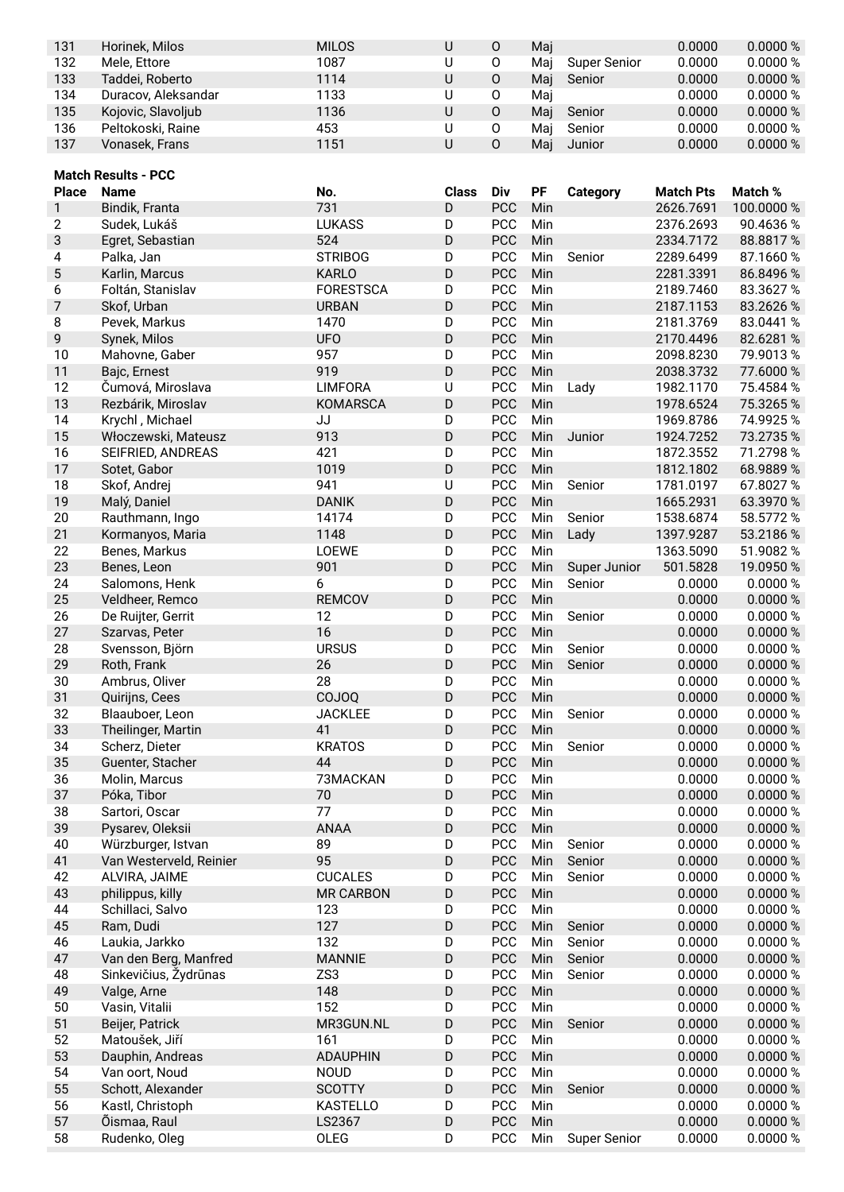| 131 | Horinek, Milos      | <b>MILOS</b> | 0 | Maj |              | 0.0000 | 0.0000 % |
|-----|---------------------|--------------|---|-----|--------------|--------|----------|
| 132 | Mele, Ettore        | 1087         | O | Mai | Super Senior | 0.0000 | 0.0000 % |
| 133 | Taddei. Roberto     | 1114         | 0 | Mai | Senior       | 0.0000 | 0.0000 % |
| 134 | Duracov, Aleksandar | 1133         | O | Mai |              | 0.0000 | 0.0000 % |
| 135 | Kojovic, Slavoljub  | 1136         | 0 | Mai | Senior       | 0.0000 | 0.0000 % |
| 136 | Peltokoski, Raine   | 453          | 0 | Mai | Senior       | 0.0000 | 0.0000 % |
| 137 | Vonasek, Frans      | 1151         | O | Mai | Junior       | 0.0000 | 0.0000 % |

|                | <b>Match Results - PCC</b>   |                  |              |            |     |                        |                  |            |
|----------------|------------------------------|------------------|--------------|------------|-----|------------------------|------------------|------------|
| <b>Place</b>   | <b>Name</b>                  | No.              | <b>Class</b> | Div        | PF  | <b>Category</b>        | <b>Match Pts</b> | Match %    |
| 1              | Bindik, Franta               | 731              | D            | PCC        | Min |                        | 2626.7691        | 100.0000 % |
| $\overline{2}$ | Sudek, Lukáš                 | <b>LUKASS</b>    | D            | <b>PCC</b> | Min |                        | 2376.2693        | 90.4636 %  |
| 3              | Egret, Sebastian             | 524              | D            | PCC        | Min |                        | 2334.7172        | 88.8817%   |
| 4              | Palka, Jan                   | <b>STRIBOG</b>   | D            | <b>PCC</b> | Min | Senior                 | 2289.6499        | 87.1660 %  |
| $\mathbf 5$    | Karlin, Marcus               | <b>KARLO</b>     | D            | <b>PCC</b> | Min |                        | 2281.3391        | 86.8496 %  |
| 6              | Foltán, Stanislav            | <b>FORESTSCA</b> | D            | PCC        | Min |                        | 2189.7460        | 83.3627 %  |
| 7              | Skof, Urban                  | <b>URBAN</b>     | D            | PCC        | Min |                        | 2187.1153        | 83.2626 %  |
| 8              | Pevek, Markus                | 1470             | D            | <b>PCC</b> | Min |                        | 2181.3769        | 83.0441 %  |
| 9              | Synek, Milos                 | <b>UFO</b>       | D            | PCC        | Min |                        | 2170.4496        | 82.6281 %  |
| 10             | Mahovne, Gaber               | 957              | D            | PCC        | Min |                        | 2098.8230        | 79.9013%   |
| 11             | Bajc, Ernest                 | 919              | D            | PCC        | Min |                        | 2038.3732        | 77.6000 %  |
| 12             | Čumová, Miroslava            | <b>LIMFORA</b>   | U            | PCC        | Min | Lady                   | 1982.1170        | 75.4584 %  |
| 13             | Rezbárik, Miroslav           | <b>KOMARSCA</b>  | D            | <b>PCC</b> | Min |                        | 1978.6524        | 75.3265%   |
| 14             | Krychl, Michael              | JJ               | D            | PCC        | Min |                        | 1969.8786        | 74.9925 %  |
| 15             | Włoczewski, Mateusz          | 913              | D            | PCC        | Min | Junior                 | 1924.7252        | 73.2735 %  |
| 16             | SEIFRIED, ANDREAS            | 421              | D            | <b>PCC</b> | Min |                        | 1872.3552        | 71.2798 %  |
| 17             | Sotet, Gabor                 | 1019             | D            | <b>PCC</b> | Min |                        | 1812.1802        | 68.9889 %  |
| 18             | Skof, Andrej                 | 941              | U            | <b>PCC</b> | Min | Senior                 | 1781.0197        | 67.8027 %  |
| 19             | Malý, Daniel                 | <b>DANIK</b>     | D            | PCC        | Min |                        | 1665.2931        | 63.3970 %  |
| 20             | Rauthmann, Ingo              | 14174            | D            | <b>PCC</b> | Min | Senior                 | 1538.6874        | 58.5772 %  |
| 21             | Kormanyos, Maria             | 1148             | D            | PCC        | Min | Lady                   | 1397.9287        | 53.2186 %  |
| 22             |                              | LOEWE            | D            | PCC        | Min |                        | 1363.5090        | 51.9082 %  |
| 23             | Benes, Markus<br>Benes, Leon | 901              | D            | PCC        |     |                        | 501.5828         | 19.0950 %  |
|                |                              |                  |              | PCC        | Min | Super Junior<br>Senior |                  |            |
| 24<br>25       | Salomons, Henk               | 6                | D            |            | Min |                        | 0.0000           | 0.0000 %   |
|                | Veldheer, Remco              | <b>REMCOV</b>    | D            | PCC        | Min |                        | 0.0000           | 0.0000 %   |
| 26             | De Ruijter, Gerrit           | 12               | D            | PCC        | Min | Senior                 | 0.0000           | 0.0000 %   |
| 27             | Szarvas, Peter               | 16               | D            | PCC        | Min |                        | 0.0000           | 0.0000 %   |
| 28             | Svensson, Björn              | <b>URSUS</b>     | D            | <b>PCC</b> | Min | Senior                 | 0.0000           | 0.0000 %   |
| 29             | Roth, Frank                  | 26               | D            | PCC        | Min | Senior                 | 0.0000           | 0.0000 %   |
| 30             | Ambrus, Oliver               | 28               | D            | PCC        | Min |                        | 0.0000           | 0.0000 %   |
| 31             | Quirijns, Cees               | COJOQ            | D            | PCC        | Min |                        | 0.0000           | 0.0000 %   |
| 32             | Blaauboer, Leon              | <b>JACKLEE</b>   | D            | <b>PCC</b> | Min | Senior                 | 0.0000           | 0.0000 %   |
| 33             | Theilinger, Martin           | 41               | D            | PCC        | Min |                        | 0.0000           | 0.0000 %   |
| 34             | Scherz, Dieter               | <b>KRATOS</b>    | D            | PCC        | Min | Senior                 | 0.0000           | 0.0000 %   |
| 35             | Guenter, Stacher             | 44               | D            | PCC        | Min |                        | 0.0000           | 0.0000 %   |
| 36             | Molin, Marcus                | 73MACKAN         | D            | PCC        | Min |                        | 0.0000           | 0.0000 %   |
| 37             | Póka, Tibor                  | 70               | D            | <b>PCC</b> | Min |                        | 0.0000           | 0.0000 %   |
| 38             | Sartori, Oscar               | 77               | D            | <b>PCC</b> | Min |                        | 0.0000           | 0.0000 %   |
| 39             | Pysarev, Oleksii             | <b>ANAA</b>      | D            | PCC        | Min |                        | 0.0000           | 0.0000 %   |
| 40             | Würzburger, Istvan           | 89               | D            | PCC        | Min | Senior                 | 0.0000           | 0.0000 %   |
| 41             | Van Westerveld, Reinier      | 95               | D            | PCC        | Min | Senior                 | 0.0000           | 0.0000 %   |
| 42             | ALVIRA, JAIME                | <b>CUCALES</b>   | D            | PCC        | Min | Senior                 | 0.0000           | 0.0000 %   |
| 43             | philippus, killy             | <b>MR CARBON</b> | D            | PCC        | Min |                        | 0.0000           | 0.0000 %   |
| 44             | Schillaci, Salvo             | 123              | D            | PCC        | Min |                        | 0.0000           | 0.0000 %   |
| 45             | Ram, Dudi                    | 127              | D            | PCC        | Min | Senior                 | 0.0000           | 0.0000 %   |
| 46             | Laukia, Jarkko               | 132              | D            | PCC        | Min | Senior                 | 0.0000           | 0.0000 %   |
| 47             | Van den Berg, Manfred        | <b>MANNIE</b>    | D            | PCC        | Min | Senior                 | 0.0000           | 0.0000 %   |
| 48             | Sinkevičius, Žydrūnas        | ZS3              | D            | PCC        | Min | Senior                 | 0.0000           | 0.0000 %   |
| 49             | Valge, Arne                  | 148              | D            | PCC        | Min |                        | 0.0000           | 0.0000 %   |
| 50             | Vasin, Vitalii               | 152              | D            | PCC        | Min |                        | 0.0000           | 0.0000 %   |
| 51             | Beijer, Patrick              | MR3GUN.NL        | D            | PCC        | Min | Senior                 | 0.0000           | 0.0000 %   |
| 52             | Matoušek, Jiří               | 161              | D            | PCC        | Min |                        | 0.0000           | 0.0000 %   |
| 53             | Dauphin, Andreas             | <b>ADAUPHIN</b>  | D            | PCC        | Min |                        | 0.0000           | 0.0000 %   |
| 54             | Van oort, Noud               | <b>NOUD</b>      | D            | PCC        | Min |                        | 0.0000           | 0.0000 %   |
| 55             | Schott, Alexander            | <b>SCOTTY</b>    | D            | PCC        | Min | Senior                 | 0.0000           | 0.0000 %   |
| 56             | Kastl, Christoph             | KASTELLO         | D            | <b>PCC</b> | Min |                        | 0.0000           | 0.0000 %   |
| 57             | Õismaa, Raul                 | LS2367           | D            | PCC        | Min |                        | 0.0000           | 0.0000 %   |
| 58             | Rudenko, Oleg                | OLEG             | D            | PCC        | Min | <b>Super Senior</b>    | 0.0000           | 0.0000 %   |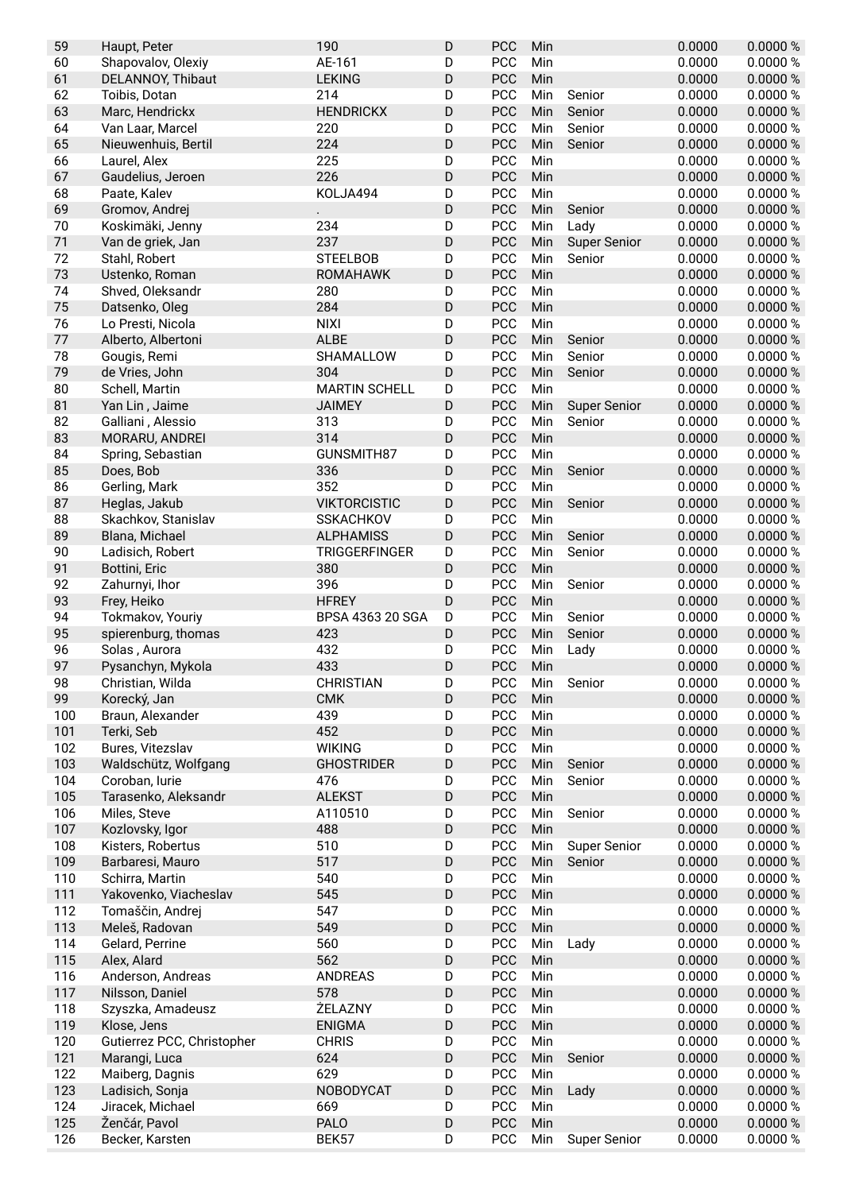| 59  | Haupt, Peter               | 190                     | D           | PCC        | Min |                     | 0.0000 | 0.0000 % |
|-----|----------------------------|-------------------------|-------------|------------|-----|---------------------|--------|----------|
| 60  | Shapovalov, Olexiy         | AE-161                  | D           | PCC        | Min |                     | 0.0000 | 0.0000 % |
| 61  | <b>DELANNOY, Thibaut</b>   | <b>LEKING</b>           | D           | PCC        | Min |                     | 0.0000 | 0.0000 % |
| 62  | Toibis, Dotan              | 214                     | D           | PCC        | Min | Senior              | 0.0000 | 0.0000 % |
| 63  | Marc, Hendrickx            | <b>HENDRICKX</b>        | D           | PCC        | Min | Senior              | 0.0000 | 0.0000 % |
| 64  | Van Laar, Marcel           | 220                     | D           | PCC        | Min | Senior              | 0.0000 | 0.0000 % |
| 65  | Nieuwenhuis, Bertil        | 224                     | D           | PCC        | Min | Senior              | 0.0000 | 0.0000 % |
| 66  | Laurel, Alex               | 225                     | D           | PCC        | Min |                     | 0.0000 | 0.0000 % |
| 67  | Gaudelius, Jeroen          | 226                     | D           | PCC        | Min |                     | 0.0000 | 0.0000 % |
| 68  | Paate, Kalev               | KOLJA494                | D           | PCC        | Min |                     | 0.0000 | 0.0000 % |
| 69  | Gromov, Andrej             |                         | $\mathsf D$ | <b>PCC</b> | Min | Senior              | 0.0000 | 0.0000 % |
| 70  | Koskimäki, Jenny           | 234                     | D           | PCC        | Min | Lady                | 0.0000 | 0.0000 % |
| 71  | Van de griek, Jan          | 237                     | $\mathsf D$ | <b>PCC</b> | Min | <b>Super Senior</b> | 0.0000 | 0.0000 % |
| 72  | Stahl, Robert              | <b>STEELBOB</b>         | D           | PCC        | Min | Senior              | 0.0000 | 0.0000 % |
| 73  | Ustenko, Roman             | <b>ROMAHAWK</b>         | D           | <b>PCC</b> | Min |                     | 0.0000 | 0.0000 % |
| 74  |                            | 280                     |             | PCC        | Min |                     | 0.0000 | 0.0000 % |
| 75  | Shved, Oleksandr           | 284                     | D<br>D      | <b>PCC</b> |     |                     |        |          |
|     | Datsenko, Oleg             |                         |             |            | Min |                     | 0.0000 | 0.0000 % |
| 76  | Lo Presti, Nicola          | <b>NIXI</b>             | D           | PCC        | Min |                     | 0.0000 | 0.0000 % |
| 77  | Alberto, Albertoni         | <b>ALBE</b>             | D           | PCC        | Min | Senior              | 0.0000 | 0.0000 % |
| 78  | Gougis, Remi               | SHAMALLOW               | D           | PCC        | Min | Senior              | 0.0000 | 0.0000 % |
| 79  | de Vries, John             | 304                     | D           | <b>PCC</b> | Min | Senior              | 0.0000 | 0.0000 % |
| 80  | Schell, Martin             | <b>MARTIN SCHELL</b>    | D           | PCC        | Min |                     | 0.0000 | 0.0000 % |
| 81  | Yan Lin, Jaime             | <b>JAIMEY</b>           | D           | <b>PCC</b> | Min | <b>Super Senior</b> | 0.0000 | 0.0000 % |
| 82  | Galliani, Alessio          | 313                     | D           | PCC        | Min | Senior              | 0.0000 | 0.0000 % |
| 83  | MORARU, ANDREI             | 314                     | $\mathsf D$ | PCC        | Min |                     | 0.0000 | 0.0000 % |
| 84  | Spring, Sebastian          | GUNSMITH87              | D           | PCC        | Min |                     | 0.0000 | 0.0000 % |
| 85  | Does, Bob                  | 336                     | D           | <b>PCC</b> | Min | Senior              | 0.0000 | 0.0000%  |
| 86  | Gerling, Mark              | 352                     | D           | PCC        | Min |                     | 0.0000 | 0.0000 % |
| 87  | Heglas, Jakub              | <b>VIKTORCISTIC</b>     | D           | <b>PCC</b> | Min | Senior              | 0.0000 | 0.0000%  |
| 88  | Skachkov, Stanislav        | <b>SSKACHKOV</b>        | D           | PCC        | Min |                     | 0.0000 | 0.0000 % |
| 89  | Blana, Michael             | <b>ALPHAMISS</b>        | $\mathsf D$ | PCC        | Min | Senior              | 0.0000 | 0.0000 % |
| 90  | Ladisich, Robert           | <b>TRIGGERFINGER</b>    | D           | PCC        | Min | Senior              | 0.0000 | 0.0000 % |
| 91  | Bottini, Eric              | 380                     | D           | <b>PCC</b> | Min |                     | 0.0000 | 0.0000%  |
| 92  | Zahurnyi, Ihor             | 396                     | D           | PCC        | Min | Senior              | 0.0000 | 0.0000 % |
| 93  | Frey, Heiko                | <b>HFREY</b>            | D           | <b>PCC</b> | Min |                     | 0.0000 | 0.0000 % |
| 94  | Tokmakov, Youriy           | <b>BPSA 4363 20 SGA</b> | D           | PCC        | Min | Senior              | 0.0000 | 0.0000 % |
| 95  | spierenburg, thomas        | 423                     | D           | <b>PCC</b> | Min | Senior              | 0.0000 | 0.0000 % |
| 96  | Solas, Aurora              | 432                     | D           | PCC        | Min | Lady                | 0.0000 | 0.0000 % |
| 97  | Pysanchyn, Mykola          | 433                     | D           | <b>PCC</b> | Min |                     | 0.0000 | 0.0000 % |
| 98  | Christian, Wilda           | <b>CHRISTIAN</b>        | D           | PCC        | Min | Senior              | 0.0000 | 0.0000 % |
| 99  | Korecký, Jan               | <b>CMK</b>              | $\mathsf D$ | <b>PCC</b> | Min |                     | 0.0000 | 0.0000 % |
| 100 | Braun, Alexander           | 439                     | D           | PCC        | Min |                     | 0.0000 | 0.0000 % |
| 101 | Terki, Seb                 | 452                     | $\mathsf D$ | PCC        | Min |                     | 0.0000 | 0.0000 % |
| 102 | Bures, Vitezslav           | <b>WIKING</b>           | D           | PCC        | Min |                     | 0.0000 | 0.0000 % |
| 103 | Waldschütz, Wolfgang       | <b>GHOSTRIDER</b>       | D           | <b>PCC</b> | Min | Senior              | 0.0000 | 0.0000 % |
| 104 | Coroban, lurie             | 476                     | D           | PCC        | Min | Senior              | 0.0000 | 0.0000 % |
| 105 |                            | <b>ALEKST</b>           | $\mathsf D$ | <b>PCC</b> | Min |                     | 0.0000 | 0.0000 % |
|     | Tarasenko, Aleksandr       |                         |             |            |     | Senior              |        |          |
| 106 | Miles, Steve               | A110510                 | D           | PCC        | Min |                     | 0.0000 | 0.0000 % |
| 107 | Kozlovsky, Igor            | 488                     | $\mathsf D$ | PCC        | Min |                     | 0.0000 | 0.0000 % |
| 108 | Kisters, Robertus          | 510                     | D           | PCC        | Min | <b>Super Senior</b> | 0.0000 | 0.0000 % |
| 109 | Barbaresi, Mauro           | 517                     | $\mathsf D$ | PCC        | Min | Senior              | 0.0000 | 0.0000 % |
| 110 | Schirra, Martin            | 540                     | D           | PCC        | Min |                     | 0.0000 | 0.0000 % |
| 111 | Yakovenko, Viacheslav      | 545                     | $\mathsf D$ | PCC        | Min |                     | 0.0000 | 0.0000 % |
| 112 | Tomaščin, Andrej           | 547                     | D           | PCC        | Min |                     | 0.0000 | 0.0000 % |
| 113 | Meleš, Radovan             | 549                     | $\mathsf D$ | PCC        | Min |                     | 0.0000 | 0.0000 % |
| 114 | Gelard, Perrine            | 560                     | D           | PCC        | Min | Lady                | 0.0000 | 0.0000 % |
| 115 | Alex, Alard                | 562                     | D           | <b>PCC</b> | Min |                     | 0.0000 | 0.0000%  |
| 116 | Anderson, Andreas          | <b>ANDREAS</b>          | D           | PCC        | Min |                     | 0.0000 | 0.0000 % |
| 117 | Nilsson, Daniel            | 578                     | $\mathsf D$ | <b>PCC</b> | Min |                     | 0.0000 | 0.0000 % |
| 118 | Szyszka, Amadeusz          | ŻELAZNY                 | D           | PCC        | Min |                     | 0.0000 | 0.0000 % |
| 119 | Klose, Jens                | <b>ENIGMA</b>           | $\mathsf D$ | PCC        | Min |                     | 0.0000 | 0.0000 % |
| 120 | Gutierrez PCC, Christopher | <b>CHRIS</b>            | D           | PCC        | Min |                     | 0.0000 | 0.0000 % |
| 121 | Marangi, Luca              | 624                     | $\mathsf D$ | PCC        | Min | Senior              | 0.0000 | 0.0000 % |
| 122 | Maiberg, Dagnis            | 629                     | D           | PCC        | Min |                     | 0.0000 | 0.0000 % |
| 123 | Ladisich, Sonja            | NOBODYCAT               | $\mathsf D$ | PCC        | Min | Lady                | 0.0000 | 0.0000 % |
| 124 | Jiracek, Michael           | 669                     | D           | PCC        | Min |                     | 0.0000 | 0.0000 % |
| 125 | Ženčár, Pavol              | <b>PALO</b>             | D           | PCC        | Min |                     | 0.0000 | 0.0000 % |
| 126 | Becker, Karsten            | BEK57                   | D           | PCC        | Min | <b>Super Senior</b> | 0.0000 | 0.0000 % |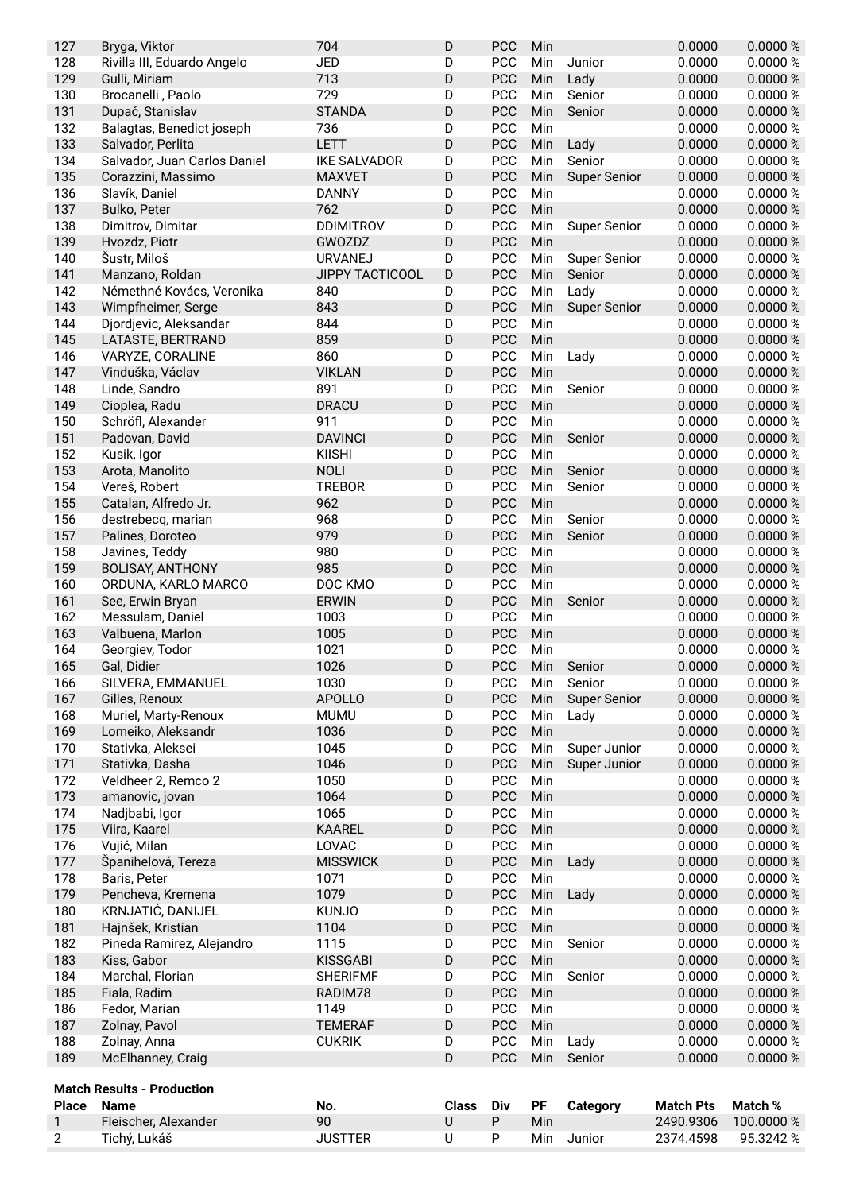| 127          | Bryga, Viktor                     | 704                 | D            | PCC        | Min        |                     | 0.0000           | 0.0000 %   |
|--------------|-----------------------------------|---------------------|--------------|------------|------------|---------------------|------------------|------------|
| 128          | Rivilla III, Eduardo Angelo       | <b>JED</b>          | D            | <b>PCC</b> | Min        | Junior              | 0.0000           | 0.0000 %   |
| 129          | Gulli, Miriam                     | 713                 | D            | <b>PCC</b> | Min        | Lady                | 0.0000           | 0.0000 %   |
| 130          | Brocanelli, Paolo                 | 729                 | D            | PCC        | Min        | Senior              | 0.0000           | 0.0000 %   |
| 131          | Dupač, Stanislav                  | <b>STANDA</b>       | D            | PCC        | Min        | Senior              | 0.0000           | 0.0000 %   |
| 132          | Balagtas, Benedict joseph         | 736                 | D            | PCC        | Min        |                     | 0.0000           | 0.0000%    |
| 133          | Salvador, Perlita                 | LETT                | D            | PCC        | Min        | Lady                | 0.0000           | 0.0000 %   |
| 134          | Salvador, Juan Carlos Daniel      | <b>IKE SALVADOR</b> | D            | <b>PCC</b> | Min        | Senior              | 0.0000           | 0.0000 %   |
| 135          | Corazzini, Massimo                | <b>MAXVET</b>       | D            | PCC        | Min        | <b>Super Senior</b> | 0.0000           | 0.0000 %   |
| 136          | Slavík, Daniel                    | <b>DANNY</b>        | D            | PCC        | Min        |                     | 0.0000           | 0.0000 %   |
| 137          | Bulko, Peter                      | 762                 | D            | <b>PCC</b> | Min        |                     | 0.0000           | 0.0000 %   |
| 138          | Dimitrov, Dimitar                 | <b>DDIMITROV</b>    | D            | <b>PCC</b> | Min        | <b>Super Senior</b> | 0.0000           | 0.0000 %   |
| 139          | Hvozdz, Piotr                     | GWOZDZ              | D            | PCC        | Min        |                     | 0.0000           | 0.0000 %   |
| 140          | Šustr, Miloš                      | <b>URVANEJ</b>      | D            | PCC        | Min        | <b>Super Senior</b> | 0.0000           | 0.0000 %   |
| 141          | Manzano, Roldan                   | JIPPY TACTICOOL     | D            | PCC        | Min        | Senior              | 0.0000           | 0.0000 %   |
| 142          | Némethné Kovács, Veronika         | 840                 | D            | <b>PCC</b> | Min        | Lady                | 0.0000           | 0.0000 %   |
| 143          |                                   | 843                 | D            | PCC        |            |                     |                  |            |
|              | Wimpfheimer, Serge                |                     |              |            | Min        | <b>Super Senior</b> | 0.0000           | 0.0000%    |
| 144          | Djordjevic, Aleksandar            | 844                 | D            | <b>PCC</b> | Min        |                     | 0.0000           | 0.0000 %   |
| 145          | LATASTE, BERTRAND                 | 859                 | D            | <b>PCC</b> | Min        |                     | 0.0000           | 0.0000 %   |
| 146          | VARYZE, CORALINE                  | 860                 | D            | <b>PCC</b> | Min        | Lady                | 0.0000           | 0.0000 %   |
| 147          | Vinduška, Václav                  | <b>VIKLAN</b>       | D            | <b>PCC</b> | Min        |                     | 0.0000           | 0.0000 %   |
| 148          | Linde, Sandro                     | 891                 | D            | <b>PCC</b> | Min        | Senior              | 0.0000           | 0.0000 %   |
| 149          | Cioplea, Radu                     | <b>DRACU</b>        | D            | PCC        | Min        |                     | 0.0000           | 0.0000 %   |
| 150          | Schröfl, Alexander                | 911                 | D            | <b>PCC</b> | Min        |                     | 0.0000           | 0.0000 %   |
| 151          | Padovan, David                    | <b>DAVINCI</b>      | D            | <b>PCC</b> | Min        | Senior              | 0.0000           | 0.0000 %   |
| 152          | Kusik, Igor                       | <b>KIISHI</b>       | D            | PCC        | Min        |                     | 0.0000           | 0.0000 %   |
| 153          | Arota, Manolito                   | <b>NOLI</b>         | D            | <b>PCC</b> | Min        | Senior              | 0.0000           | 0.0000 %   |
| 154          | Vereš, Robert                     | <b>TREBOR</b>       | D            | <b>PCC</b> | Min        | Senior              | 0.0000           | 0.0000 %   |
| 155          | Catalan, Alfredo Jr.              | 962                 | D            | PCC        | Min        |                     | 0.0000           | 0.0000 %   |
| 156          | destrebecq, marian                | 968                 | D            | PCC        | Min        | Senior              | 0.0000           | 0.0000 %   |
| 157          | Palines, Doroteo                  | 979                 | D            | PCC        | Min        | Senior              | 0.0000           | 0.0000%    |
| 158          | Javines, Teddy                    | 980                 | D            | PCC        | Min        |                     | 0.0000           | 0.0000 %   |
| 159          | <b>BOLISAY, ANTHONY</b>           | 985                 | D            | <b>PCC</b> | Min        |                     | 0.0000           | 0.0000 %   |
| 160          | ORDUNA, KARLO MARCO               | DOC KMO             | D            | <b>PCC</b> | Min        |                     | 0.0000           | 0.0000%    |
| 161          | See, Erwin Bryan                  | <b>ERWIN</b>        | D            | <b>PCC</b> | Min        | Senior              | 0.0000           | 0.0000 %   |
| 162          | Messulam, Daniel                  | 1003                | D            | <b>PCC</b> | Min        |                     | 0.0000           | 0.0000 %   |
| 163          | Valbuena, Marlon                  | 1005                | D            | <b>PCC</b> | Min        |                     | 0.0000           | 0.0000 %   |
| 164          | Georgiev, Todor                   | 1021                | D            | <b>PCC</b> | Min        |                     | 0.0000           | 0.0000 %   |
| 165          | Gal, Didier                       | 1026                | D            | <b>PCC</b> | Min        | Senior              | 0.0000           | 0.0000 %   |
| 166          | SILVERA, EMMANUEL                 | 1030                | D            | PCC        | Min        | Senior              | 0.0000           | 0.0000 %   |
| 167          | Gilles, Renoux                    | <b>APOLLO</b>       | D            | PCC        | Min        | <b>Super Senior</b> | 0.0000           | 0.0000 %   |
| 168          | Muriel, Marty-Renoux              | <b>MUMU</b>         | D            | <b>PCC</b> | Min        | Lady                | 0.0000           | 0.0000 %   |
| 169          | Lomeiko, Aleksandr                | 1036                | D            | PCC        | Min        |                     | 0.0000           | 0.0000 %   |
| 170          | Stativka, Aleksei                 | 1045                | D            | PCC        | Min        | Super Junior        | 0.0000           | 0.0000 %   |
| 171          | Stativka, Dasha                   | 1046                | D            | PCC        | Min        | Super Junior        | 0.0000           | 0.0000 %   |
| 172          | Veldheer 2, Remco 2               | 1050                | D            | PCC        |            |                     | 0.0000           | 0.0000 %   |
|              |                                   | 1064                | D            | PCC        | Min<br>Min |                     | 0.0000           |            |
| 173          | amanovic, jovan                   |                     |              |            |            |                     |                  | 0.0000 %   |
| 174          | Nadjbabi, Igor                    | 1065                | D            | <b>PCC</b> | Min        |                     | 0.0000           | 0.0000 %   |
| 175          | Viira, Kaarel                     | <b>KAAREL</b>       | D            | PCC        | Min        |                     | 0.0000           | 0.0000 %   |
| 176          | Vujić, Milan                      | LOVAC               | D            | PCC        | Min        |                     | 0.0000           | 0.0000 %   |
| 177          | Španihelová, Tereza               | <b>MISSWICK</b>     | D            | PCC        | Min        | Lady                | 0.0000           | 0.0000 %   |
| 178          | Baris, Peter                      | 1071                | D            | PCC        | Min        |                     | 0.0000           | 0.0000 %   |
| 179          | Pencheva, Kremena                 | 1079                | D            | PCC        | Min        | Lady                | 0.0000           | 0.0000 %   |
| 180          | KRNJATIĆ, DANIJEL                 | <b>KUNJO</b>        | D            | <b>PCC</b> | Min        |                     | 0.0000           | 0.0000 %   |
| 181          | Hajnšek, Kristian                 | 1104                | D            | PCC        | Min        |                     | 0.0000           | 0.0000 %   |
| 182          | Pineda Ramirez, Alejandro         | 1115                | D            | PCC        | Min        | Senior              | 0.0000           | 0.0000 %   |
| 183          | Kiss, Gabor                       | <b>KISSGABI</b>     | D            | PCC        | Min        |                     | 0.0000           | 0.0000 %   |
| 184          | Marchal, Florian                  | <b>SHERIFMF</b>     | D            | PCC        | Min        | Senior              | 0.0000           | 0.0000 %   |
| 185          | Fiala, Radim                      | RADIM78             | D            | PCC        | Min        |                     | 0.0000           | 0.0000 %   |
| 186          | Fedor, Marian                     | 1149                | D            | PCC        | Min        |                     | 0.0000           | 0.0000 %   |
| 187          | Zolnay, Pavol                     | <b>TEMERAF</b>      | D            | PCC        | Min        |                     | 0.0000           | 0.0000 %   |
| 188          | Zolnay, Anna                      | <b>CUKRIK</b>       | D            | <b>PCC</b> | Min        | Lady                | 0.0000           | 0.0000 %   |
| 189          | McElhanney, Craig                 |                     | D            | PCC        | Min        | Senior              | 0.0000           | 0.0000 %   |
|              |                                   |                     |              |            |            |                     |                  |            |
|              | <b>Match Results - Production</b> |                     |              |            |            |                     |                  |            |
| <b>Place</b> | <b>Name</b>                       | No.                 | <b>Class</b> | Div        | PF         | Category            | <b>Match Pts</b> | Match %    |
| 1            | Fleischer, Alexander              | 90                  | U            | Ρ          | Min        |                     | 2490.9306        | 100.0000 % |
| $\mathbf{2}$ | Tichý, Lukáš                      | <b>JUSTTER</b>      | U            | P          | Min        | Junior              | 2374.4598        | 95.3242 %  |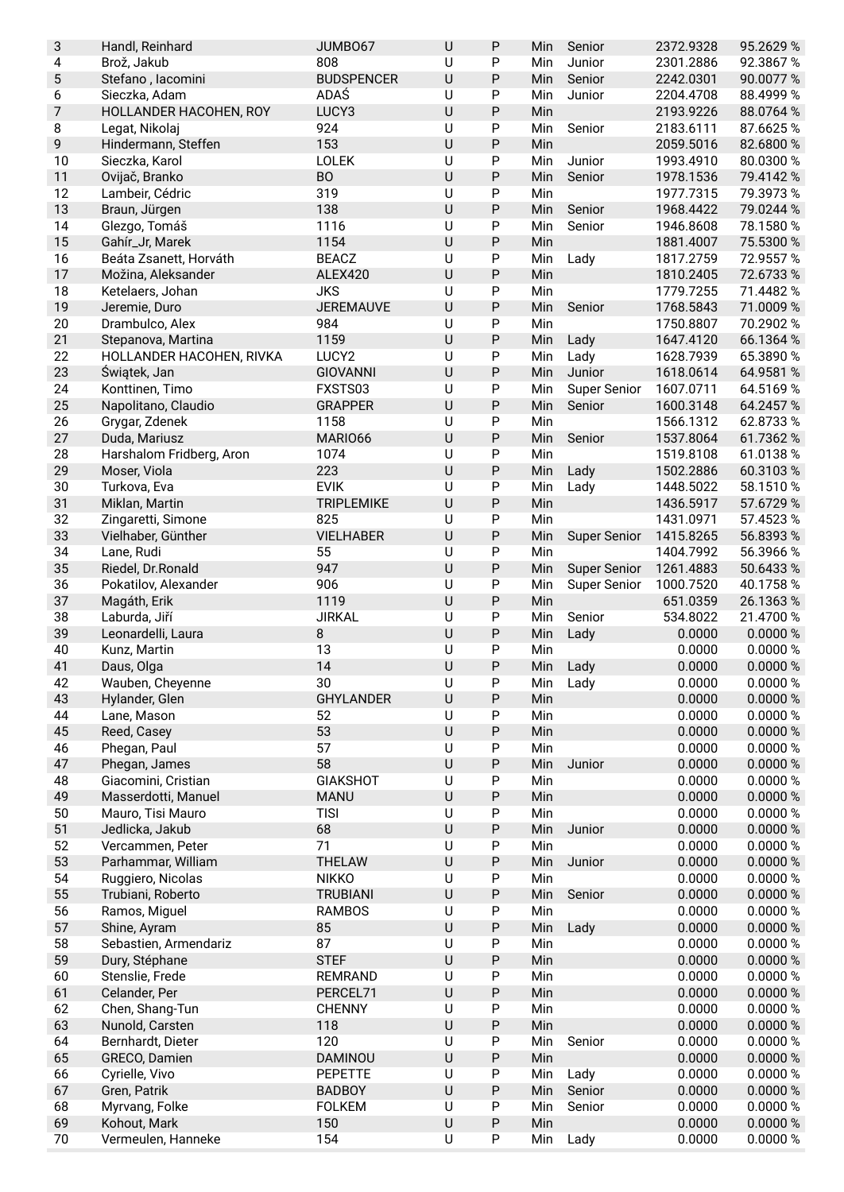| 3        | Handl, Reinhard                | JUMBO67              | $\sf U$      | P         | Min        | Senior              | 2372.9328 | 95.2629 %            |
|----------|--------------------------------|----------------------|--------------|-----------|------------|---------------------|-----------|----------------------|
| 4        | Brož, Jakub                    | 808                  | U            | P         | Min        | Junior              | 2301.2886 | 92.3867%             |
| 5        | Stefano, lacomini              | <b>BUDSPENCER</b>    | U            | P         | Min        | Senior              | 2242.0301 | 90.0077%             |
| 6        | Sieczka, Adam                  | <b>ADAŚ</b>          | U            | Ρ         | Min        | Junior              | 2204.4708 | 88.4999 %            |
| 7        | HOLLANDER HACOHEN, ROY         | LUCY3                | $\cup$       | P         | Min        |                     | 2193.9226 | 88.0764 %            |
| 8        | Legat, Nikolaj                 | 924                  | U            | P         | Min        | Senior              | 2183.6111 | 87.6625%             |
| 9        | Hindermann, Steffen            | 153                  | U            | P         | Min        |                     | 2059.5016 | 82.6800 %            |
| 10       | Sieczka, Karol                 | <b>LOLEK</b>         | U            | Ρ         | Min        | Junior              | 1993.4910 | 80.0300 %            |
| 11       | Ovijač, Branko                 | <b>BO</b>            | U            | P         | Min        | Senior              | 1978.1536 | 79.4142 %            |
| 12       | Lambeir, Cédric                | 319                  | U            | P         | Min        |                     | 1977.7315 | 79.3973 %            |
| 13       | Braun, Jürgen                  | 138                  | $\cup$       | P         | Min        | Senior              | 1968.4422 | 79.0244 %            |
| 14       | Glezgo, Tomáš                  | 1116                 | U            | P         | Min        | Senior              | 1946.8608 | 78.1580 %            |
| 15       | Gahír_Jr, Marek                | 1154                 | U            | P         | Min        |                     | 1881.4007 | 75.5300 %            |
| 16       | Beáta Zsanett, Horváth         | <b>BEACZ</b>         | U            | P         | Min        | Lady                | 1817.2759 | 72.9557 %            |
| 17       | Možina, Aleksander             | <b>ALEX420</b>       | U            | P         | Min        |                     | 1810.2405 | 72.6733 %            |
| 18       |                                | <b>JKS</b>           | U            | P         | Min        |                     | 1779.7255 | 71.4482 %            |
| 19       | Ketelaers, Johan               |                      | U            |           |            |                     |           |                      |
|          | Jeremie, Duro                  | <b>JEREMAUVE</b>     |              | P         | Min        | Senior              | 1768.5843 | 71.0009%             |
| 20       | Drambulco, Alex                | 984                  | U            | P         | Min        |                     | 1750.8807 | 70.2902 %            |
| 21       | Stepanova, Martina             | 1159                 | $\cup$       | P         | Min        | Lady                | 1647.4120 | 66.1364 %            |
| 22       | HOLLANDER HACOHEN, RIVKA       | LUCY2                | U            | Ρ         | Min        | Lady                | 1628.7939 | 65.3890 %            |
| 23       | Świątek, Jan                   | <b>GIOVANNI</b>      | U            | P         | Min        | Junior              | 1618.0614 | 64.9581 %            |
| 24       | Konttinen, Timo                | FXSTS03              | U            | P         | Min        | <b>Super Senior</b> | 1607.0711 | 64.5169 %            |
| 25       | Napolitano, Claudio            | <b>GRAPPER</b>       | $\cup$       | P         | Min        | Senior              | 1600.3148 | 64.2457 %            |
| 26       | Grygar, Zdenek                 | 1158                 | $\cup$       | P         | Min        |                     | 1566.1312 | 62.8733 %            |
| 27       | Duda, Mariusz                  | MARIO66              | $\cup$       | P         | Min        | Senior              | 1537.8064 | 61.7362 %            |
| 28       | Harshalom Fridberg, Aron       | 1074                 | $\cup$       | P         | Min        |                     | 1519.8108 | 61.0138%             |
| 29       | Moser, Viola                   | 223                  | U            | P         | Min        | Lady                | 1502.2886 | 60.3103%             |
| 30       | Turkova, Eva                   | <b>EVIK</b>          | U            | P         | Min        | Lady                | 1448.5022 | 58.1510 %            |
| 31       | Miklan, Martin                 | <b>TRIPLEMIKE</b>    | $\cup$       | P         | Min        |                     | 1436.5917 | 57.6729 %            |
| 32       | Zingaretti, Simone             | 825                  | U            | P         | Min        |                     | 1431.0971 | 57.4523 %            |
| 33       | Vielhaber, Günther             | <b>VIELHABER</b>     | $\cup$       | P         | Min        | <b>Super Senior</b> | 1415.8265 | 56.8393 %            |
| 34       | Lane, Rudi                     | 55                   | U            | Ρ         | Min        |                     | 1404.7992 | 56.3966 %            |
| 35       | Riedel, Dr. Ronald             | 947                  | U            | P         | Min        | <b>Super Senior</b> | 1261.4883 | 50.6433 %            |
| 36       | Pokatilov, Alexander           | 906                  | U            | P         | Min        | <b>Super Senior</b> | 1000.7520 | 40.1758 %            |
| 37       | Magáth, Erik                   | 1119                 | U            | P         | Min        |                     | 651.0359  | 26.1363%             |
| 38       | Laburda, Jiří                  | <b>JIRKAL</b>        | $\cup$       | P         | Min        | Senior              | 534.8022  | 21.4700 %            |
| 39       | Leonardelli, Laura             | $\, 8$               | $\sf U$      | P         | Min        | Lady                | 0.0000    | 0.0000 %             |
| 40       | Kunz, Martin                   | 13                   | U            | P         | Min        |                     | 0.0000    | 0.0000 %             |
| 41       | Daus, Olga                     | 14                   | U            | P         | Min        | Lady                | 0.0000    | 0.0000 %             |
| 42       | Wauben, Cheyenne               | 30                   | U            | ${\sf P}$ | Min        | Lady                | 0.0000    | 0.0000 %             |
| 43       | Hylander, Glen                 | <b>GHYLANDER</b>     | $\sf U$      | P         | Min        |                     | 0.0000    | 0.0000 %             |
| 44       | Lane, Mason                    | 52                   | U            | Ρ         | Min        |                     | 0.0000    | 0.0000 %             |
| 45       | Reed, Casey                    | 53                   | $\cup$       | P         | Min        |                     | 0.0000    | 0.0000 %             |
| 46       | Phegan, Paul                   | 57                   | U            | P         | Min        |                     | 0.0000    | 0.0000 %             |
|          |                                | 58                   | $\sf U$      |           |            | Junior              |           |                      |
| 47       | Phegan, James                  |                      |              | P         | Min        |                     | 0.0000    | 0.0000 %             |
| 48       | Giacomini, Cristian            | <b>GIAKSHOT</b>      | U            | Ρ         | Min        |                     | 0.0000    | 0.0000 %             |
| 49       | Masserdotti, Manuel            | <b>MANU</b>          | $\sf U$      | P         | Min        |                     | 0.0000    | 0.0000 %             |
| 50       | Mauro, Tisi Mauro              | <b>TISI</b>          | $\cup$       | Ρ         | Min        |                     | 0.0000    | 0.0000 %             |
| 51       | Jedlicka, Jakub                | 68                   | $\sf U$      | P         | Min        | Junior              | 0.0000    | 0.0000 %             |
| 52       | Vercammen, Peter               | 71                   | U            | Ρ         | Min        |                     | 0.0000    | 0.0000 %             |
| 53       | Parhammar, William             | <b>THELAW</b>        | $\sf U$      | P         | Min        | Junior              | 0.0000    | 0.0000 %             |
| 54       | Ruggiero, Nicolas              | <b>NIKKO</b>         | U            | P         | Min        |                     | 0.0000    | 0.0000 %             |
| 55       | Trubiani, Roberto              | <b>TRUBIANI</b>      | $\cup$       | P         | Min        | Senior              | 0.0000    | 0.0000 %             |
| 56       | Ramos, Miguel                  | <b>RAMBOS</b>        | U            | Ρ         | Min        |                     | 0.0000    | 0.0000 %             |
| 57       | Shine, Ayram                   | 85                   | $\cup$       | P         | Min        | Lady                | 0.0000    | 0.0000 %             |
| 58       | Sebastien, Armendariz          | 87                   | U            | Ρ         | Min        |                     | 0.0000    | 0.0000 %             |
| 59       | Dury, Stéphane                 | <b>STEF</b>          | $\sf U$      | P         | Min        |                     | 0.0000    | 0.0000 %             |
| 60       | Stenslie, Frede                | <b>REMRAND</b>       | U            | P         | Min        |                     | 0.0000    | 0.0000 %             |
| 61       | Celander, Per                  | PERCEL71             | $\sf U$      | P         | Min        |                     | 0.0000    | 0.0000 %             |
| 62       | Chen, Shang-Tun                | <b>CHENNY</b>        | $\sf U$      | P         | Min        |                     | 0.0000    | 0.0000 %             |
| 63       | Nunold, Carsten                | 118                  | $\sf U$      | P         | Min        |                     | 0.0000    | 0.0000 %             |
| 64       | Bernhardt, Dieter              | 120                  | $\sf U$      | Ρ         | Min        | Senior              | 0.0000    | 0.0000 %             |
| 65       | GRECO, Damien                  | DAMINOU              | $\sf U$      | P         | Min        |                     | 0.0000    | 0.0000 %             |
| 66       |                                |                      |              | P         | Min        | Lady                | 0.0000    | 0.0000 %             |
|          |                                |                      | U            |           |            |                     |           |                      |
|          | Cyrielle, Vivo                 | PEPETTE              | $\cup$       |           |            |                     | 0.0000    |                      |
| 67       | Gren, Patrik                   | <b>BADBOY</b>        |              | P         | Min        | Senior              | 0.0000    | 0.0000 %             |
| 68<br>69 | Myrvang, Folke<br>Kohout, Mark | <b>FOLKEM</b><br>150 | U<br>$\sf U$ | P<br>P    | Min<br>Min | Senior              | 0.0000    | 0.0000 %<br>0.0000 % |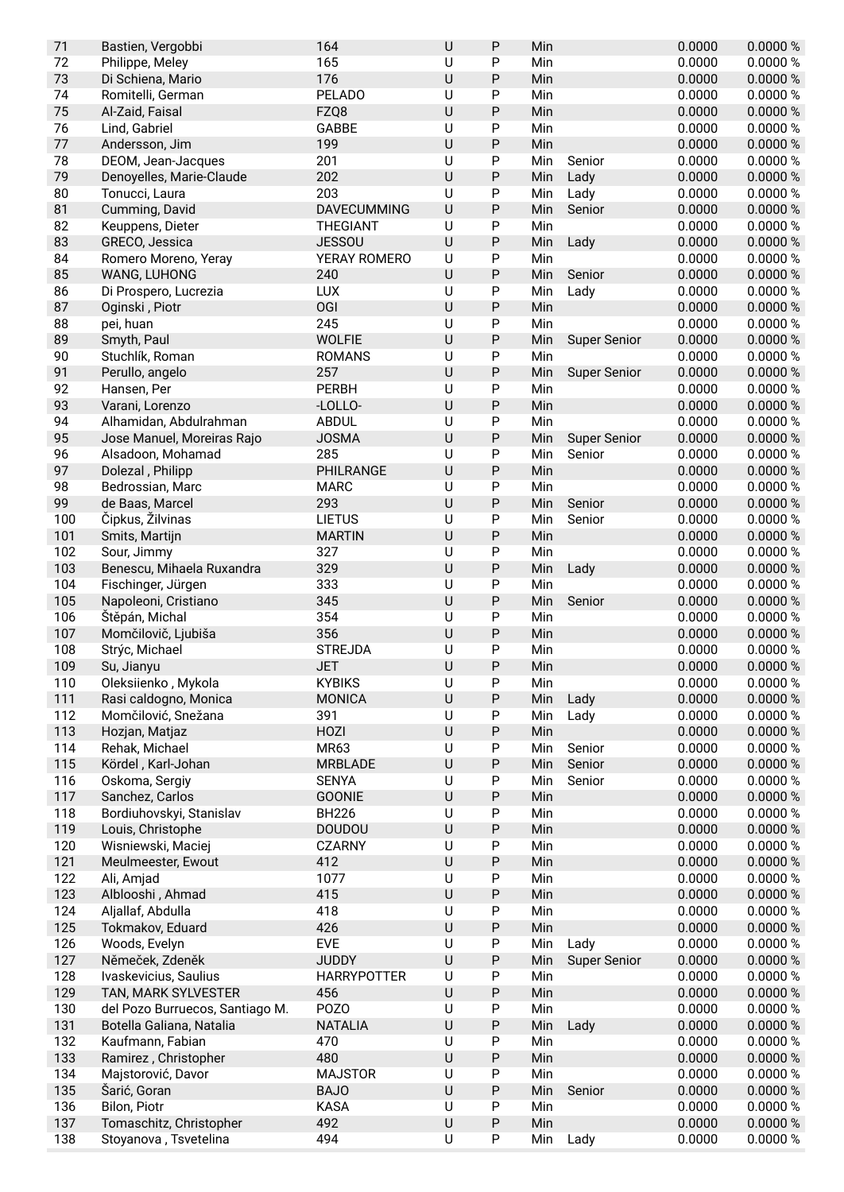| 71  | Bastien, Vergobbi               | 164                | $\sf U$        | P         | Min |                     | 0.0000 | 0.0000%  |
|-----|---------------------------------|--------------------|----------------|-----------|-----|---------------------|--------|----------|
| 72  | Philippe, Meley                 | 165                | U              | P         | Min |                     | 0.0000 | 0.0000%  |
| 73  | Di Schiena, Mario               | 176                | $\cup$         | P         | Min |                     | 0.0000 | 0.0000%  |
| 74  | Romitelli, German               | <b>PELADO</b>      | U              | P         | Min |                     | 0.0000 | 0.0000%  |
| 75  | Al-Zaid, Faisal                 | FZQ8               | $\cup$         | P         | Min |                     | 0.0000 | 0.0000 % |
| 76  | Lind, Gabriel                   | GABBE              | U              | P         | Min |                     | 0.0000 | 0.0000%  |
| 77  | Andersson, Jim                  | 199                | U              | P         | Min |                     | 0.0000 | 0.0000 % |
| 78  | DEOM, Jean-Jacques              | 201                | U              | P         | Min | Senior              | 0.0000 | 0.0000 % |
| 79  | Denoyelles, Marie-Claude        | 202                | $\cup$         | P         | Min | Lady                | 0.0000 | 0.0000 % |
| 80  | Tonucci, Laura                  | 203                | $\cup$         | P         | Min | Lady                | 0.0000 | 0.0000%  |
| 81  | Cumming, David                  | <b>DAVECUMMING</b> | $\sf U$        | P         | Min | Senior              | 0.0000 | 0.0000 % |
| 82  | Keuppens, Dieter                | THEGIANT           | U              | P         | Min |                     | 0.0000 | 0.0000 % |
| 83  | GRECO, Jessica                  | <b>JESSOU</b>      | $\cup$         | P         | Min | Lady                | 0.0000 | 0.0000 % |
| 84  | Romero Moreno, Yeray            | YERAY ROMERO       | U              | P         | Min |                     | 0.0000 | 0.0000%  |
| 85  | WANG, LUHONG                    | 240                | $\cup$         | P         | Min | Senior              | 0.0000 | 0.0000%  |
| 86  | Di Prospero, Lucrezia           | <b>LUX</b>         | U              | P         | Min | Lady                | 0.0000 | 0.0000%  |
| 87  | Oginski, Piotr                  | OGI                | U              | P         | Min |                     | 0.0000 | 0.0000 % |
| 88  | pei, huan                       | 245                | U              | P         | Min |                     | 0.0000 | 0.0000%  |
| 89  | Smyth, Paul                     | <b>WOLFIE</b>      | $\sf U$        | P         | Min | <b>Super Senior</b> | 0.0000 | 0.0000 % |
| 90  | Stuchlík, Roman                 | <b>ROMANS</b>      | U              | P         | Min |                     | 0.0000 | 0.0000 % |
| 91  | Perullo, angelo                 | 257                | U              | P         | Min | <b>Super Senior</b> | 0.0000 | 0.0000 % |
| 92  | Hansen, Per                     | <b>PERBH</b>       | $\sf U$        | P         | Min |                     | 0.0000 | 0.0000 % |
| 93  | Varani, Lorenzo                 | -LOLLO-            | $\sf U$        | P         | Min |                     | 0.0000 | 0.0000 % |
| 94  | Alhamidan, Abdulrahman          | <b>ABDUL</b>       | $\overline{U}$ | P         | Min |                     | 0.0000 | 0.0000 % |
| 95  | Jose Manuel, Moreiras Rajo      | <b>JOSMA</b>       | $\sf U$        | P         | Min | <b>Super Senior</b> | 0.0000 | 0.0000 % |
| 96  | Alsadoon, Mohamad               | 285                | U              | P         | Min | Senior              | 0.0000 | 0.0000 % |
| 97  | Dolezal, Philipp                | PHILRANGE          | U              | P         | Min |                     | 0.0000 | 0.0000%  |
| 98  | Bedrossian, Marc                | <b>MARC</b>        | U              | P         | Min |                     | 0.0000 | 0.0000%  |
| 99  | de Baas, Marcel                 | 293                | $\cup$         | P         | Min | Senior              | 0.0000 | 0.0000 % |
| 100 | Čipkus, Žilvinas                | <b>LIETUS</b>      | U              | P         | Min | Senior              | 0.0000 | 0.0000%  |
| 101 | Smits, Martijn                  | <b>MARTIN</b>      | $\sf U$        | P         | Min |                     | 0.0000 | 0.0000 % |
| 102 | Sour, Jimmy                     | 327                | U              | P         | Min |                     | 0.0000 | 0.0000 % |
| 103 | Benescu, Mihaela Ruxandra       | 329                | U              | P         | Min | Lady                | 0.0000 | 0.0000 % |
| 104 | Fischinger, Jürgen              | 333                | U              | P         | Min |                     | 0.0000 | 0.0000 % |
| 105 | Napoleoni, Cristiano            | 345                | $\sf U$        | P         | Min | Senior              | 0.0000 | 0.0000 % |
| 106 | Štěpán, Michal                  | 354                | U              | P         | Min |                     | 0.0000 | 0.0000 % |
| 107 | Momčilovič, Ljubiša             | 356                | $\cup$         | P         | Min |                     | 0.0000 | 0.0000 % |
| 108 | Strýc, Michael                  | <b>STREJDA</b>     | U              | Ρ         | Min |                     | 0.0000 | 0.0000%  |
| 109 | Su, Jianyu                      | <b>JET</b>         | $\cup$         | P         | Min |                     | 0.0000 | 0.0000 % |
| 110 | Oleksiienko, Mykola             | <b>KYBIKS</b>      | U              | Ρ         | Min |                     | 0.0000 | 0.0000 % |
| 111 | Rasi caldogno, Monica           | <b>MONICA</b>      | $\sf U$        | P         | Min | Lady                | 0.0000 | 0.0000 % |
| 112 | Momčilović, Snežana             | 391                | U              | P         | Min | Lady                | 0.0000 | 0.0000 % |
| 113 | Hozjan, Matjaz                  | HOZI               | $\sf U$        | Ρ         | Min |                     | 0.0000 | 0.0000 % |
| 114 | Rehak, Michael                  | MR63               | U              | P         | Min | Senior              | 0.0000 | 0.0000 % |
| 115 | Kördel, Karl-Johan              | <b>MRBLADE</b>     | U              | Ρ         | Min | Senior              | 0.0000 | 0.0000 % |
| 116 | Oskoma, Sergiy                  | <b>SENYA</b>       | U              | P         | Min | Senior              | 0.0000 | 0.0000%  |
| 117 | Sanchez, Carlos                 | <b>GOONIE</b>      | $\sf U$        | ${\sf P}$ | Min |                     | 0.0000 | 0.0000 % |
| 118 | Bordiuhovskyi, Stanislav        | <b>BH226</b>       | $\sf U$        | P         | Min |                     | 0.0000 | 0.0000 % |
| 119 | Louis, Christophe               | <b>DOUDOU</b>      | $\sf U$        | ${\sf P}$ | Min |                     | 0.0000 | 0.0000 % |
| 120 | Wisniewski, Maciej              | <b>CZARNY</b>      | $\sf U$        | P         | Min |                     | 0.0000 | 0.0000 % |
| 121 | Meulmeester, Ewout              | 412                | $\cup$         | Ρ         | Min |                     | 0.0000 | 0.0000 % |
| 122 | Ali, Amjad                      | 1077               | U              | Ρ         | Min |                     | 0.0000 | 0.0000%  |
| 123 | Alblooshi, Ahmad                | 415                | $\cup$         | P         | Min |                     | 0.0000 | 0.0000 % |
| 124 | Aljallaf, Abdulla               | 418                | U              | P         | Min |                     | 0.0000 | 0.0000 % |
| 125 | Tokmakov, Eduard                | 426                | $\sf U$        | Ρ         | Min |                     | 0.0000 | 0.0000 % |
| 126 | Woods, Evelyn                   | EVE                | U              | P         | Min | Lady                | 0.0000 | 0.0000 % |
| 127 | Němeček, Zdeněk                 | <b>JUDDY</b>       | U              | P         | Min | <b>Super Senior</b> | 0.0000 | 0.0000 % |
| 128 | Ivaskevicius, Saulius           | <b>HARRYPOTTER</b> | U              | P         | Min |                     | 0.0000 | 0.0000 % |
| 129 | TAN, MARK SYLVESTER             | 456                | $\sf U$        | P         | Min |                     | 0.0000 | 0.0000 % |
| 130 | del Pozo Burruecos, Santiago M. | POZO               | U              | P         | Min |                     | 0.0000 | 0.0000 % |
| 131 | Botella Galiana, Natalia        | <b>NATALIA</b>     | $\sf U$        | P         | Min | Lady                | 0.0000 | 0.0000 % |
| 132 | Kaufmann, Fabian                | 470                | $\sf U$        | Ρ         | Min |                     | 0.0000 | 0.0000 % |
| 133 | Ramirez, Christopher            | 480                | $\cup$         | P         | Min |                     | 0.0000 | 0.0000 % |
| 134 | Majstorović, Davor              | <b>MAJSTOR</b>     | U              | Ρ         | Min |                     | 0.0000 | 0.0000 % |
| 135 | Šarić, Goran                    | <b>BAJO</b>        | $\sf U$        | P         | Min | Senior              | 0.0000 | 0.0000 % |
| 136 | Bilon, Piotr                    | <b>KASA</b>        | U              | Ρ         | Min |                     | 0.0000 | 0.0000 % |
| 137 | Tomaschitz, Christopher         | 492                | $\sf U$        | P         | Min |                     | 0.0000 | 0.0000 % |
| 138 | Stoyanova, Tsvetelina           | 494                | $\sf U$        | P         | Min | Lady                | 0.0000 | 0.0000 % |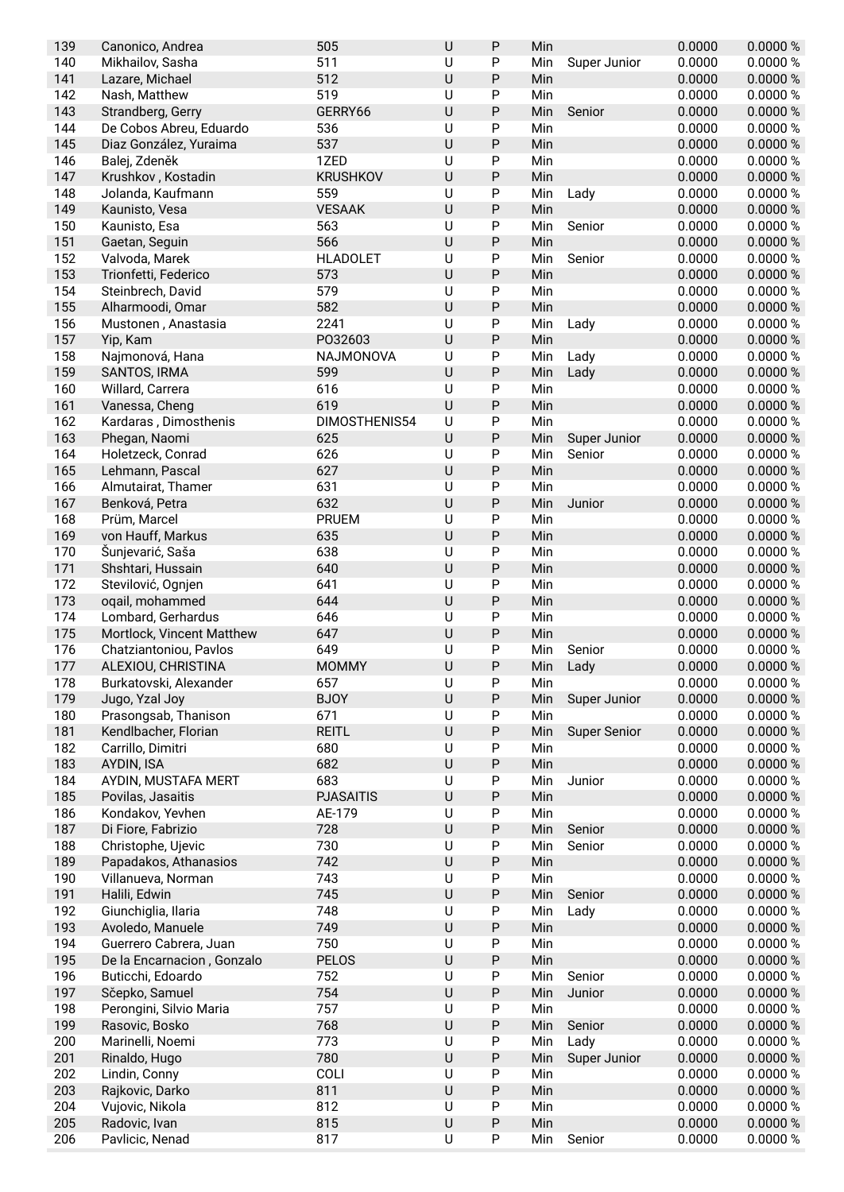| 139 | Canonico, Andrea           | 505              | U       | P            | Min |                     | 0.0000 | 0.0000 % |
|-----|----------------------------|------------------|---------|--------------|-----|---------------------|--------|----------|
| 140 | Mikhailov, Sasha           | 511              | U       | P            | Min | Super Junior        | 0.0000 | 0.0000 % |
| 141 | Lazare, Michael            | 512              | U       | P            | Min |                     | 0.0000 | 0.0000 % |
| 142 | Nash, Matthew              | 519              | U       | P            | Min |                     | 0.0000 | 0.0000 % |
| 143 | Strandberg, Gerry          | GERRY66          | U       | P            | Min | Senior              | 0.0000 | 0.0000 % |
| 144 | De Cobos Abreu, Eduardo    | 536              | U       | P            | Min |                     | 0.0000 | 0.0000 % |
| 145 | Diaz González, Yuraima     | 537              | U       | P            | Min |                     | 0.0000 | 0.0000 % |
| 146 | Balej, Zdeněk              | 1ZED             | U       | P            | Min |                     | 0.0000 | 0.0000 % |
| 147 | Krushkov, Kostadin         | <b>KRUSHKOV</b>  | U       | P            | Min |                     | 0.0000 | 0.0000 % |
| 148 |                            | 559              | U       | $\mathsf{P}$ |     |                     | 0.0000 | 0.0000 % |
|     | Jolanda, Kaufmann          |                  |         |              | Min | Lady                |        |          |
| 149 | Kaunisto, Vesa             | <b>VESAAK</b>    | U       | $\sf P$      | Min |                     | 0.0000 | 0.0000 % |
| 150 | Kaunisto, Esa              | 563              | U       | $\mathsf{P}$ | Min | Senior              | 0.0000 | 0.0000 % |
| 151 | Gaetan, Seguin             | 566              | U       | $\sf P$      | Min |                     | 0.0000 | 0.0000 % |
| 152 | Valvoda, Marek             | <b>HLADOLET</b>  | U       | P            | Min | Senior              | 0.0000 | 0.0000 % |
| 153 | Trionfetti, Federico       | 573              | U       | P            | Min |                     | 0.0000 | 0.0000 % |
| 154 | Steinbrech, David          | 579              | U       | P            | Min |                     | 0.0000 | 0.0000 % |
| 155 | Alharmoodi, Omar           | 582              | U       | $\mathsf{P}$ | Min |                     | 0.0000 | 0.0000 % |
| 156 | Mustonen, Anastasia        | 2241             | U       | P            | Min | Lady                | 0.0000 | 0.0000%  |
| 157 | Yip, Kam                   | P032603          | U       | P            | Min |                     | 0.0000 | 0.0000 % |
| 158 | Najmonová, Hana            | NAJMONOVA        | U       | $\mathsf{P}$ | Min | Lady                | 0.0000 | 0.0000 % |
| 159 | SANTOS, IRMA               | 599              | U       | P            | Min | Lady                | 0.0000 | 0.0000 % |
| 160 | Willard, Carrera           | 616              | U       | $\mathsf{P}$ | Min |                     | 0.0000 | 0.0000 % |
| 161 | Vanessa, Cheng             | 619              | U       | P            | Min |                     | 0.0000 | 0.0000 % |
| 162 | Kardaras, Dimosthenis      | DIMOSTHENIS54    | U       | $\mathsf{P}$ | Min |                     | 0.0000 | 0.0000 % |
| 163 |                            | 625              | U       | $\sf P$      |     |                     | 0.0000 | 0.0000 % |
|     | Phegan, Naomi              |                  |         |              | Min | Super Junior        |        |          |
| 164 | Holetzeck, Conrad          | 626              | U       | P            | Min | Senior              | 0.0000 | 0.0000 % |
| 165 | Lehmann, Pascal            | 627              | U       | P            | Min |                     | 0.0000 | 0.0000 % |
| 166 | Almutairat, Thamer         | 631              | U       | P            | Min |                     | 0.0000 | 0.0000 % |
| 167 | Benková, Petra             | 632              | U       | P            | Min | Junior              | 0.0000 | 0.0000 % |
| 168 | Prüm, Marcel               | <b>PRUEM</b>     | U       | P            | Min |                     | 0.0000 | 0.0000 % |
| 169 | von Hauff, Markus          | 635              | U       | P            | Min |                     | 0.0000 | 0.0000 % |
| 170 | Šunjevarić, Saša           | 638              | U       | P            | Min |                     | 0.0000 | 0.0000 % |
| 171 | Shshtari, Hussain          | 640              | U       | P            | Min |                     | 0.0000 | 0.0000 % |
| 172 | Stevilović, Ognjen         | 641              | U       | $\mathsf{P}$ | Min |                     | 0.0000 | 0.0000 % |
| 173 | oqail, mohammed            | 644              | U       | P            | Min |                     | 0.0000 | 0.0000 % |
| 174 | Lombard, Gerhardus         | 646              | U       | $\mathsf{P}$ | Min |                     | 0.0000 | 0.0000 % |
| 175 | Mortlock, Vincent Matthew  | 647              | U       | $\sf P$      | Min |                     | 0.0000 | 0.0000 % |
| 176 | Chatziantoniou, Pavlos     | 649              | U       | P            | Min | Senior              | 0.0000 | 0.0000%  |
| 177 | ALEXIOU, CHRISTINA         | <b>MOMMY</b>     | U       | P            | Min | Lady                | 0.0000 | 0.0000 % |
|     |                            |                  |         |              |     |                     |        | 0.0000 % |
| 178 | Burkatovski, Alexander     | 657              | U       | ${\sf P}$    | Min |                     | 0.0000 |          |
| 179 | Jugo, Yzal Joy             | <b>BJOY</b>      | U       | ${\sf P}$    | Min | Super Junior        | 0.0000 | 0.0000 % |
| 180 | Prasongsab, Thanison       | 671              | U       | P            | Min |                     | 0.0000 | 0.0000 % |
| 181 | Kendlbacher, Florian       | <b>REITL</b>     | $\sf U$ | P            | Min | <b>Super Senior</b> | 0.0000 | 0.0000 % |
| 182 | Carrillo, Dimitri          | 680              | U       | P            | Min |                     | 0.0000 | 0.0000%  |
| 183 | AYDIN, ISA                 | 682              | U       | Ρ            | Min |                     | 0.0000 | 0.0000 % |
| 184 | AYDIN, MUSTAFA MERT        | 683              | U       | P            | Min | Junior              | 0.0000 | 0.0000 % |
| 185 | Povilas, Jasaitis          | <b>PJASAITIS</b> | U       | ${\sf P}$    | Min |                     | 0.0000 | 0.0000 % |
| 186 | Kondakov, Yevhen           | AE-179           | U       | ${\sf P}$    | Min |                     | 0.0000 | 0.0000 % |
| 187 | Di Fiore, Fabrizio         | 728              | U       | P            | Min | Senior              | 0.0000 | 0.0000 % |
| 188 | Christophe, Ujevic         | 730              | U       | ${\sf P}$    | Min | Senior              | 0.0000 | 0.0000 % |
| 189 | Papadakos, Athanasios      | 742              | U       | P            | Min |                     | 0.0000 | 0.0000 % |
| 190 | Villanueva, Norman         | 743              | U       | P            | Min |                     | 0.0000 | 0.0000 % |
|     |                            |                  | U       |              |     |                     |        |          |
| 191 | Halili, Edwin              | 745              |         | $\sf P$      | Min | Senior              | 0.0000 | 0.0000 % |
| 192 | Giunchiglia, Ilaria        | 748              | U       | P            | Min | Lady                | 0.0000 | 0.0000 % |
| 193 | Avoledo, Manuele           | 749              | U       | P            | Min |                     | 0.0000 | 0.0000 % |
| 194 | Guerrero Cabrera, Juan     | 750              | U       | P            | Min |                     | 0.0000 | 0.0000 % |
| 195 | De la Encarnacion, Gonzalo | <b>PELOS</b>     | U       | Ρ            | Min |                     | 0.0000 | 0.0000 % |
| 196 | Buticchi, Edoardo          | 752              | U       | $\mathsf{P}$ | Min | Senior              | 0.0000 | 0.0000 % |
| 197 | Sčepko, Samuel             | 754              | U       | P            | Min | Junior              | 0.0000 | 0.0000 % |
| 198 | Perongini, Silvio Maria    | 757              | U       | ${\sf P}$    | Min |                     | 0.0000 | 0.0000 % |
| 199 | Rasovic, Bosko             | 768              | U       | P            | Min | Senior              | 0.0000 | 0.0000 % |
| 200 | Marinelli, Noemi           | 773              | U       | ${\sf P}$    | Min | Lady                | 0.0000 | 0.0000 % |
| 201 | Rinaldo, Hugo              | 780              | U       | P            | Min | Super Junior        | 0.0000 | 0.0000 % |
| 202 | Lindin, Conny              | COLI             | U       | P            | Min |                     | 0.0000 | 0.0000 % |
| 203 | Rajkovic, Darko            | 811              | U       | $\sf P$      | Min |                     | 0.0000 | 0.0000 % |
| 204 | Vujovic, Nikola            | 812              | U       | P            | Min |                     | 0.0000 | 0.0000 % |
|     |                            |                  |         |              |     |                     |        |          |
| 205 | Radovic, Ivan              | 815              | U       | P            | Min |                     | 0.0000 | 0.0000 % |
| 206 | Pavlicic, Nenad            | 817              | U       | P            | Min | Senior              | 0.0000 | 0.0000 % |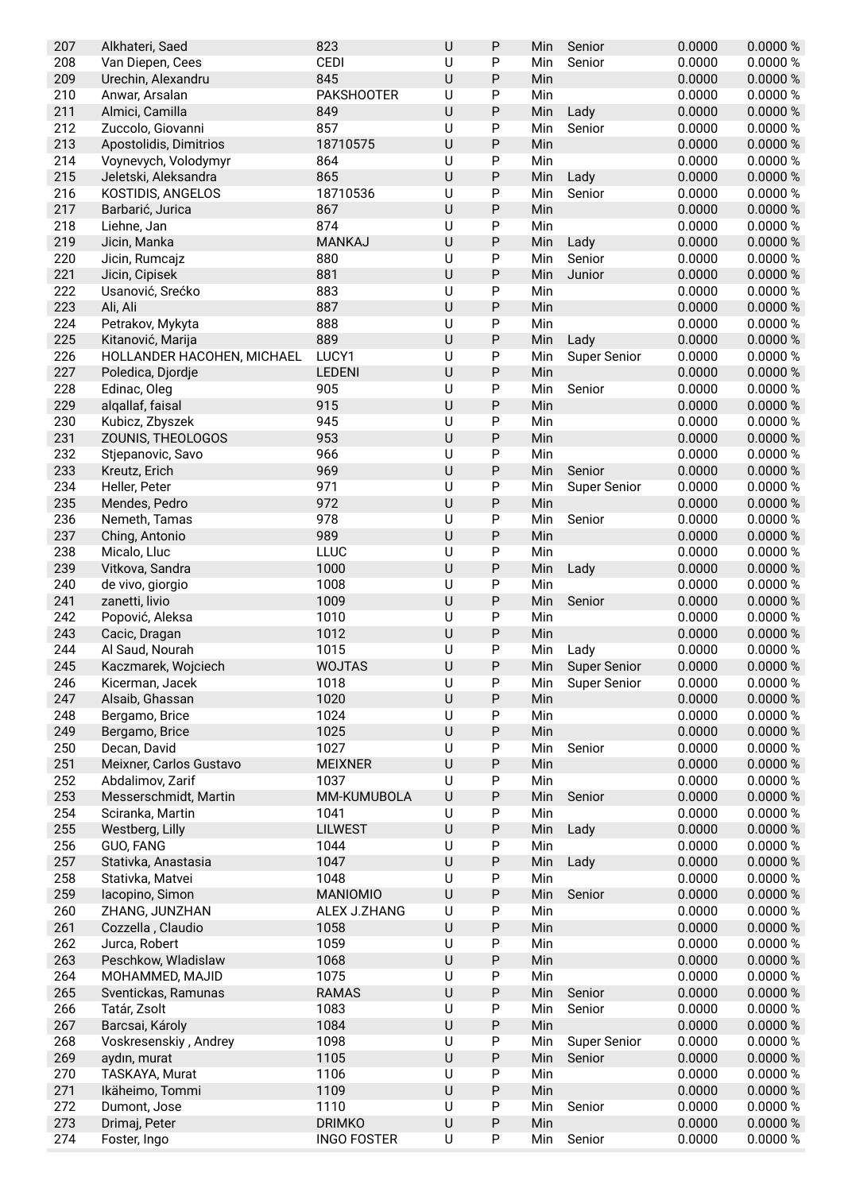| 207 | Alkhateri, Saed            | 823                | U | P            | Min | Senior              | 0.0000 | 0.0000%  |
|-----|----------------------------|--------------------|---|--------------|-----|---------------------|--------|----------|
| 208 | Van Diepen, Cees           | CEDI               | U | P            | Min | Senior              | 0.0000 | 0.0000 % |
| 209 | Urechin, Alexandru         | 845                | U | P            | Min |                     | 0.0000 | 0.0000 % |
| 210 | Anwar, Arsalan             | <b>PAKSHOOTER</b>  | U | P            | Min |                     | 0.0000 | 0.0000 % |
| 211 | Almici, Camilla            | 849                | U | P            | Min | Lady                | 0.0000 | 0.0000 % |
| 212 | Zuccolo, Giovanni          | 857                | U | P            | Min | Senior              | 0.0000 | 0.0000 % |
| 213 | Apostolidis, Dimitrios     | 18710575           | U | $\sf P$      | Min |                     | 0.0000 | 0.0000 % |
| 214 | Voynevych, Volodymyr       | 864                | U | P            | Min |                     | 0.0000 | 0.0000%  |
| 215 | Jeletski, Aleksandra       | 865                | U | P            | Min | Lady                | 0.0000 | 0.0000 % |
| 216 | KOSTIDIS, ANGELOS          | 18710536           | U | $\mathsf{P}$ | Min | Senior              | 0.0000 | 0.0000 % |
| 217 | Barbarić, Jurica           | 867                | U | P            | Min |                     | 0.0000 | 0.0000 % |
| 218 | Liehne, Jan                | 874                | U | $\mathsf{P}$ | Min |                     | 0.0000 | 0.0000 % |
| 219 | Jicin, Manka               | <b>MANKAJ</b>      | U | P            | Min | Lady                | 0.0000 | 0.0000 % |
| 220 | Jicin, Rumcajz             | 880                | U | P            | Min | Senior              | 0.0000 | 0.0000 % |
| 221 | Jicin, Cipisek             | 881                | U | P            | Min | Junior              | 0.0000 | 0.0000 % |
| 222 | Usanović, Srećko           | 883                | U | P            | Min |                     | 0.0000 | 0.0000 % |
| 223 | Ali, Ali                   | 887                | U | P            | Min |                     | 0.0000 | 0.0000 % |
| 224 | Petrakov, Mykyta           | 888                | U | P            | Min |                     | 0.0000 | 0.0000 % |
| 225 | Kitanović, Marija          | 889                | U | P            | Min | Lady                | 0.0000 | 0.0000 % |
| 226 | HOLLANDER HACOHEN, MICHAEL | LUCY1              | U | P            | Min | <b>Super Senior</b> | 0.0000 | 0.0000 % |
| 227 | Poledica, Djordje          | <b>LEDENI</b>      | U | P            | Min |                     | 0.0000 | 0.0000 % |
| 228 | Edinac, Oleg               | 905                | U | $\mathsf{P}$ | Min | Senior              | 0.0000 | 0.0000 % |
| 229 | algallaf, faisal           | 915                | U | P            | Min |                     | 0.0000 | 0.0000 % |
| 230 | Kubicz, Zbyszek            | 945                | U | $\mathsf{P}$ | Min |                     | 0.0000 | 0.0000 % |
| 231 | ZOUNIS, THEOLOGOS          | 953                | U | P            | Min |                     | 0.0000 | 0.0000 % |
| 232 | Stjepanovic, Savo          | 966                | U | $\mathsf{P}$ | Min |                     | 0.0000 | 0.0000 % |
| 233 | Kreutz, Erich              | 969                | U | P            | Min | Senior              | 0.0000 | 0.0000 % |
| 234 | Heller, Peter              | 971                | U | P            | Min | <b>Super Senior</b> | 0.0000 | 0.0000 % |
| 235 | Mendes, Pedro              | 972                | U | $\mathsf{P}$ | Min |                     | 0.0000 | 0.0000 % |
| 236 | Nemeth, Tamas              | 978                | U | P            | Min | Senior              | 0.0000 | 0.0000 % |
| 237 | Ching, Antonio             | 989                | U | P            | Min |                     | 0.0000 | 0.0000 % |
| 238 | Micalo, Lluc               | LLUC               | U | $\mathsf{P}$ | Min |                     | 0.0000 | 0.0000 % |
| 239 | Vitkova, Sandra            | 1000               | U | P            | Min | Lady                | 0.0000 | 0.0000 % |
| 240 | de vivo, giorgio           | 1008               | U | $\mathsf{P}$ | Min |                     | 0.0000 | 0.0000 % |
| 241 | zanetti, livio             | 1009               | U | P            | Min | Senior              | 0.0000 | 0.0000 % |
| 242 | Popović, Aleksa            | 1010               | U | $\mathsf{P}$ | Min |                     | 0.0000 | 0.0000 % |
| 243 | Cacic, Dragan              | 1012               | U | P            | Min |                     | 0.0000 | 0.0000 % |
| 244 | Al Saud, Nourah            | 1015               | U | $\mathsf{P}$ | Min | Lady                | 0.0000 | 0.0000 % |
| 245 | Kaczmarek, Wojciech        | <b>WOJTAS</b>      | U | P            | Min | <b>Super Senior</b> | 0.0000 | 0.0000 % |
| 246 | Kicerman, Jacek            | 1018               | U | ${\sf P}$    | Min | <b>Super Senior</b> | 0.0000 | 0.0000 % |
| 247 | Alsaib, Ghassan            | 1020               | U | ${\sf P}$    | Min |                     | 0.0000 | 0.0000 % |
| 248 | Bergamo, Brice             | 1024               | U | P            | Min |                     | 0.0000 | 0.0000 % |
| 249 | Bergamo, Brice             | 1025               | U | P            | Min |                     | 0.0000 | 0.0000 % |
| 250 | Decan, David               | 1027               | U | P            | Min | Senior              | 0.0000 | 0.0000 % |
| 251 | Meixner, Carlos Gustavo    | <b>MEIXNER</b>     | U | P            | Min |                     | 0.0000 | 0.0000 % |
| 252 | Abdalimov, Zarif           | 1037               | U | P            | Min |                     | 0.0000 | 0.0000 % |
| 253 | Messerschmidt, Martin      | MM-KUMUBOLA        | U | ${\sf P}$    | Min | Senior              | 0.0000 | 0.0000 % |
| 254 | Sciranka, Martin           | 1041               | U | ${\sf P}$    | Min |                     | 0.0000 | 0.0000 % |
| 255 | Westberg, Lilly            | <b>LILWEST</b>     | U | $\sf P$      | Min | Lady                | 0.0000 | 0.0000 % |
| 256 | GUO, FANG                  | 1044               | U | P            | Min |                     | 0.0000 | 0.0000 % |
| 257 | Stativka, Anastasia        | 1047               | U | P            | Min | Lady                | 0.0000 | 0.0000 % |
| 258 | Stativka, Matvei           | 1048               | U | P            | Min |                     | 0.0000 | 0.0000 % |
| 259 | lacopino, Simon            | <b>MANIOMIO</b>    | U | P            | Min | Senior              | 0.0000 | 0.0000 % |
| 260 | ZHANG, JUNZHAN             | ALEX J.ZHANG       | U | P            | Min |                     | 0.0000 | 0.0000 % |
| 261 | Cozzella, Claudio          | 1058               | U | P            | Min |                     | 0.0000 | 0.0000 % |
| 262 | Jurca, Robert              | 1059               | U | P            | Min |                     | 0.0000 | 0.0000 % |
| 263 | Peschkow, Wladislaw        | 1068               | U | P            | Min |                     | 0.0000 | 0.0000 % |
| 264 | MOHAMMED, MAJID            | 1075               | U | P            | Min |                     | 0.0000 | 0.0000 % |
| 265 | Sventickas, Ramunas        | <b>RAMAS</b>       | U | Ρ            | Min | Senior              | 0.0000 | 0.0000 % |
| 266 | Tatár, Zsolt               | 1083               | U | ${\sf P}$    | Min | Senior              | 0.0000 | 0.0000 % |
| 267 | Barcsai, Károly            | 1084               | U | $\sf P$      | Min |                     | 0.0000 | 0.0000 % |
| 268 | Voskresenskiy, Andrey      | 1098               | U | P            | Min | <b>Super Senior</b> | 0.0000 | 0.0000 % |
| 269 | aydın, murat               | 1105               | U | P            | Min | Senior              | 0.0000 | 0.0000 % |
| 270 | TASKAYA, Murat             | 1106               | U | ${\sf P}$    | Min |                     | 0.0000 | 0.0000 % |
| 271 | Ikäheimo, Tommi            | 1109               | U | P            | Min |                     | 0.0000 | 0.0000 % |
| 272 | Dumont, Jose               | 1110               | U | ${\sf P}$    | Min | Senior              | 0.0000 | 0.0000 % |
| 273 | Drimaj, Peter              | <b>DRIMKO</b>      | U | ${\sf P}$    | Min |                     | 0.0000 | 0.0000 % |
| 274 | Foster, Ingo               | <b>INGO FOSTER</b> | U | P            | Min | Senior              | 0.0000 | 0.0000 % |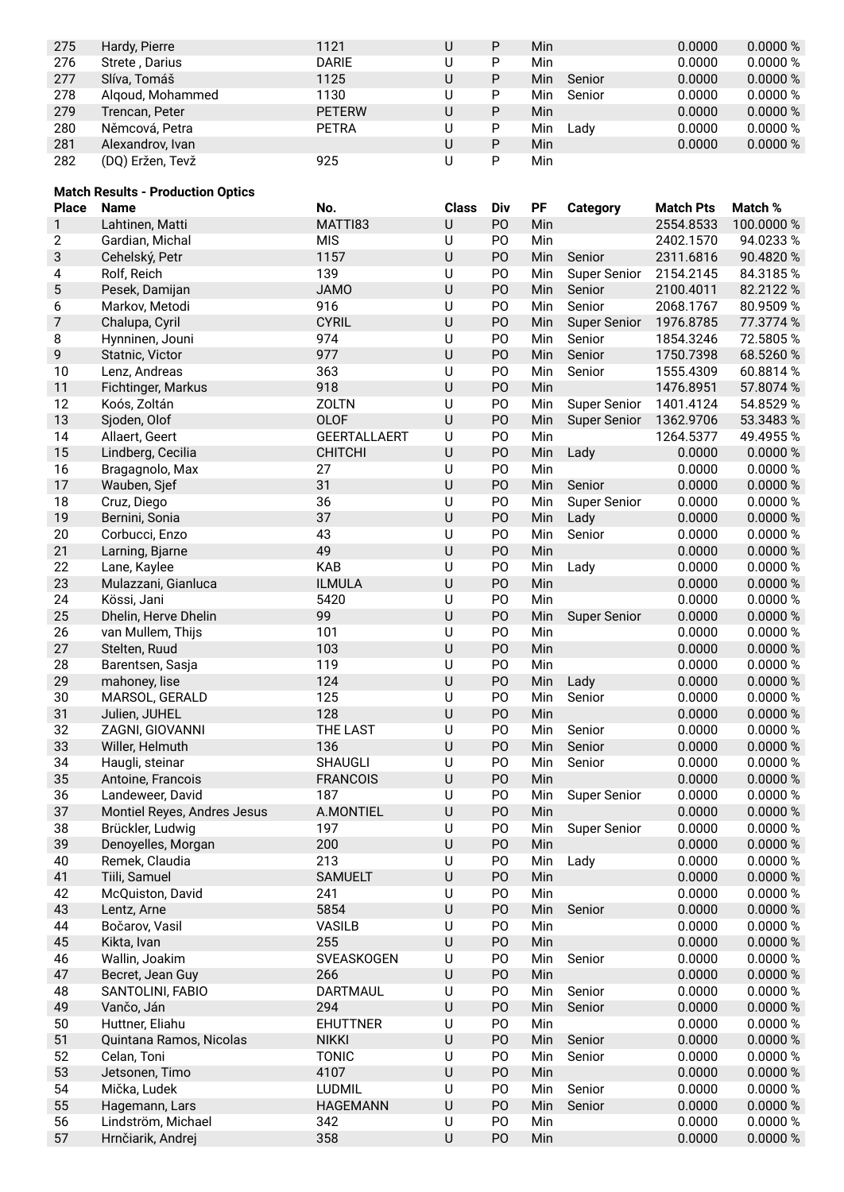| 275 | Hardy, Pierre    | 1121          | U | P | Min |        | 0.0000 | 0.0000 % |
|-----|------------------|---------------|---|---|-----|--------|--------|----------|
| 276 | Strete, Darius   | <b>DARIE</b>  | U | D | Min |        | 0.0000 | 0.0000 % |
| 277 | Slíva, Tomáš     | 1125          | U | P | Min | Senior | 0.0000 | 0.0000 % |
| 278 | Algoud, Mohammed | 1130          | U | P | Min | Senior | 0.0000 | 0.0000 % |
| 279 | Trencan, Peter   | <b>PETERW</b> | U | P | Min |        | 0.0000 | 0.0000 % |
| 280 | Němcová, Petra   | <b>PETRA</b>  | U | P | Min | Ladv   | 0.0000 | 0.0000 % |
| 281 | Alexandrov, Ivan |               | U | P | Min |        | 0.0000 | 0.0000 % |
| 282 | (DQ) Eržen, Tevž | 925           | U | D | Min |        |        |          |

## **Match Results - Production Optics**

| <b>Place</b>   | <b>Name</b>                        | No.                 | <b>Class</b> | Div            | PF         | <b>Category</b>     | <b>Match Pts</b> | Match %              |
|----------------|------------------------------------|---------------------|--------------|----------------|------------|---------------------|------------------|----------------------|
| $\mathbf{1}$   | Lahtinen, Matti                    | MATTI83             | $\sf U$      | PO             | Min        |                     | 2554.8533        | 100.0000 %           |
| $\mathbf{2}$   | Gardian, Michal                    | <b>MIS</b>          | U            | P <sub>O</sub> | Min        |                     | 2402.1570        | 94.0233%             |
| 3              | Cehelský, Petr                     | 1157                | $\sf U$      | PO             | Min        | Senior              | 2311.6816        | 90.4820 %            |
| 4              | Rolf, Reich                        | 139                 | U            | P <sub>O</sub> | Min        | <b>Super Senior</b> | 2154.2145        | 84.3185%             |
| 5              | Pesek, Damijan                     | <b>JAMO</b>         | $\cup$       | P <sub>O</sub> | Min        | Senior              | 2100.4011        | 82.2122 %            |
| 6              | Markov, Metodi                     | 916                 | $\cup$       | PO             | Min        | Senior              | 2068.1767        | 80.9509 %            |
| $\overline{7}$ | Chalupa, Cyril                     | <b>CYRIL</b>        | $\sf U$      | PO             | Min        | <b>Super Senior</b> | 1976.8785        | 77.3774 %            |
| 8              | Hynninen, Jouni                    | 974                 | U            | PO             | Min        | Senior              | 1854.3246        | 72.5805%             |
| 9              | Statnic, Victor                    | 977                 | $\sf U$      | PO             | Min        | Senior              | 1750.7398        | 68.5260 %            |
| 10             | Lenz, Andreas                      | 363                 | U            | PO             | Min        | Senior              | 1555.4309        | 60.8814 %            |
| 11             | Fichtinger, Markus                 | 918                 | $\cup$       | PO             | Min        |                     | 1476.8951        | 57.8074 %            |
| 12             | Koós, Zoltán                       | <b>ZOLTN</b>        | $\cup$       | PO             | Min        | <b>Super Senior</b> | 1401.4124        | 54.8529 %            |
| 13             | Sjoden, Olof                       | <b>OLOF</b>         | $\sf U$      | PO             | Min        | <b>Super Senior</b> | 1362.9706        | 53.3483 %            |
| 14             | Allaert, Geert                     | <b>GEERTALLAERT</b> | U            | PO             | Min        |                     | 1264.5377        | 49.4955%             |
| 15             | Lindberg, Cecilia                  | <b>CHITCHI</b>      | $\sf U$      | PO             | Min        | Lady                | 0.0000           | 0.0000 %             |
| 16             | Bragagnolo, Max                    | 27                  | U            | PO             | Min        |                     | 0.0000           | 0.0000 %             |
| 17             | Wauben, Sjef                       | 31                  | U            | P <sub>O</sub> | Min        | Senior              | 0.0000           | 0.0000 %             |
| 18             | Cruz, Diego                        | 36                  | U            | PO             | Min        | <b>Super Senior</b> | 0.0000           | 0.0000 %             |
| 19             | Bernini, Sonia                     | 37                  | $\cup$       | PO             | Min        | Lady                | 0.0000           | 0.0000 %             |
| 20             | Corbucci, Enzo                     | 43                  | U            | P <sub>O</sub> | Min        | Senior              | 0.0000           | 0.0000 %             |
| 21             | Larning, Bjarne                    | 49                  | $\cup$       | PO             | Min        |                     | 0.0000           | 0.0000 %             |
| 22             | Lane, Kaylee                       | <b>KAB</b>          | U            | PO             | Min        | Lady                | 0.0000           | 0.0000 %             |
| 23             | Mulazzani, Gianluca                | <b>ILMULA</b>       | $\cup$       | P <sub>O</sub> | Min        |                     | 0.0000           | 0.0000%              |
| 24             | Kössi, Jani                        | 5420                | U            | PO             | Min        |                     | 0.0000           | 0.0000 %             |
| 25             | Dhelin, Herve Dhelin               | 99                  | $\sf U$      | PO             | Min        | <b>Super Senior</b> | 0.0000           | 0.0000 %             |
| 26             | van Mullem, Thijs                  | 101                 | $\cup$       | P <sub>O</sub> | Min        |                     | 0.0000           | 0.0000 %             |
| 27             | Stelten, Ruud                      | 103                 | $\sf U$      | PO             | Min        |                     | 0.0000           | 0.0000 %             |
| 28             | Barentsen, Sasja                   | 119                 | $\cup$       | PO             | Min        |                     | 0.0000           | 0.0000 %             |
| 29             | mahoney, lise                      | 124                 | $\cup$       | P <sub>O</sub> | Min        | Lady                | 0.0000           | 0.0000 %             |
| 30             | MARSOL, GERALD                     | 125<br>128          | U<br>$\cup$  | PO<br>PO       | Min<br>Min | Senior              | 0.0000           | 0.0000 %             |
| 31<br>32       | Julien, JUHEL                      | <b>THE LAST</b>     | $\cup$       | PO             | Min        |                     | 0.0000<br>0.0000 | 0.0000 %<br>0.0000 % |
| 33             | ZAGNI, GIOVANNI                    | 136                 | $\sf U$      | PO             |            | Senior              | 0.0000           | 0.0000 %             |
| 34             | Willer, Helmuth<br>Haugli, steinar | <b>SHAUGLI</b>      | U            | PO             | Min<br>Min | Senior<br>Senior    | 0.0000           | 0.0000%              |
| 35             | Antoine, Francois                  | <b>FRANCOIS</b>     | $\sf U$      | PO             | Min        |                     | 0.0000           | 0.0000 %             |
| 36             | Landeweer, David                   | 187                 | U            | P <sub>O</sub> | Min        | <b>Super Senior</b> | 0.0000           | 0.0000 %             |
| 37             | Montiel Reyes, Andres Jesus        | A.MONTIEL           | $\sf U$      | PO             | Min        |                     | 0.0000           | 0.0000 %             |
| 38             | Brückler, Ludwig                   | 197                 | U            | P <sub>O</sub> | Min        | <b>Super Senior</b> | 0.0000           | 0.0000 %             |
| 39             | Denoyelles, Morgan                 | 200                 | $\sf U$      | PO             | Min        |                     | 0.0000           | 0.0000 %             |
| 40             | Remek, Claudia                     | 213                 | U            | PO             | Min        | Lady                | 0.0000           | 0.0000 %             |
| 41             | Tiili, Samuel                      | <b>SAMUELT</b>      | $\sf U$      | PO             | Min        |                     | 0.0000           | 0.0000 %             |
| 42             | McQuiston, David                   | 241                 | U            | PO             | Min        |                     | 0.0000           | 0.0000 %             |
| 43             | Lentz, Arne                        | 5854                | $\cup$       | PO             | Min        | Senior              | 0.0000           | 0.0000 %             |
| 44             | Bočarov, Vasil                     | <b>VASILB</b>       | U            | PO             | Min        |                     | 0.0000           | 0.0000 %             |
| 45             | Kikta, Ivan                        | 255                 | $\sf U$      | PO             | Min        |                     | 0.0000           | 0.0000 %             |
| 46             | Wallin, Joakim                     | SVEASKOGEN          | U            | PO             | Min        | Senior              | 0.0000           | 0.0000 %             |
| 47             | Becret, Jean Guy                   | 266                 | $\sf U$      | PO             | Min        |                     | 0.0000           | 0.0000 %             |
| 48             | SANTOLINI, FABIO                   | <b>DARTMAUL</b>     | U            | PO             | Min        | Senior              | 0.0000           | 0.0000 %             |
| 49             | Vančo, Ján                         | 294                 | $\sf U$      | PO             | Min        | Senior              | 0.0000           | 0.0000 %             |
| 50             | Huttner, Eliahu                    | <b>EHUTTNER</b>     | U            | PO             | Min        |                     | 0.0000           | 0.0000 %             |
| 51             | Quintana Ramos, Nicolas            | <b>NIKKI</b>        | $\sf U$      | PO             | Min        | Senior              | 0.0000           | 0.0000 %             |
| 52             | Celan, Toni                        | <b>TONIC</b>        | $\sf U$      | PO             | Min        | Senior              | 0.0000           | 0.0000 %             |
| 53             | Jetsonen, Timo                     | 4107                | $\sf U$      | PO             | Min        |                     | 0.0000           | 0.0000 %             |
| 54             | Mička, Ludek                       | <b>LUDMIL</b>       | U            | PO             | Min        | Senior              | 0.0000           | 0.0000 %             |
| 55             | Hagemann, Lars                     | <b>HAGEMANN</b>     | $\sf U$      | PO             | Min        | Senior              | 0.0000           | 0.0000 %             |
| 56             | Lindström, Michael                 | 342                 | U            | PO             | Min        |                     | 0.0000           | 0.0000 %             |
| 57             | Hrnčiarik, Andrej                  | 358                 | $\sf U$      | PO             | Min        |                     | 0.0000           | 0.0000 %             |
|                |                                    |                     |              |                |            |                     |                  |                      |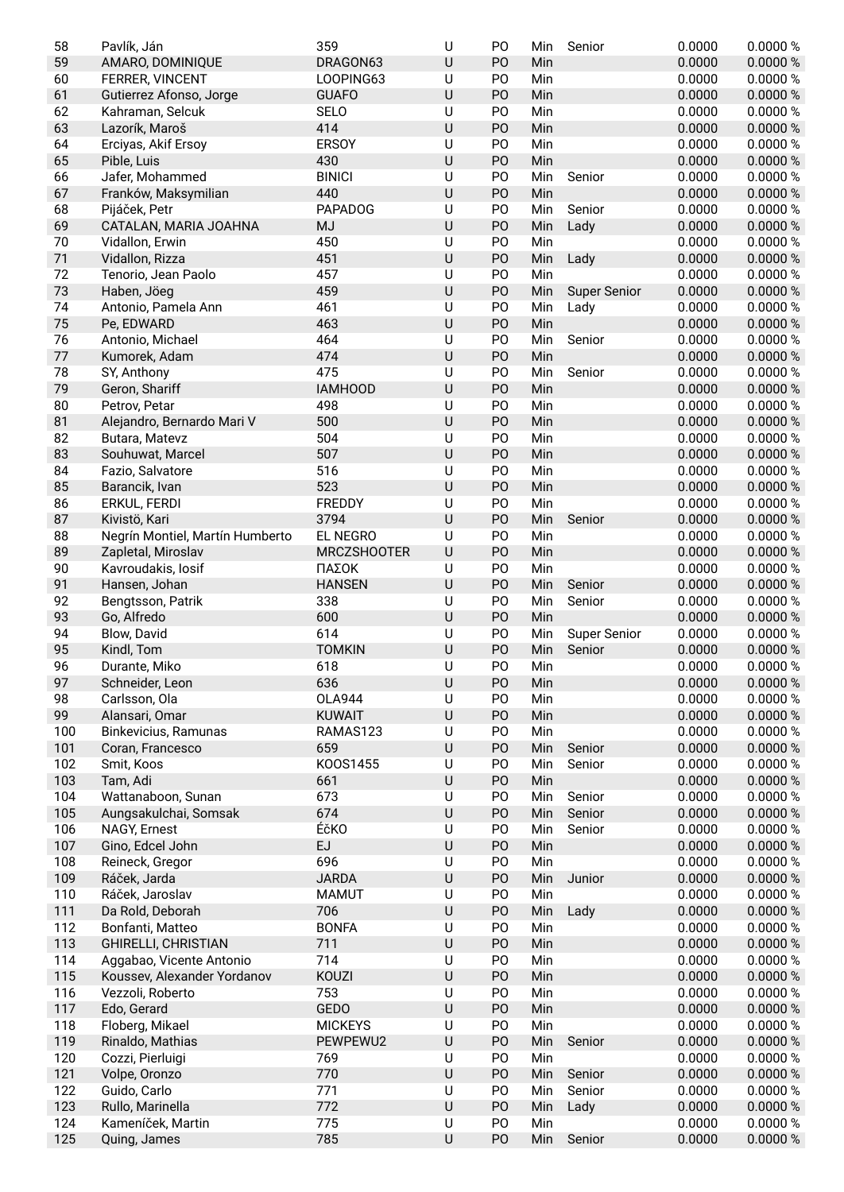| 58  | Pavlík, Ján                     | 359                | U            | P <sub>O</sub> | Min | Senior              | 0.0000 | 0.0000 % |
|-----|---------------------------------|--------------------|--------------|----------------|-----|---------------------|--------|----------|
| 59  | AMARO, DOMINIQUE                | DRAGON63           | U            | PO             | Min |                     | 0.0000 | 0.0000 % |
| 60  | FERRER, VINCENT                 | LOOPING63          | U            | P <sub>O</sub> | Min |                     | 0.0000 | 0.0000%  |
| 61  | Gutierrez Afonso, Jorge         | <b>GUAFO</b>       | U            | PO             | Min |                     | 0.0000 | 0.0000 % |
| 62  | Kahraman, Selcuk                | <b>SELO</b>        | U            | PO             | Min |                     | 0.0000 | 0.0000 % |
| 63  | Lazorík, Maroš                  | 414                | U            | PO             | Min |                     | 0.0000 | 0.0000 % |
| 64  | Erciyas, Akif Ersoy             | <b>ERSOY</b>       | U            | PO             | Min |                     | 0.0000 | 0.0000 % |
| 65  | Pible, Luis                     | 430                | U            | PO             | Min |                     | 0.0000 | 0.0000 % |
| 66  | Jafer, Mohammed                 | <b>BINICI</b>      | U            | PO             | Min | Senior              | 0.0000 | 0.0000 % |
| 67  | Franków, Maksymilian            | 440                | U            | PO             | Min |                     | 0.0000 | 0.0000 % |
| 68  | Pijáček, Petr                   | <b>PAPADOG</b>     | U            | PO             | Min | Senior              | 0.0000 | 0.0000 % |
| 69  | CATALAN, MARIA JOAHNA           | <b>MJ</b>          | U            | PO             | Min | Lady                | 0.0000 | 0.0000 % |
| 70  | Vidallon, Erwin                 | 450                | U            | PO             | Min |                     | 0.0000 | 0.0000 % |
| 71  | Vidallon, Rizza                 | 451                | U            | PO             | Min | Lady                | 0.0000 | 0.0000 % |
| 72  | Tenorio, Jean Paolo             | 457                | U            | P <sub>O</sub> | Min |                     | 0.0000 | 0.0000 % |
| 73  | Haben, Jöeg                     | 459                | U            | P <sub>O</sub> | Min | <b>Super Senior</b> | 0.0000 | 0.0000 % |
| 74  | Antonio, Pamela Ann             | 461                | U            | PO             | Min | Lady                | 0.0000 | 0.0000 % |
| 75  | Pe, EDWARD                      | 463                | U            | PO             | Min |                     | 0.0000 | 0.0000 % |
| 76  | Antonio, Michael                | 464                | U            | PO             | Min | Senior              | 0.0000 | 0.0000%  |
| 77  | Kumorek, Adam                   | 474                | U            | PO             | Min |                     | 0.0000 | 0.0000 % |
| 78  | SY, Anthony                     | 475                | U            | PO             | Min | Senior              | 0.0000 | 0.0000%  |
| 79  | Geron, Shariff                  | <b>IAMHOOD</b>     | U            | P <sub>O</sub> | Min |                     | 0.0000 | 0.0000 % |
| 80  | Petrov, Petar                   | 498                | U            | P <sub>O</sub> | Min |                     | 0.0000 | 0.0000 % |
| 81  | Alejandro, Bernardo Mari V      | 500                | U            | P <sub>O</sub> | Min |                     | 0.0000 | 0.0000 % |
| 82  | Butara, Matevz                  | 504                | U            | PO             | Min |                     | 0.0000 | 0.0000 % |
| 83  | Souhuwat, Marcel                | 507                | U            | PO             | Min |                     | 0.0000 | 0.0000 % |
| 84  | Fazio, Salvatore                | 516                | U            | PO             | Min |                     | 0.0000 | 0.0000 % |
| 85  | Barancik, Ivan                  | 523                | U            | P <sub>O</sub> | Min |                     | 0.0000 | 0.0000 % |
| 86  | ERKUL, FERDI                    | <b>FREDDY</b>      | U            | PO             | Min |                     | 0.0000 | 0.0000 % |
| 87  | Kivistö, Kari                   | 3794               | U            | PO             | Min | Senior              | 0.0000 | 0.0000 % |
| 88  | Negrín Montiel, Martín Humberto | EL NEGRO           | U            | PO             | Min |                     | 0.0000 | 0.0000 % |
| 89  | Zapletal, Miroslav              | <b>MRCZSHOOTER</b> | U            | PO             | Min |                     | 0.0000 | 0.0000 % |
| 90  | Kavroudakis, losif              | ΠΑΣΟΚ              | U            | PO             | Min |                     | 0.0000 | 0.0000 % |
| 91  | Hansen, Johan                   | <b>HANSEN</b>      | U            | PO             | Min | Senior              | 0.0000 | 0.0000 % |
|     |                                 |                    |              |                |     |                     |        |          |
| 92  | Bengtsson, Patrik               | 338                | U            | P <sub>O</sub> | Min | Senior              | 0.0000 | 0.0000 % |
| 93  | Go, Alfredo                     | 600                | U            | PO             | Min |                     | 0.0000 | 0.0000 % |
| 94  | Blow, David                     | 614                | U            | PO             | Min | <b>Super Senior</b> | 0.0000 | 0.0000 % |
| 95  | Kindl, Tom                      | <b>TOMKIN</b>      | U            | PO             | Min | Senior              | 0.0000 | 0.0000 % |
| 96  | Durante, Miko                   | 618                | U            | PO             | Min |                     | 0.0000 | 0.0000 % |
| 97  | Schneider, Leon                 | 636                | U            | PO             | Min |                     | 0.0000 | 0.0000 % |
| 98  | Carlsson, Ola                   | <b>OLA944</b>      | U            | PO             | Min |                     | 0.0000 | 0.0000 % |
| 99  | Alansari, Omar                  | <b>KUWAIT</b>      | U            | PO             | Min |                     | 0.0000 | 0.0000 % |
| 100 | Binkevicius, Ramunas            | RAMAS123           | U            | PO             | Min |                     | 0.0000 | 0.0000 % |
| 101 | Coran, Francesco                | 659                | U            | PO             | Min | Senior              | 0.0000 | 0.0000 % |
| 102 | Smit, Koos                      | K00S1455           | U            | PO             | Min | Senior              | 0.0000 | 0.0000 % |
| 103 | Tam, Adi                        | 661                | U            | PO             | Min |                     | 0.0000 | 0.0000 % |
| 104 | Wattanaboon, Sunan              | 673                | U            | P <sub>O</sub> | Min | Senior              | 0.0000 | 0.0000 % |
| 105 | Aungsakulchai, Somsak           | 674                | U            | PO             | Min | Senior              | 0.0000 | 0.0000 % |
| 106 | NAGY, Ernest                    | ÉčKO               | U            | P <sub>O</sub> | Min | Senior              | 0.0000 | 0.0000 % |
| 107 | Gino, Edcel John                | EJ                 | U            | PO             | Min |                     | 0.0000 | 0.0000 % |
| 108 | Reineck, Gregor                 | 696                | U            | P <sub>O</sub> | Min |                     | 0.0000 | 0.0000 % |
| 109 | Ráček, Jarda                    | <b>JARDA</b>       | U            | PO             | Min | Junior              | 0.0000 | 0.0000 % |
| 110 | Ráček, Jaroslav                 | <b>MAMUT</b>       | U            | PO             | Min |                     | 0.0000 | 0.0000 % |
| 111 | Da Rold, Deborah                | 706                | U            | PO             | Min | Lady                | 0.0000 | 0.0000 % |
| 112 | Bonfanti, Matteo                | <b>BONFA</b>       | U            | PO             | Min |                     | 0.0000 | 0.0000 % |
| 113 | <b>GHIRELLI, CHRISTIAN</b>      | 711                | U            | PO             | Min |                     | 0.0000 | 0.0000 % |
| 114 | Aggabao, Vicente Antonio        | 714                | U            | PO             | Min |                     | 0.0000 | 0.0000 % |
| 115 | Koussev, Alexander Yordanov     | KOUZI              | U            | PO             | Min |                     | 0.0000 | 0.0000 % |
| 116 | Vezzoli, Roberto                | 753                | U            | P <sub>O</sub> | Min |                     | 0.0000 | 0.0000 % |
| 117 | Edo, Gerard                     | GEDO               | U            | PO             | Min |                     | 0.0000 | 0.0000 % |
| 118 | Floberg, Mikael                 | <b>MICKEYS</b>     | U            | P <sub>O</sub> | Min |                     | 0.0000 | 0.0000 % |
| 119 | Rinaldo, Mathias                | PEWPEWU2           | U            | PO             | Min | Senior              | 0.0000 | 0.0000 % |
| 120 | Cozzi, Pierluigi                | 769                | U            | P <sub>O</sub> | Min |                     | 0.0000 | 0.0000 % |
| 121 | Volpe, Oronzo                   | 770                | U            | PO             | Min | Senior              | 0.0000 | 0.0000 % |
| 122 | Guido, Carlo                    | 771                | U            | P <sub>O</sub> | Min | Senior              | 0.0000 | 0.0000 % |
| 123 | Rullo, Marinella                | 772                | U            | P <sub>O</sub> | Min | Lady                | 0.0000 | 0.0000 % |
| 124 | Kameníček, Martin               | 775<br>785         | U<br>$\sf U$ | PO             | Min |                     | 0.0000 | 0.0000 % |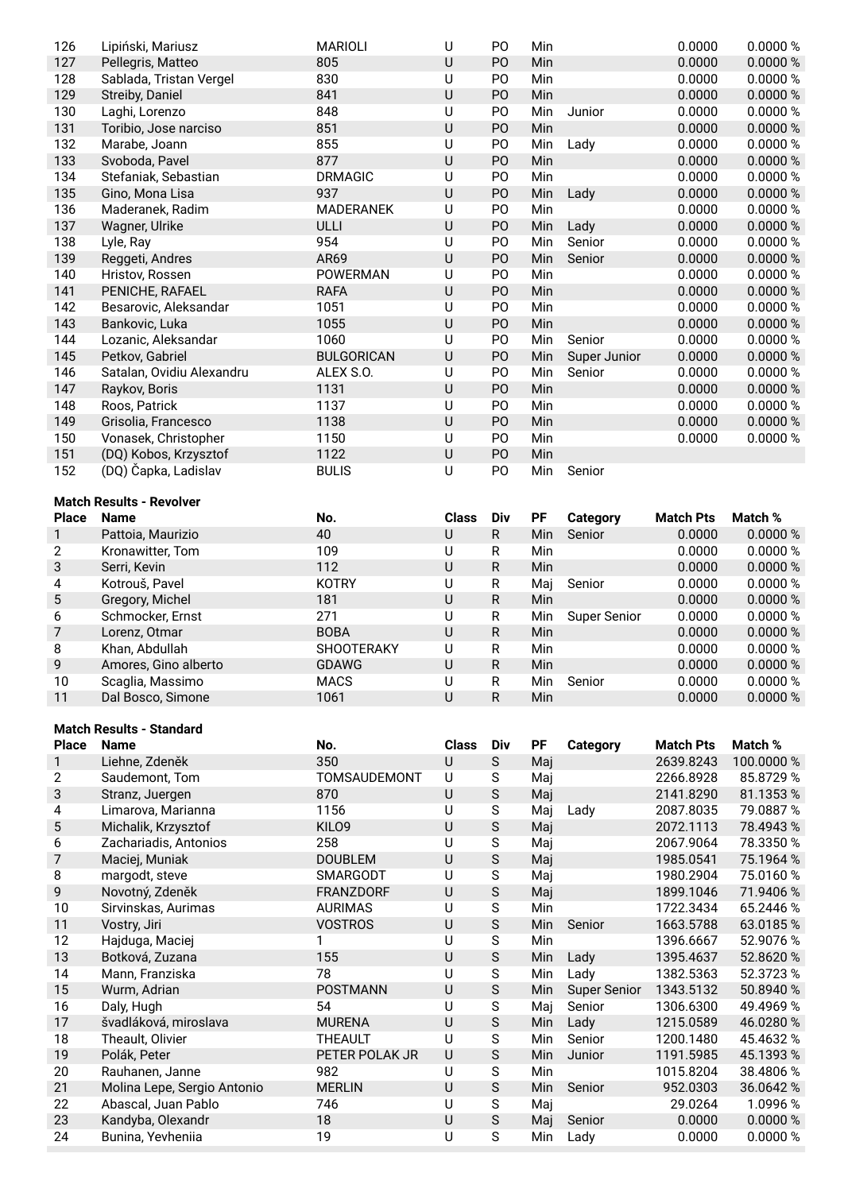| 126                     | Lipiński, Mariusz                      | <b>MARIOLI</b>      | U                 | PO               | Min        |                     | 0.0000           | 0.0000 %             |
|-------------------------|----------------------------------------|---------------------|-------------------|------------------|------------|---------------------|------------------|----------------------|
| 127                     | Pellegris, Matteo                      | 805                 | $\sf U$           | PO               | Min        |                     | 0.0000           | 0.0000 %             |
| 128                     | Sablada, Tristan Vergel                | 830                 | U                 | P <sub>O</sub>   | Min        |                     | 0.0000           | 0.0000 %             |
| 129                     | Streiby, Daniel                        | 841                 | U                 | PO               | Min        |                     | 0.0000           | 0.0000 %             |
| 130                     | Laghi, Lorenzo                         | 848                 | U                 | PO               | Min        | Junior              | 0.0000           | 0.0000 %             |
| 131                     | Toribio, Jose narciso                  | 851                 | $\sf U$           | PO               | Min        |                     | 0.0000           | 0.0000 %             |
| 132                     | Marabe, Joann                          | 855                 | U                 | PO               | Min        | Lady                | 0.0000           | 0.0000 %             |
| 133                     | Svoboda, Pavel                         | 877                 | $\sf U$           | PO               | Min        |                     | 0.0000           | 0.0000 %             |
| 134                     | Stefaniak, Sebastian                   | <b>DRMAGIC</b>      | U                 | P <sub>O</sub>   | Min        |                     | 0.0000           | 0.0000 %             |
| 135                     | Gino, Mona Lisa                        | 937                 | $\cup$            | P <sub>O</sub>   | Min        | Lady                | 0.0000           | 0.0000 %             |
| 136                     | Maderanek, Radim                       | MADERANEK           | $\cup$            | PO               | Min        |                     | 0.0000           | 0.0000 %             |
| 137                     | Wagner, Ulrike                         | ULLI                | $\sf U$           | PO               | Min        | Lady                | 0.0000           | 0.0000 %             |
| 138                     | Lyle, Ray                              | 954                 | U                 | P <sub>O</sub>   | Min        | Senior              | 0.0000           | 0.0000 %             |
| 139                     | Reggeti, Andres                        | AR69                | U                 | PO               | Min        | Senior              | 0.0000           | 0.0000 %             |
| 140                     | Hristov, Rossen                        | POWERMAN            | U                 | P <sub>O</sub>   | Min        |                     | 0.0000           | 0.0000 %             |
| 141                     | PENICHE, RAFAEL                        | <b>RAFA</b>         | $\cup$            | P <sub>O</sub>   | Min        |                     | 0.0000           | 0.0000 %             |
| 142                     | Besarovic, Aleksandar                  | 1051                | U                 | PO               | Min        |                     | 0.0000           | 0.0000 %             |
| 143                     | Bankovic, Luka                         | 1055                | $\cup$            | PO               | Min        |                     | 0.0000           | 0.0000 %             |
|                         |                                        | 1060                |                   |                  |            | Senior              |                  |                      |
| 144                     | Lozanic, Aleksandar                    |                     | U                 | P <sub>O</sub>   | Min        |                     | 0.0000           | 0.0000 %             |
| 145                     | Petkov, Gabriel                        | <b>BULGORICAN</b>   | U                 | PO               | Min        | Super Junior        | 0.0000           | 0.0000 %             |
| 146                     | Satalan, Ovidiu Alexandru              | ALEX S.O.           | U                 | P <sub>O</sub>   | Min        | Senior              | 0.0000           | 0.0000%              |
| 147                     | Raykov, Boris                          | 1131                | U                 | P <sub>O</sub>   | Min        |                     | 0.0000           | 0.0000 %             |
| 148                     | Roos, Patrick                          | 1137                | $\cup$            | PO               | Min        |                     | 0.0000           | 0.0000 %             |
| 149                     | Grisolia, Francesco                    | 1138                | $\sf U$           | PO               | Min        |                     | 0.0000           | 0.0000 %             |
| 150                     | Vonasek, Christopher                   | 1150                | U                 | P <sub>O</sub>   | Min        |                     | 0.0000           | 0.0000 %             |
| 151                     | (DQ) Kobos, Krzysztof                  | 1122                | $\sf U$           | PO               | Min        |                     |                  |                      |
| 152                     | (DQ) Čapka, Ladislav                   | <b>BULIS</b>        | U                 | P <sub>O</sub>   | Min        | Senior              |                  |                      |
|                         |                                        |                     |                   |                  |            |                     |                  |                      |
|                         | <b>Match Results - Revolver</b>        |                     |                   |                  |            |                     |                  |                      |
| <b>Place</b>            | <b>Name</b>                            | No.                 | <b>Class</b>      | <b>Div</b>       | PF         | <b>Category</b>     | <b>Match Pts</b> | Match %              |
| 1                       | Pattoia, Maurizio                      | 40                  | U                 | R                | Min        | Senior              | 0.0000           | 0.0000 %             |
| $\overline{c}$          | Kronawitter, Tom                       | 109                 | U                 | R                | Min        |                     | 0.0000           | 0.0000 %             |
| 3                       | Serri, Kevin                           | 112                 | $\sf U$           | R                | Min        |                     | 0.0000           | 0.0000 %             |
|                         | Kotrouš, Pavel                         | <b>KOTRY</b>        | $\cup$            | ${\sf R}$        | Maj        | Senior              | 0.0000           | 0.0000 %             |
| $\overline{\mathbf{4}}$ |                                        |                     |                   |                  |            |                     |                  |                      |
| 5                       | Gregory, Michel                        | 181                 | $\sf U$           | ${\sf R}$        | Min        |                     | 0.0000           | 0.0000 %             |
| 6                       | Schmocker, Ernst                       | 271                 | U                 | R                | Min        | <b>Super Senior</b> | 0.0000           | 0.0000 %             |
| 7                       | Lorenz, Otmar                          | <b>BOBA</b>         | $\sf U$           | R                | Min        |                     | 0.0000           | 0.0000 %             |
| 8                       | Khan, Abdullah                         | <b>SHOOTERAKY</b>   | U                 | R                | Min        |                     | 0.0000           | 0.0000 %             |
| 9                       | Amores, Gino alberto                   | <b>GDAWG</b>        | $\cup$            | R                | Min        |                     | 0.0000           | 0.0000 %             |
|                         |                                        |                     | U                 |                  |            |                     |                  |                      |
| 10<br>11                | Scaglia, Massimo<br>Dal Bosco, Simone  | <b>MACS</b><br>1061 | $\cup$            | R<br>$\mathsf R$ | Min<br>Min | Senior              | 0.0000<br>0.0000 | 0.0000 %<br>0.0000 % |
|                         |                                        |                     |                   |                  |            |                     |                  |                      |
|                         | <b>Match Results - Standard</b>        |                     |                   |                  |            |                     |                  |                      |
| <b>Place</b>            | <b>Name</b>                            | No.                 | <b>Class</b>      | Div              | PF         | <b>Category</b>     | <b>Match Pts</b> | Match %              |
| $\mathbf{1}$            | Liehne, Zdeněk                         | 350                 | $\sf U$           | $\mathsf S$      | Maj        |                     | 2639.8243        | 100.0000 %           |
| $\mathbf{2}$            | Saudemont, Tom                         | TOMSAUDEMONT        | U                 | S                | Maj        |                     | 2266.8928        | 85.8729 %            |
| 3                       | Stranz, Juergen                        | 870                 | $\cup$            | $\mathsf S$      | Maj        |                     | 2141.8290        | 81.1353 %            |
| 4                       | Limarova, Marianna                     | 1156                | U                 | S                |            | Lady                | 2087.8035        | 79.0887 %            |
| 5                       |                                        | KILO9               | U                 | $\mathsf S$      | Maj        |                     | 2072.1113        | 78.4943 %            |
|                         | Michalik, Krzysztof                    |                     | U                 |                  | Maj        |                     |                  |                      |
| 6                       | Zachariadis, Antonios                  | 258                 |                   | S                | Maj        |                     | 2067.9064        | 78.3350 %            |
| $\overline{7}$          | Maciej, Muniak                         | <b>DOUBLEM</b>      | $\cup$            | $\mathsf S$      | Maj        |                     | 1985.0541        | 75.1964 %            |
| 8                       | margodt, steve                         | SMARGODT            | U                 | S                | Maj        |                     | 1980.2904        | 75.0160 %            |
| 9                       | Novotný, Zdeněk                        | FRANZDORF           | $\sf U$           | $\mathsf S$      | Maj        |                     | 1899.1046        | 71.9406 %            |
| 10                      | Sirvinskas, Aurimas                    | <b>AURIMAS</b>      | U                 | S                | Min        |                     | 1722.3434        | 65.2446 %            |
| 11                      | Vostry, Jiri                           | <b>VOSTROS</b>      | U                 | S                | Min        | Senior              | 1663.5788        | 63.0185%             |
| 12                      | Hajduga, Maciej                        | 1                   | $\overline{U}$    | $\mathsf S$      | Min        |                     | 1396.6667        | 52.9076 %            |
| 13                      | Botková, Zuzana                        | 155                 | $\sf U$           | $\mathsf S$      | Min        | Lady                | 1395.4637        | 52.8620 %            |
| 14                      | Mann, Franziska                        | 78                  | $\sf U$           | S                | Min        | Lady                | 1382.5363        | 52.3723 %            |
| 15                      | Wurm, Adrian                           | <b>POSTMANN</b>     | U                 | $\mathsf S$      | Min        | <b>Super Senior</b> | 1343.5132        | 50.8940 %            |
| 16                      | Daly, Hugh                             | 54                  | U                 | S                | Maj        | Senior              | 1306.6300        | 49.4969 %            |
| 17                      | švadláková, miroslava                  | <b>MURENA</b>       | $\cup$            | $\mathsf S$      | Min        | Lady                | 1215.0589        | 46.0280 %            |
| 18                      | Theault, Olivier                       | THEAULT             | U                 | S                | Min        | Senior              | 1200.1480        | 45.4632 %            |
| 19                      | Polák, Peter                           | PETER POLAK JR      | $\sf U$           | $\mathsf S$      | Min        | Junior              | 1191.5985        | 45.1393 %            |
| 20                      | Rauhanen, Janne                        | 982                 | U                 | S                | Min        |                     | 1015.8204        | 38.4806 %            |
| 21                      | Molina Lepe, Sergio Antonio            | <b>MERLIN</b>       | $\sf U$           | $\mathsf S$      | Min        | Senior              | 952.0303         | 36.0642 %            |
| 22                      | Abascal, Juan Pablo                    | 746                 | U                 | S                | Maj        |                     | 29.0264          | 1.0996 %             |
| 23<br>24                | Kandyba, Olexandr<br>Bunina, Yevheniia | 18<br>19            | $\sf U$<br>$\cup$ | $\mathsf S$<br>S | Maj<br>Min | Senior<br>Lady      | 0.0000<br>0.0000 | 0.0000 %<br>0.0000 % |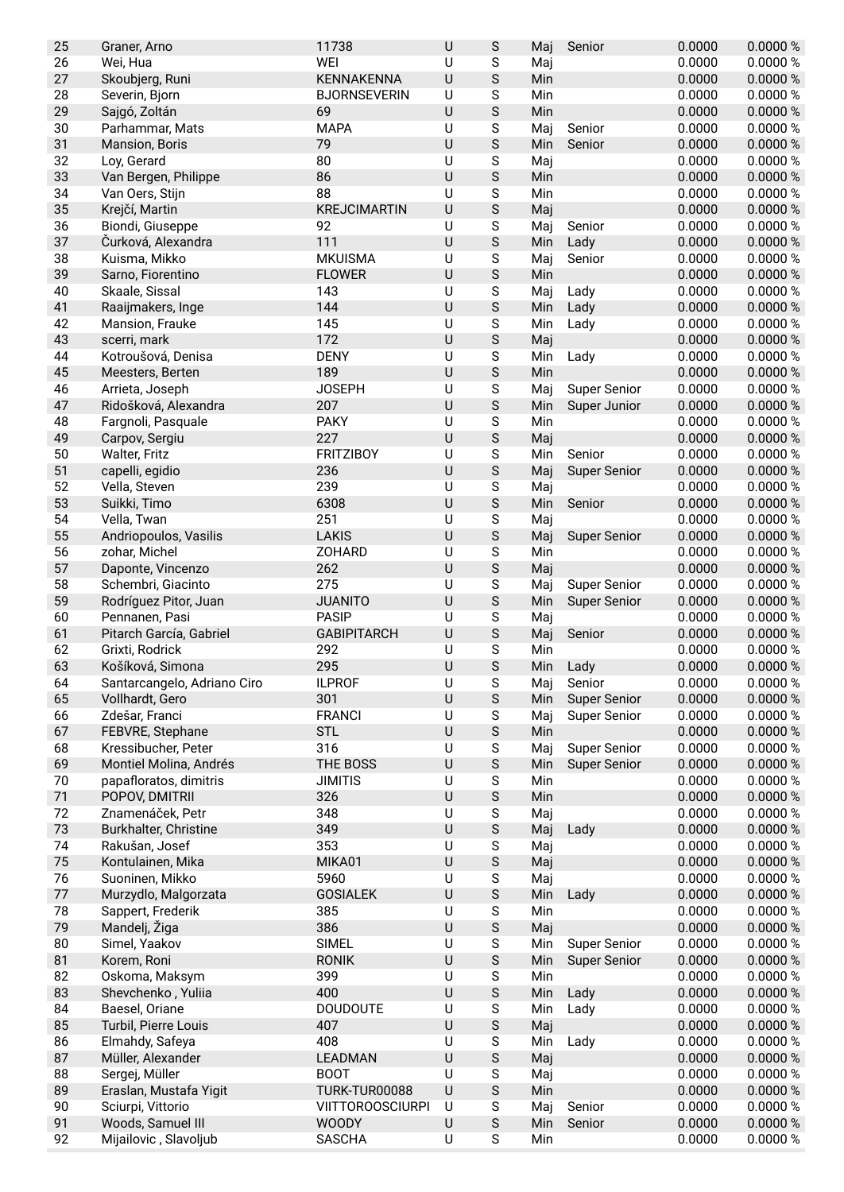| WEI<br>S<br>0.0000<br>0.0000 %<br>26<br>Wei, Hua<br>U<br>Maj<br>$\mathsf S$<br>27<br>$\cup$<br>0.0000<br>0.0000 %<br><b>KENNAKENNA</b><br>Skoubjerg, Runi<br>Min<br>0.0000 %<br>28<br><b>BJORNSEVERIN</b><br>U<br>S<br>0.0000<br>Severin, Bjorn<br>Min<br>$\mathsf S$<br>69<br>$\cup$<br>29<br>Min<br>0.0000<br>0.0000 %<br>Sajgó, Zoltán<br>0.0000<br>30<br><b>MAPA</b><br>U<br>S<br>0.0000%<br>Parhammar, Mats<br>Maj<br>Senior<br>$\sf U$<br>$\mathsf S$<br>31<br>79<br>0.0000<br>0.0000 %<br>Min<br>Senior<br>Mansion, Boris<br>32<br>80<br>U<br>S<br>0.0000<br>0.0000 %<br>Loy, Gerard<br>Maj<br>33<br>86<br>$\sf U$<br>S<br>Min<br>0.0000<br>0.0000 %<br>Van Bergen, Philippe<br>88<br>S<br>34<br>U<br>0.0000<br>0.0000 %<br>Van Oers, Stijn<br>Min<br>$\mathsf S$<br>35<br>$\sf U$<br>0.0000 %<br>Krejčí, Martin<br>0.0000<br><b>KREJCIMARTIN</b><br>Maj<br>$\cup$<br>S<br>36<br>Biondi, Giuseppe<br>92<br>0.0000<br>0.0000 %<br>Maj<br>Senior<br>$\mathsf S$<br>111<br>$\sf U$<br>37<br>0.0000<br>0.0000 %<br>Čurková, Alexandra<br>Min<br>Lady<br>38<br><b>MKUISMA</b><br>U<br>S<br>0.0000<br>0.0000 %<br>Kuisma, Mikko<br>Maj<br>Senior<br>39<br>$\cup$<br>$\mathsf S$<br><b>FLOWER</b><br>0.0000<br>0.0000 %<br>Sarno, Fiorentino<br>Min<br>S<br>0.0000<br>0.0000 %<br>40<br>143<br>U<br>Lady<br>Skaale, Sissal<br>Maj<br>144<br>U<br>S<br>41<br>0.0000<br>0.0000 %<br>Raaijmakers, Inge<br>Min<br>Lady<br>42<br>145<br>U<br>S<br>Min<br>0.0000<br>0.0000 %<br>Mansion, Frauke<br>Lady<br>172<br>$\sf U$<br>$\mathsf S$<br>43<br>0.0000<br>0.0000 %<br>scerri, mark<br>Maj<br>44<br><b>DENY</b><br>U<br>S<br>0.0000<br>0.0000 %<br>Kotroušová, Denisa<br>Min<br>Lady<br>189<br>S<br>45<br>U<br>0.0000<br>0.0000 %<br>Meesters, Berten<br>Min<br><b>JOSEPH</b><br>46<br>U<br>S<br>0.0000<br>0.0000 %<br>Arrieta, Joseph<br><b>Super Senior</b><br>Maj<br>$\mathsf S$<br>207<br>$\sf U$<br>0.0000<br>0.0000 %<br>47<br>Ridošková, Alexandra<br>Min<br>Super Junior<br><b>PAKY</b><br>$\cup$<br>S<br>0.0000<br>0.0000 %<br>48<br>Fargnoli, Pasquale<br>Min<br>227<br>$\sf U$<br>$\mathsf S$<br>49<br>Maj<br>0.0000<br>0.0000 %<br>Carpov, Sergiu<br>0.0000<br>50<br><b>FRITZIBOY</b><br>U<br>S<br>0.0000 %<br>Walter, Fritz<br>Min<br>Senior<br>236<br>U<br>$\mathsf S$<br>0.0000<br>51<br>0.0000 %<br>capelli, egidio<br><b>Super Senior</b><br>Maj<br>239<br>S<br>0.0000 %<br>52<br>U<br>0.0000<br>Vella, Steven<br>Maj<br>$\cup$<br>$\mathsf S$<br>53<br>6308<br>0.0000<br>0.0000 %<br>Suikki, Timo<br>Min<br>Senior<br>251<br>$\cup$<br>S<br>0.0000<br>54<br>Vella, Twan<br>0.0000 %<br>Maj<br>55<br>$\sf U$<br>$\mathsf S$<br><b>LAKIS</b><br>0.0000<br>0.0000 %<br>Andriopoulos, Vasilis<br>Maj<br><b>Super Senior</b><br>56<br><b>ZOHARD</b><br>U<br>S<br>0.0000<br>0.0000 %<br>zohar, Michel<br>Min<br>262<br>$\sf U$<br>$\mathsf S$<br>57<br>0.0000<br>0.0000 %<br>Daponte, Vincenzo<br>Maj<br>58<br>275<br>U<br>S<br><b>Super Senior</b><br>0.0000<br>0.0000 %<br>Schembri, Giacinto<br>Maj<br>$\mathsf S$<br>$\sf U$<br>0.0000 %<br>59<br><b>JUANITO</b><br>0.0000<br>Rodríguez Pitor, Juan<br>Min<br><b>Super Senior</b><br>$\cup$<br>S<br>60<br><b>PASIP</b><br>0.0000<br>0.0000 %<br>Pennanen, Pasi<br>Maj<br>$\sf U$<br>$\mathsf S$<br>61<br>0.0000<br>0.0000 %<br>Pitarch García, Gabriel<br><b>GABIPITARCH</b><br>Maj<br>Senior<br>62<br>292<br>U<br>S<br>0.0000<br>0.0000 %<br>Grixti, Rodrick<br>Min<br>63<br>295<br>$\cup$<br>S<br>Košíková, Simona<br>0.0000<br>0.0000%<br>Min<br>Lady<br>S<br>64<br>U<br>Senior<br>0.0000<br>0.0000 %<br>Santarcangelo, Adriano Ciro<br><b>ILPROF</b><br>Maj<br>$\mathsf S$<br>301<br>$\sf U$<br>0.0000<br>65<br>Vollhardt, Gero<br>0.0000 %<br>Min<br><b>Super Senior</b><br>S<br>66<br><b>FRANCI</b><br>U<br>Maj<br>0.0000<br>0.0000 %<br>Zdešar, Franci<br><b>Super Senior</b><br><b>STL</b><br>$\sf U$<br>$\mathsf S$<br>67<br>FEBVRE, Stephane<br>Min<br>0.0000<br>0.0000 %<br>Kressibucher, Peter<br>316<br>U<br>S<br><b>Super Senior</b><br>0.0000<br>0.0000 %<br>68<br>Maj<br>69<br>THE BOSS<br>U<br>S<br>0.0000<br>0.0000 %<br>Montiel Molina, Andrés<br>Min<br><b>Super Senior</b><br>U<br>S<br>0.0000<br>0.0000 %<br>70<br>papafloratos, dimitris<br><b>JIMITIS</b><br>Min<br>$\mathsf S$<br>$\sf U$<br>71<br>POPOV, DMITRII<br>326<br>Min<br>0.0000<br>0.0000 %<br>$\cup$<br>$\mathsf S$<br>72<br>Znamenáček, Petr<br>348<br>0.0000<br>0.0000 %<br>Maj<br>73<br>349<br>$\sf U$<br>$\mathsf S$<br>0.0000<br>Burkhalter, Christine<br>Lady<br>0.0000 %<br>Maj<br>353<br>0.0000 %<br>Rakušan, Josef<br>U<br>$\mathsf S$<br>0.0000<br>74<br>Maj<br>75<br>$\sf U$<br>$\mathsf S$<br>Kontulainen, Mika<br>MIKA01<br>0.0000<br>0.0000 %<br>Maj<br>76<br>Suoninen, Mikko<br>5960<br>U<br>S<br>0.0000<br>0.0000 %<br>Maj<br>$\sf U$<br>$\mathsf S$<br>0.0000<br>0.0000 %<br>77<br>Murzydlo, Malgorzata<br><b>GOSIALEK</b><br>Min<br>Lady<br>78<br>Sappert, Frederik<br>385<br>U<br>S<br>0.0000<br>0.0000 %<br>Min<br>386<br>$\sf U$<br>$\mathsf S$<br>79<br>Mandelj, Žiga<br>0.0000<br>0.0000 %<br>Maj<br>0.0000<br>80<br>Simel, Yaakov<br><b>SIMEL</b><br>U<br><b>Super Senior</b><br>0.0000 %<br>S<br>Min<br>81<br>U<br>S<br>0.0000<br>Korem, Roni<br><b>RONIK</b><br>Min<br><b>Super Senior</b><br>0.0000 %<br>82<br>399<br>U<br>S<br>0.0000<br>0.0000 %<br>Oskoma, Maksym<br>Min<br>83<br>400<br>$\cup$<br>$\mathsf S$<br>Shevchenko, Yuliia<br>Lady<br>0.0000<br>0.0000 %<br>Min<br>$\cup$<br>$\mathsf S$<br>84<br>Baesel, Oriane<br><b>DOUDOUTE</b><br>Lady<br>0.0000<br>0.0000 %<br>Min<br>$\sf U$<br>$\mathsf S$<br>85<br>Turbil, Pierre Louis<br>407<br>0.0000<br>0.0000 %<br>Maj<br>408<br>U<br>86<br>Elmahdy, Safeya<br>${\sf S}$<br>0.0000<br>0.0000 %<br>Min<br>Lady<br>$\sf U$<br>$\mathsf S$<br>0.0000<br>87<br>Müller, Alexander<br>LEADMAN<br>0.0000 %<br>Maj<br>Sergej, Müller<br><b>BOOT</b><br>U<br>S<br>0.0000<br>0.0000 %<br>88<br>Maj<br>$\cup$<br>$\mathsf S$<br>0.0000<br>89<br>Eraslan, Mustafa Yigit<br>TURK-TUR00088<br>0.0000 %<br>Min<br>S<br>Senior<br>90<br>Sciurpi, Vittorio<br>U<br>0.0000<br>0.0000 %<br><b>VIITTOROOSCIURPI</b><br>Maj<br>$\mathsf S$<br>91<br>Woods, Samuel III<br><b>WOODY</b><br>U<br>0.0000<br>0.0000 %<br>Min<br>Senior<br>92<br>Mijailovic, Slavoljub<br><b>SASCHA</b><br>$\sf U$<br>S<br>0.0000<br>0.0000 %<br>Min | 25 | Graner, Arno | 11738 | $\sf U$ | S | Maj | Senior | 0.0000 | 0.0000% |
|------------------------------------------------------------------------------------------------------------------------------------------------------------------------------------------------------------------------------------------------------------------------------------------------------------------------------------------------------------------------------------------------------------------------------------------------------------------------------------------------------------------------------------------------------------------------------------------------------------------------------------------------------------------------------------------------------------------------------------------------------------------------------------------------------------------------------------------------------------------------------------------------------------------------------------------------------------------------------------------------------------------------------------------------------------------------------------------------------------------------------------------------------------------------------------------------------------------------------------------------------------------------------------------------------------------------------------------------------------------------------------------------------------------------------------------------------------------------------------------------------------------------------------------------------------------------------------------------------------------------------------------------------------------------------------------------------------------------------------------------------------------------------------------------------------------------------------------------------------------------------------------------------------------------------------------------------------------------------------------------------------------------------------------------------------------------------------------------------------------------------------------------------------------------------------------------------------------------------------------------------------------------------------------------------------------------------------------------------------------------------------------------------------------------------------------------------------------------------------------------------------------------------------------------------------------------------------------------------------------------------------------------------------------------------------------------------------------------------------------------------------------------------------------------------------------------------------------------------------------------------------------------------------------------------------------------------------------------------------------------------------------------------------------------------------------------------------------------------------------------------------------------------------------------------------------------------------------------------------------------------------------------------------------------------------------------------------------------------------------------------------------------------------------------------------------------------------------------------------------------------------------------------------------------------------------------------------------------------------------------------------------------------------------------------------------------------------------------------------------------------------------------------------------------------------------------------------------------------------------------------------------------------------------------------------------------------------------------------------------------------------------------------------------------------------------------------------------------------------------------------------------------------------------------------------------------------------------------------------------------------------------------------------------------------------------------------------------------------------------------------------------------------------------------------------------------------------------------------------------------------------------------------------------------------------------------------------------------------------------------------------------------------------------------------------------------------------------------------------------------------------------------------------------------------------------------------------------------------------------------------------------------------------------------------------------------------------------------------------------------------------------------------------------------------------------------------------------------------------------------------------------------------------------------------------------------------------------------------------------------------------------------------------------------------------------------------------------------------------------------------------------------------------------------------------------------------------------------------------------------------------------------------------------------------------------------------------------------------------------------------------------------------------------------------------------------------------------------------------------------------------------------------------------------------------------------------------------------------------------------------------------------------------------------------------------------------------------------------------------------------------------------------------------------------------------------------------------------------------------------------------------------------------------------------------------------------------------------------------------------------------------------------------------------------------------------------------------------|----|--------------|-------|---------|---|-----|--------|--------|---------|
|                                                                                                                                                                                                                                                                                                                                                                                                                                                                                                                                                                                                                                                                                                                                                                                                                                                                                                                                                                                                                                                                                                                                                                                                                                                                                                                                                                                                                                                                                                                                                                                                                                                                                                                                                                                                                                                                                                                                                                                                                                                                                                                                                                                                                                                                                                                                                                                                                                                                                                                                                                                                                                                                                                                                                                                                                                                                                                                                                                                                                                                                                                                                                                                                                                                                                                                                                                                                                                                                                                                                                                                                                                                                                                                                                                                                                                                                                                                                                                                                                                                                                                                                                                                                                                                                                                                                                                                                                                                                                                                                                                                                                                                                                                                                                                                                                                                                                                                                                                                                                                                                                                                                                                                                                                                                                                                                                                                                                                                                                                                                                                                                                                                                                                                                                                                                                                                                                                                                                                                                                                                                                                                                                                                                                                                                                                                                                |    |              |       |         |   |     |        |        |         |
|                                                                                                                                                                                                                                                                                                                                                                                                                                                                                                                                                                                                                                                                                                                                                                                                                                                                                                                                                                                                                                                                                                                                                                                                                                                                                                                                                                                                                                                                                                                                                                                                                                                                                                                                                                                                                                                                                                                                                                                                                                                                                                                                                                                                                                                                                                                                                                                                                                                                                                                                                                                                                                                                                                                                                                                                                                                                                                                                                                                                                                                                                                                                                                                                                                                                                                                                                                                                                                                                                                                                                                                                                                                                                                                                                                                                                                                                                                                                                                                                                                                                                                                                                                                                                                                                                                                                                                                                                                                                                                                                                                                                                                                                                                                                                                                                                                                                                                                                                                                                                                                                                                                                                                                                                                                                                                                                                                                                                                                                                                                                                                                                                                                                                                                                                                                                                                                                                                                                                                                                                                                                                                                                                                                                                                                                                                                                                |    |              |       |         |   |     |        |        |         |
|                                                                                                                                                                                                                                                                                                                                                                                                                                                                                                                                                                                                                                                                                                                                                                                                                                                                                                                                                                                                                                                                                                                                                                                                                                                                                                                                                                                                                                                                                                                                                                                                                                                                                                                                                                                                                                                                                                                                                                                                                                                                                                                                                                                                                                                                                                                                                                                                                                                                                                                                                                                                                                                                                                                                                                                                                                                                                                                                                                                                                                                                                                                                                                                                                                                                                                                                                                                                                                                                                                                                                                                                                                                                                                                                                                                                                                                                                                                                                                                                                                                                                                                                                                                                                                                                                                                                                                                                                                                                                                                                                                                                                                                                                                                                                                                                                                                                                                                                                                                                                                                                                                                                                                                                                                                                                                                                                                                                                                                                                                                                                                                                                                                                                                                                                                                                                                                                                                                                                                                                                                                                                                                                                                                                                                                                                                                                                |    |              |       |         |   |     |        |        |         |
|                                                                                                                                                                                                                                                                                                                                                                                                                                                                                                                                                                                                                                                                                                                                                                                                                                                                                                                                                                                                                                                                                                                                                                                                                                                                                                                                                                                                                                                                                                                                                                                                                                                                                                                                                                                                                                                                                                                                                                                                                                                                                                                                                                                                                                                                                                                                                                                                                                                                                                                                                                                                                                                                                                                                                                                                                                                                                                                                                                                                                                                                                                                                                                                                                                                                                                                                                                                                                                                                                                                                                                                                                                                                                                                                                                                                                                                                                                                                                                                                                                                                                                                                                                                                                                                                                                                                                                                                                                                                                                                                                                                                                                                                                                                                                                                                                                                                                                                                                                                                                                                                                                                                                                                                                                                                                                                                                                                                                                                                                                                                                                                                                                                                                                                                                                                                                                                                                                                                                                                                                                                                                                                                                                                                                                                                                                                                                |    |              |       |         |   |     |        |        |         |
|                                                                                                                                                                                                                                                                                                                                                                                                                                                                                                                                                                                                                                                                                                                                                                                                                                                                                                                                                                                                                                                                                                                                                                                                                                                                                                                                                                                                                                                                                                                                                                                                                                                                                                                                                                                                                                                                                                                                                                                                                                                                                                                                                                                                                                                                                                                                                                                                                                                                                                                                                                                                                                                                                                                                                                                                                                                                                                                                                                                                                                                                                                                                                                                                                                                                                                                                                                                                                                                                                                                                                                                                                                                                                                                                                                                                                                                                                                                                                                                                                                                                                                                                                                                                                                                                                                                                                                                                                                                                                                                                                                                                                                                                                                                                                                                                                                                                                                                                                                                                                                                                                                                                                                                                                                                                                                                                                                                                                                                                                                                                                                                                                                                                                                                                                                                                                                                                                                                                                                                                                                                                                                                                                                                                                                                                                                                                                |    |              |       |         |   |     |        |        |         |
|                                                                                                                                                                                                                                                                                                                                                                                                                                                                                                                                                                                                                                                                                                                                                                                                                                                                                                                                                                                                                                                                                                                                                                                                                                                                                                                                                                                                                                                                                                                                                                                                                                                                                                                                                                                                                                                                                                                                                                                                                                                                                                                                                                                                                                                                                                                                                                                                                                                                                                                                                                                                                                                                                                                                                                                                                                                                                                                                                                                                                                                                                                                                                                                                                                                                                                                                                                                                                                                                                                                                                                                                                                                                                                                                                                                                                                                                                                                                                                                                                                                                                                                                                                                                                                                                                                                                                                                                                                                                                                                                                                                                                                                                                                                                                                                                                                                                                                                                                                                                                                                                                                                                                                                                                                                                                                                                                                                                                                                                                                                                                                                                                                                                                                                                                                                                                                                                                                                                                                                                                                                                                                                                                                                                                                                                                                                                                |    |              |       |         |   |     |        |        |         |
|                                                                                                                                                                                                                                                                                                                                                                                                                                                                                                                                                                                                                                                                                                                                                                                                                                                                                                                                                                                                                                                                                                                                                                                                                                                                                                                                                                                                                                                                                                                                                                                                                                                                                                                                                                                                                                                                                                                                                                                                                                                                                                                                                                                                                                                                                                                                                                                                                                                                                                                                                                                                                                                                                                                                                                                                                                                                                                                                                                                                                                                                                                                                                                                                                                                                                                                                                                                                                                                                                                                                                                                                                                                                                                                                                                                                                                                                                                                                                                                                                                                                                                                                                                                                                                                                                                                                                                                                                                                                                                                                                                                                                                                                                                                                                                                                                                                                                                                                                                                                                                                                                                                                                                                                                                                                                                                                                                                                                                                                                                                                                                                                                                                                                                                                                                                                                                                                                                                                                                                                                                                                                                                                                                                                                                                                                                                                                |    |              |       |         |   |     |        |        |         |
|                                                                                                                                                                                                                                                                                                                                                                                                                                                                                                                                                                                                                                                                                                                                                                                                                                                                                                                                                                                                                                                                                                                                                                                                                                                                                                                                                                                                                                                                                                                                                                                                                                                                                                                                                                                                                                                                                                                                                                                                                                                                                                                                                                                                                                                                                                                                                                                                                                                                                                                                                                                                                                                                                                                                                                                                                                                                                                                                                                                                                                                                                                                                                                                                                                                                                                                                                                                                                                                                                                                                                                                                                                                                                                                                                                                                                                                                                                                                                                                                                                                                                                                                                                                                                                                                                                                                                                                                                                                                                                                                                                                                                                                                                                                                                                                                                                                                                                                                                                                                                                                                                                                                                                                                                                                                                                                                                                                                                                                                                                                                                                                                                                                                                                                                                                                                                                                                                                                                                                                                                                                                                                                                                                                                                                                                                                                                                |    |              |       |         |   |     |        |        |         |
|                                                                                                                                                                                                                                                                                                                                                                                                                                                                                                                                                                                                                                                                                                                                                                                                                                                                                                                                                                                                                                                                                                                                                                                                                                                                                                                                                                                                                                                                                                                                                                                                                                                                                                                                                                                                                                                                                                                                                                                                                                                                                                                                                                                                                                                                                                                                                                                                                                                                                                                                                                                                                                                                                                                                                                                                                                                                                                                                                                                                                                                                                                                                                                                                                                                                                                                                                                                                                                                                                                                                                                                                                                                                                                                                                                                                                                                                                                                                                                                                                                                                                                                                                                                                                                                                                                                                                                                                                                                                                                                                                                                                                                                                                                                                                                                                                                                                                                                                                                                                                                                                                                                                                                                                                                                                                                                                                                                                                                                                                                                                                                                                                                                                                                                                                                                                                                                                                                                                                                                                                                                                                                                                                                                                                                                                                                                                                |    |              |       |         |   |     |        |        |         |
|                                                                                                                                                                                                                                                                                                                                                                                                                                                                                                                                                                                                                                                                                                                                                                                                                                                                                                                                                                                                                                                                                                                                                                                                                                                                                                                                                                                                                                                                                                                                                                                                                                                                                                                                                                                                                                                                                                                                                                                                                                                                                                                                                                                                                                                                                                                                                                                                                                                                                                                                                                                                                                                                                                                                                                                                                                                                                                                                                                                                                                                                                                                                                                                                                                                                                                                                                                                                                                                                                                                                                                                                                                                                                                                                                                                                                                                                                                                                                                                                                                                                                                                                                                                                                                                                                                                                                                                                                                                                                                                                                                                                                                                                                                                                                                                                                                                                                                                                                                                                                                                                                                                                                                                                                                                                                                                                                                                                                                                                                                                                                                                                                                                                                                                                                                                                                                                                                                                                                                                                                                                                                                                                                                                                                                                                                                                                                |    |              |       |         |   |     |        |        |         |
|                                                                                                                                                                                                                                                                                                                                                                                                                                                                                                                                                                                                                                                                                                                                                                                                                                                                                                                                                                                                                                                                                                                                                                                                                                                                                                                                                                                                                                                                                                                                                                                                                                                                                                                                                                                                                                                                                                                                                                                                                                                                                                                                                                                                                                                                                                                                                                                                                                                                                                                                                                                                                                                                                                                                                                                                                                                                                                                                                                                                                                                                                                                                                                                                                                                                                                                                                                                                                                                                                                                                                                                                                                                                                                                                                                                                                                                                                                                                                                                                                                                                                                                                                                                                                                                                                                                                                                                                                                                                                                                                                                                                                                                                                                                                                                                                                                                                                                                                                                                                                                                                                                                                                                                                                                                                                                                                                                                                                                                                                                                                                                                                                                                                                                                                                                                                                                                                                                                                                                                                                                                                                                                                                                                                                                                                                                                                                |    |              |       |         |   |     |        |        |         |
|                                                                                                                                                                                                                                                                                                                                                                                                                                                                                                                                                                                                                                                                                                                                                                                                                                                                                                                                                                                                                                                                                                                                                                                                                                                                                                                                                                                                                                                                                                                                                                                                                                                                                                                                                                                                                                                                                                                                                                                                                                                                                                                                                                                                                                                                                                                                                                                                                                                                                                                                                                                                                                                                                                                                                                                                                                                                                                                                                                                                                                                                                                                                                                                                                                                                                                                                                                                                                                                                                                                                                                                                                                                                                                                                                                                                                                                                                                                                                                                                                                                                                                                                                                                                                                                                                                                                                                                                                                                                                                                                                                                                                                                                                                                                                                                                                                                                                                                                                                                                                                                                                                                                                                                                                                                                                                                                                                                                                                                                                                                                                                                                                                                                                                                                                                                                                                                                                                                                                                                                                                                                                                                                                                                                                                                                                                                                                |    |              |       |         |   |     |        |        |         |
|                                                                                                                                                                                                                                                                                                                                                                                                                                                                                                                                                                                                                                                                                                                                                                                                                                                                                                                                                                                                                                                                                                                                                                                                                                                                                                                                                                                                                                                                                                                                                                                                                                                                                                                                                                                                                                                                                                                                                                                                                                                                                                                                                                                                                                                                                                                                                                                                                                                                                                                                                                                                                                                                                                                                                                                                                                                                                                                                                                                                                                                                                                                                                                                                                                                                                                                                                                                                                                                                                                                                                                                                                                                                                                                                                                                                                                                                                                                                                                                                                                                                                                                                                                                                                                                                                                                                                                                                                                                                                                                                                                                                                                                                                                                                                                                                                                                                                                                                                                                                                                                                                                                                                                                                                                                                                                                                                                                                                                                                                                                                                                                                                                                                                                                                                                                                                                                                                                                                                                                                                                                                                                                                                                                                                                                                                                                                                |    |              |       |         |   |     |        |        |         |
|                                                                                                                                                                                                                                                                                                                                                                                                                                                                                                                                                                                                                                                                                                                                                                                                                                                                                                                                                                                                                                                                                                                                                                                                                                                                                                                                                                                                                                                                                                                                                                                                                                                                                                                                                                                                                                                                                                                                                                                                                                                                                                                                                                                                                                                                                                                                                                                                                                                                                                                                                                                                                                                                                                                                                                                                                                                                                                                                                                                                                                                                                                                                                                                                                                                                                                                                                                                                                                                                                                                                                                                                                                                                                                                                                                                                                                                                                                                                                                                                                                                                                                                                                                                                                                                                                                                                                                                                                                                                                                                                                                                                                                                                                                                                                                                                                                                                                                                                                                                                                                                                                                                                                                                                                                                                                                                                                                                                                                                                                                                                                                                                                                                                                                                                                                                                                                                                                                                                                                                                                                                                                                                                                                                                                                                                                                                                                |    |              |       |         |   |     |        |        |         |
|                                                                                                                                                                                                                                                                                                                                                                                                                                                                                                                                                                                                                                                                                                                                                                                                                                                                                                                                                                                                                                                                                                                                                                                                                                                                                                                                                                                                                                                                                                                                                                                                                                                                                                                                                                                                                                                                                                                                                                                                                                                                                                                                                                                                                                                                                                                                                                                                                                                                                                                                                                                                                                                                                                                                                                                                                                                                                                                                                                                                                                                                                                                                                                                                                                                                                                                                                                                                                                                                                                                                                                                                                                                                                                                                                                                                                                                                                                                                                                                                                                                                                                                                                                                                                                                                                                                                                                                                                                                                                                                                                                                                                                                                                                                                                                                                                                                                                                                                                                                                                                                                                                                                                                                                                                                                                                                                                                                                                                                                                                                                                                                                                                                                                                                                                                                                                                                                                                                                                                                                                                                                                                                                                                                                                                                                                                                                                |    |              |       |         |   |     |        |        |         |
|                                                                                                                                                                                                                                                                                                                                                                                                                                                                                                                                                                                                                                                                                                                                                                                                                                                                                                                                                                                                                                                                                                                                                                                                                                                                                                                                                                                                                                                                                                                                                                                                                                                                                                                                                                                                                                                                                                                                                                                                                                                                                                                                                                                                                                                                                                                                                                                                                                                                                                                                                                                                                                                                                                                                                                                                                                                                                                                                                                                                                                                                                                                                                                                                                                                                                                                                                                                                                                                                                                                                                                                                                                                                                                                                                                                                                                                                                                                                                                                                                                                                                                                                                                                                                                                                                                                                                                                                                                                                                                                                                                                                                                                                                                                                                                                                                                                                                                                                                                                                                                                                                                                                                                                                                                                                                                                                                                                                                                                                                                                                                                                                                                                                                                                                                                                                                                                                                                                                                                                                                                                                                                                                                                                                                                                                                                                                                |    |              |       |         |   |     |        |        |         |
|                                                                                                                                                                                                                                                                                                                                                                                                                                                                                                                                                                                                                                                                                                                                                                                                                                                                                                                                                                                                                                                                                                                                                                                                                                                                                                                                                                                                                                                                                                                                                                                                                                                                                                                                                                                                                                                                                                                                                                                                                                                                                                                                                                                                                                                                                                                                                                                                                                                                                                                                                                                                                                                                                                                                                                                                                                                                                                                                                                                                                                                                                                                                                                                                                                                                                                                                                                                                                                                                                                                                                                                                                                                                                                                                                                                                                                                                                                                                                                                                                                                                                                                                                                                                                                                                                                                                                                                                                                                                                                                                                                                                                                                                                                                                                                                                                                                                                                                                                                                                                                                                                                                                                                                                                                                                                                                                                                                                                                                                                                                                                                                                                                                                                                                                                                                                                                                                                                                                                                                                                                                                                                                                                                                                                                                                                                                                                |    |              |       |         |   |     |        |        |         |
|                                                                                                                                                                                                                                                                                                                                                                                                                                                                                                                                                                                                                                                                                                                                                                                                                                                                                                                                                                                                                                                                                                                                                                                                                                                                                                                                                                                                                                                                                                                                                                                                                                                                                                                                                                                                                                                                                                                                                                                                                                                                                                                                                                                                                                                                                                                                                                                                                                                                                                                                                                                                                                                                                                                                                                                                                                                                                                                                                                                                                                                                                                                                                                                                                                                                                                                                                                                                                                                                                                                                                                                                                                                                                                                                                                                                                                                                                                                                                                                                                                                                                                                                                                                                                                                                                                                                                                                                                                                                                                                                                                                                                                                                                                                                                                                                                                                                                                                                                                                                                                                                                                                                                                                                                                                                                                                                                                                                                                                                                                                                                                                                                                                                                                                                                                                                                                                                                                                                                                                                                                                                                                                                                                                                                                                                                                                                                |    |              |       |         |   |     |        |        |         |
|                                                                                                                                                                                                                                                                                                                                                                                                                                                                                                                                                                                                                                                                                                                                                                                                                                                                                                                                                                                                                                                                                                                                                                                                                                                                                                                                                                                                                                                                                                                                                                                                                                                                                                                                                                                                                                                                                                                                                                                                                                                                                                                                                                                                                                                                                                                                                                                                                                                                                                                                                                                                                                                                                                                                                                                                                                                                                                                                                                                                                                                                                                                                                                                                                                                                                                                                                                                                                                                                                                                                                                                                                                                                                                                                                                                                                                                                                                                                                                                                                                                                                                                                                                                                                                                                                                                                                                                                                                                                                                                                                                                                                                                                                                                                                                                                                                                                                                                                                                                                                                                                                                                                                                                                                                                                                                                                                                                                                                                                                                                                                                                                                                                                                                                                                                                                                                                                                                                                                                                                                                                                                                                                                                                                                                                                                                                                                |    |              |       |         |   |     |        |        |         |
|                                                                                                                                                                                                                                                                                                                                                                                                                                                                                                                                                                                                                                                                                                                                                                                                                                                                                                                                                                                                                                                                                                                                                                                                                                                                                                                                                                                                                                                                                                                                                                                                                                                                                                                                                                                                                                                                                                                                                                                                                                                                                                                                                                                                                                                                                                                                                                                                                                                                                                                                                                                                                                                                                                                                                                                                                                                                                                                                                                                                                                                                                                                                                                                                                                                                                                                                                                                                                                                                                                                                                                                                                                                                                                                                                                                                                                                                                                                                                                                                                                                                                                                                                                                                                                                                                                                                                                                                                                                                                                                                                                                                                                                                                                                                                                                                                                                                                                                                                                                                                                                                                                                                                                                                                                                                                                                                                                                                                                                                                                                                                                                                                                                                                                                                                                                                                                                                                                                                                                                                                                                                                                                                                                                                                                                                                                                                                |    |              |       |         |   |     |        |        |         |
|                                                                                                                                                                                                                                                                                                                                                                                                                                                                                                                                                                                                                                                                                                                                                                                                                                                                                                                                                                                                                                                                                                                                                                                                                                                                                                                                                                                                                                                                                                                                                                                                                                                                                                                                                                                                                                                                                                                                                                                                                                                                                                                                                                                                                                                                                                                                                                                                                                                                                                                                                                                                                                                                                                                                                                                                                                                                                                                                                                                                                                                                                                                                                                                                                                                                                                                                                                                                                                                                                                                                                                                                                                                                                                                                                                                                                                                                                                                                                                                                                                                                                                                                                                                                                                                                                                                                                                                                                                                                                                                                                                                                                                                                                                                                                                                                                                                                                                                                                                                                                                                                                                                                                                                                                                                                                                                                                                                                                                                                                                                                                                                                                                                                                                                                                                                                                                                                                                                                                                                                                                                                                                                                                                                                                                                                                                                                                |    |              |       |         |   |     |        |        |         |
|                                                                                                                                                                                                                                                                                                                                                                                                                                                                                                                                                                                                                                                                                                                                                                                                                                                                                                                                                                                                                                                                                                                                                                                                                                                                                                                                                                                                                                                                                                                                                                                                                                                                                                                                                                                                                                                                                                                                                                                                                                                                                                                                                                                                                                                                                                                                                                                                                                                                                                                                                                                                                                                                                                                                                                                                                                                                                                                                                                                                                                                                                                                                                                                                                                                                                                                                                                                                                                                                                                                                                                                                                                                                                                                                                                                                                                                                                                                                                                                                                                                                                                                                                                                                                                                                                                                                                                                                                                                                                                                                                                                                                                                                                                                                                                                                                                                                                                                                                                                                                                                                                                                                                                                                                                                                                                                                                                                                                                                                                                                                                                                                                                                                                                                                                                                                                                                                                                                                                                                                                                                                                                                                                                                                                                                                                                                                                |    |              |       |         |   |     |        |        |         |
|                                                                                                                                                                                                                                                                                                                                                                                                                                                                                                                                                                                                                                                                                                                                                                                                                                                                                                                                                                                                                                                                                                                                                                                                                                                                                                                                                                                                                                                                                                                                                                                                                                                                                                                                                                                                                                                                                                                                                                                                                                                                                                                                                                                                                                                                                                                                                                                                                                                                                                                                                                                                                                                                                                                                                                                                                                                                                                                                                                                                                                                                                                                                                                                                                                                                                                                                                                                                                                                                                                                                                                                                                                                                                                                                                                                                                                                                                                                                                                                                                                                                                                                                                                                                                                                                                                                                                                                                                                                                                                                                                                                                                                                                                                                                                                                                                                                                                                                                                                                                                                                                                                                                                                                                                                                                                                                                                                                                                                                                                                                                                                                                                                                                                                                                                                                                                                                                                                                                                                                                                                                                                                                                                                                                                                                                                                                                                |    |              |       |         |   |     |        |        |         |
|                                                                                                                                                                                                                                                                                                                                                                                                                                                                                                                                                                                                                                                                                                                                                                                                                                                                                                                                                                                                                                                                                                                                                                                                                                                                                                                                                                                                                                                                                                                                                                                                                                                                                                                                                                                                                                                                                                                                                                                                                                                                                                                                                                                                                                                                                                                                                                                                                                                                                                                                                                                                                                                                                                                                                                                                                                                                                                                                                                                                                                                                                                                                                                                                                                                                                                                                                                                                                                                                                                                                                                                                                                                                                                                                                                                                                                                                                                                                                                                                                                                                                                                                                                                                                                                                                                                                                                                                                                                                                                                                                                                                                                                                                                                                                                                                                                                                                                                                                                                                                                                                                                                                                                                                                                                                                                                                                                                                                                                                                                                                                                                                                                                                                                                                                                                                                                                                                                                                                                                                                                                                                                                                                                                                                                                                                                                                                |    |              |       |         |   |     |        |        |         |
|                                                                                                                                                                                                                                                                                                                                                                                                                                                                                                                                                                                                                                                                                                                                                                                                                                                                                                                                                                                                                                                                                                                                                                                                                                                                                                                                                                                                                                                                                                                                                                                                                                                                                                                                                                                                                                                                                                                                                                                                                                                                                                                                                                                                                                                                                                                                                                                                                                                                                                                                                                                                                                                                                                                                                                                                                                                                                                                                                                                                                                                                                                                                                                                                                                                                                                                                                                                                                                                                                                                                                                                                                                                                                                                                                                                                                                                                                                                                                                                                                                                                                                                                                                                                                                                                                                                                                                                                                                                                                                                                                                                                                                                                                                                                                                                                                                                                                                                                                                                                                                                                                                                                                                                                                                                                                                                                                                                                                                                                                                                                                                                                                                                                                                                                                                                                                                                                                                                                                                                                                                                                                                                                                                                                                                                                                                                                                |    |              |       |         |   |     |        |        |         |
|                                                                                                                                                                                                                                                                                                                                                                                                                                                                                                                                                                                                                                                                                                                                                                                                                                                                                                                                                                                                                                                                                                                                                                                                                                                                                                                                                                                                                                                                                                                                                                                                                                                                                                                                                                                                                                                                                                                                                                                                                                                                                                                                                                                                                                                                                                                                                                                                                                                                                                                                                                                                                                                                                                                                                                                                                                                                                                                                                                                                                                                                                                                                                                                                                                                                                                                                                                                                                                                                                                                                                                                                                                                                                                                                                                                                                                                                                                                                                                                                                                                                                                                                                                                                                                                                                                                                                                                                                                                                                                                                                                                                                                                                                                                                                                                                                                                                                                                                                                                                                                                                                                                                                                                                                                                                                                                                                                                                                                                                                                                                                                                                                                                                                                                                                                                                                                                                                                                                                                                                                                                                                                                                                                                                                                                                                                                                                |    |              |       |         |   |     |        |        |         |
|                                                                                                                                                                                                                                                                                                                                                                                                                                                                                                                                                                                                                                                                                                                                                                                                                                                                                                                                                                                                                                                                                                                                                                                                                                                                                                                                                                                                                                                                                                                                                                                                                                                                                                                                                                                                                                                                                                                                                                                                                                                                                                                                                                                                                                                                                                                                                                                                                                                                                                                                                                                                                                                                                                                                                                                                                                                                                                                                                                                                                                                                                                                                                                                                                                                                                                                                                                                                                                                                                                                                                                                                                                                                                                                                                                                                                                                                                                                                                                                                                                                                                                                                                                                                                                                                                                                                                                                                                                                                                                                                                                                                                                                                                                                                                                                                                                                                                                                                                                                                                                                                                                                                                                                                                                                                                                                                                                                                                                                                                                                                                                                                                                                                                                                                                                                                                                                                                                                                                                                                                                                                                                                                                                                                                                                                                                                                                |    |              |       |         |   |     |        |        |         |
|                                                                                                                                                                                                                                                                                                                                                                                                                                                                                                                                                                                                                                                                                                                                                                                                                                                                                                                                                                                                                                                                                                                                                                                                                                                                                                                                                                                                                                                                                                                                                                                                                                                                                                                                                                                                                                                                                                                                                                                                                                                                                                                                                                                                                                                                                                                                                                                                                                                                                                                                                                                                                                                                                                                                                                                                                                                                                                                                                                                                                                                                                                                                                                                                                                                                                                                                                                                                                                                                                                                                                                                                                                                                                                                                                                                                                                                                                                                                                                                                                                                                                                                                                                                                                                                                                                                                                                                                                                                                                                                                                                                                                                                                                                                                                                                                                                                                                                                                                                                                                                                                                                                                                                                                                                                                                                                                                                                                                                                                                                                                                                                                                                                                                                                                                                                                                                                                                                                                                                                                                                                                                                                                                                                                                                                                                                                                                |    |              |       |         |   |     |        |        |         |
|                                                                                                                                                                                                                                                                                                                                                                                                                                                                                                                                                                                                                                                                                                                                                                                                                                                                                                                                                                                                                                                                                                                                                                                                                                                                                                                                                                                                                                                                                                                                                                                                                                                                                                                                                                                                                                                                                                                                                                                                                                                                                                                                                                                                                                                                                                                                                                                                                                                                                                                                                                                                                                                                                                                                                                                                                                                                                                                                                                                                                                                                                                                                                                                                                                                                                                                                                                                                                                                                                                                                                                                                                                                                                                                                                                                                                                                                                                                                                                                                                                                                                                                                                                                                                                                                                                                                                                                                                                                                                                                                                                                                                                                                                                                                                                                                                                                                                                                                                                                                                                                                                                                                                                                                                                                                                                                                                                                                                                                                                                                                                                                                                                                                                                                                                                                                                                                                                                                                                                                                                                                                                                                                                                                                                                                                                                                                                |    |              |       |         |   |     |        |        |         |
|                                                                                                                                                                                                                                                                                                                                                                                                                                                                                                                                                                                                                                                                                                                                                                                                                                                                                                                                                                                                                                                                                                                                                                                                                                                                                                                                                                                                                                                                                                                                                                                                                                                                                                                                                                                                                                                                                                                                                                                                                                                                                                                                                                                                                                                                                                                                                                                                                                                                                                                                                                                                                                                                                                                                                                                                                                                                                                                                                                                                                                                                                                                                                                                                                                                                                                                                                                                                                                                                                                                                                                                                                                                                                                                                                                                                                                                                                                                                                                                                                                                                                                                                                                                                                                                                                                                                                                                                                                                                                                                                                                                                                                                                                                                                                                                                                                                                                                                                                                                                                                                                                                                                                                                                                                                                                                                                                                                                                                                                                                                                                                                                                                                                                                                                                                                                                                                                                                                                                                                                                                                                                                                                                                                                                                                                                                                                                |    |              |       |         |   |     |        |        |         |
|                                                                                                                                                                                                                                                                                                                                                                                                                                                                                                                                                                                                                                                                                                                                                                                                                                                                                                                                                                                                                                                                                                                                                                                                                                                                                                                                                                                                                                                                                                                                                                                                                                                                                                                                                                                                                                                                                                                                                                                                                                                                                                                                                                                                                                                                                                                                                                                                                                                                                                                                                                                                                                                                                                                                                                                                                                                                                                                                                                                                                                                                                                                                                                                                                                                                                                                                                                                                                                                                                                                                                                                                                                                                                                                                                                                                                                                                                                                                                                                                                                                                                                                                                                                                                                                                                                                                                                                                                                                                                                                                                                                                                                                                                                                                                                                                                                                                                                                                                                                                                                                                                                                                                                                                                                                                                                                                                                                                                                                                                                                                                                                                                                                                                                                                                                                                                                                                                                                                                                                                                                                                                                                                                                                                                                                                                                                                                |    |              |       |         |   |     |        |        |         |
|                                                                                                                                                                                                                                                                                                                                                                                                                                                                                                                                                                                                                                                                                                                                                                                                                                                                                                                                                                                                                                                                                                                                                                                                                                                                                                                                                                                                                                                                                                                                                                                                                                                                                                                                                                                                                                                                                                                                                                                                                                                                                                                                                                                                                                                                                                                                                                                                                                                                                                                                                                                                                                                                                                                                                                                                                                                                                                                                                                                                                                                                                                                                                                                                                                                                                                                                                                                                                                                                                                                                                                                                                                                                                                                                                                                                                                                                                                                                                                                                                                                                                                                                                                                                                                                                                                                                                                                                                                                                                                                                                                                                                                                                                                                                                                                                                                                                                                                                                                                                                                                                                                                                                                                                                                                                                                                                                                                                                                                                                                                                                                                                                                                                                                                                                                                                                                                                                                                                                                                                                                                                                                                                                                                                                                                                                                                                                |    |              |       |         |   |     |        |        |         |
|                                                                                                                                                                                                                                                                                                                                                                                                                                                                                                                                                                                                                                                                                                                                                                                                                                                                                                                                                                                                                                                                                                                                                                                                                                                                                                                                                                                                                                                                                                                                                                                                                                                                                                                                                                                                                                                                                                                                                                                                                                                                                                                                                                                                                                                                                                                                                                                                                                                                                                                                                                                                                                                                                                                                                                                                                                                                                                                                                                                                                                                                                                                                                                                                                                                                                                                                                                                                                                                                                                                                                                                                                                                                                                                                                                                                                                                                                                                                                                                                                                                                                                                                                                                                                                                                                                                                                                                                                                                                                                                                                                                                                                                                                                                                                                                                                                                                                                                                                                                                                                                                                                                                                                                                                                                                                                                                                                                                                                                                                                                                                                                                                                                                                                                                                                                                                                                                                                                                                                                                                                                                                                                                                                                                                                                                                                                                                |    |              |       |         |   |     |        |        |         |
|                                                                                                                                                                                                                                                                                                                                                                                                                                                                                                                                                                                                                                                                                                                                                                                                                                                                                                                                                                                                                                                                                                                                                                                                                                                                                                                                                                                                                                                                                                                                                                                                                                                                                                                                                                                                                                                                                                                                                                                                                                                                                                                                                                                                                                                                                                                                                                                                                                                                                                                                                                                                                                                                                                                                                                                                                                                                                                                                                                                                                                                                                                                                                                                                                                                                                                                                                                                                                                                                                                                                                                                                                                                                                                                                                                                                                                                                                                                                                                                                                                                                                                                                                                                                                                                                                                                                                                                                                                                                                                                                                                                                                                                                                                                                                                                                                                                                                                                                                                                                                                                                                                                                                                                                                                                                                                                                                                                                                                                                                                                                                                                                                                                                                                                                                                                                                                                                                                                                                                                                                                                                                                                                                                                                                                                                                                                                                |    |              |       |         |   |     |        |        |         |
|                                                                                                                                                                                                                                                                                                                                                                                                                                                                                                                                                                                                                                                                                                                                                                                                                                                                                                                                                                                                                                                                                                                                                                                                                                                                                                                                                                                                                                                                                                                                                                                                                                                                                                                                                                                                                                                                                                                                                                                                                                                                                                                                                                                                                                                                                                                                                                                                                                                                                                                                                                                                                                                                                                                                                                                                                                                                                                                                                                                                                                                                                                                                                                                                                                                                                                                                                                                                                                                                                                                                                                                                                                                                                                                                                                                                                                                                                                                                                                                                                                                                                                                                                                                                                                                                                                                                                                                                                                                                                                                                                                                                                                                                                                                                                                                                                                                                                                                                                                                                                                                                                                                                                                                                                                                                                                                                                                                                                                                                                                                                                                                                                                                                                                                                                                                                                                                                                                                                                                                                                                                                                                                                                                                                                                                                                                                                                |    |              |       |         |   |     |        |        |         |
|                                                                                                                                                                                                                                                                                                                                                                                                                                                                                                                                                                                                                                                                                                                                                                                                                                                                                                                                                                                                                                                                                                                                                                                                                                                                                                                                                                                                                                                                                                                                                                                                                                                                                                                                                                                                                                                                                                                                                                                                                                                                                                                                                                                                                                                                                                                                                                                                                                                                                                                                                                                                                                                                                                                                                                                                                                                                                                                                                                                                                                                                                                                                                                                                                                                                                                                                                                                                                                                                                                                                                                                                                                                                                                                                                                                                                                                                                                                                                                                                                                                                                                                                                                                                                                                                                                                                                                                                                                                                                                                                                                                                                                                                                                                                                                                                                                                                                                                                                                                                                                                                                                                                                                                                                                                                                                                                                                                                                                                                                                                                                                                                                                                                                                                                                                                                                                                                                                                                                                                                                                                                                                                                                                                                                                                                                                                                                |    |              |       |         |   |     |        |        |         |
|                                                                                                                                                                                                                                                                                                                                                                                                                                                                                                                                                                                                                                                                                                                                                                                                                                                                                                                                                                                                                                                                                                                                                                                                                                                                                                                                                                                                                                                                                                                                                                                                                                                                                                                                                                                                                                                                                                                                                                                                                                                                                                                                                                                                                                                                                                                                                                                                                                                                                                                                                                                                                                                                                                                                                                                                                                                                                                                                                                                                                                                                                                                                                                                                                                                                                                                                                                                                                                                                                                                                                                                                                                                                                                                                                                                                                                                                                                                                                                                                                                                                                                                                                                                                                                                                                                                                                                                                                                                                                                                                                                                                                                                                                                                                                                                                                                                                                                                                                                                                                                                                                                                                                                                                                                                                                                                                                                                                                                                                                                                                                                                                                                                                                                                                                                                                                                                                                                                                                                                                                                                                                                                                                                                                                                                                                                                                                |    |              |       |         |   |     |        |        |         |
|                                                                                                                                                                                                                                                                                                                                                                                                                                                                                                                                                                                                                                                                                                                                                                                                                                                                                                                                                                                                                                                                                                                                                                                                                                                                                                                                                                                                                                                                                                                                                                                                                                                                                                                                                                                                                                                                                                                                                                                                                                                                                                                                                                                                                                                                                                                                                                                                                                                                                                                                                                                                                                                                                                                                                                                                                                                                                                                                                                                                                                                                                                                                                                                                                                                                                                                                                                                                                                                                                                                                                                                                                                                                                                                                                                                                                                                                                                                                                                                                                                                                                                                                                                                                                                                                                                                                                                                                                                                                                                                                                                                                                                                                                                                                                                                                                                                                                                                                                                                                                                                                                                                                                                                                                                                                                                                                                                                                                                                                                                                                                                                                                                                                                                                                                                                                                                                                                                                                                                                                                                                                                                                                                                                                                                                                                                                                                |    |              |       |         |   |     |        |        |         |
|                                                                                                                                                                                                                                                                                                                                                                                                                                                                                                                                                                                                                                                                                                                                                                                                                                                                                                                                                                                                                                                                                                                                                                                                                                                                                                                                                                                                                                                                                                                                                                                                                                                                                                                                                                                                                                                                                                                                                                                                                                                                                                                                                                                                                                                                                                                                                                                                                                                                                                                                                                                                                                                                                                                                                                                                                                                                                                                                                                                                                                                                                                                                                                                                                                                                                                                                                                                                                                                                                                                                                                                                                                                                                                                                                                                                                                                                                                                                                                                                                                                                                                                                                                                                                                                                                                                                                                                                                                                                                                                                                                                                                                                                                                                                                                                                                                                                                                                                                                                                                                                                                                                                                                                                                                                                                                                                                                                                                                                                                                                                                                                                                                                                                                                                                                                                                                                                                                                                                                                                                                                                                                                                                                                                                                                                                                                                                |    |              |       |         |   |     |        |        |         |
|                                                                                                                                                                                                                                                                                                                                                                                                                                                                                                                                                                                                                                                                                                                                                                                                                                                                                                                                                                                                                                                                                                                                                                                                                                                                                                                                                                                                                                                                                                                                                                                                                                                                                                                                                                                                                                                                                                                                                                                                                                                                                                                                                                                                                                                                                                                                                                                                                                                                                                                                                                                                                                                                                                                                                                                                                                                                                                                                                                                                                                                                                                                                                                                                                                                                                                                                                                                                                                                                                                                                                                                                                                                                                                                                                                                                                                                                                                                                                                                                                                                                                                                                                                                                                                                                                                                                                                                                                                                                                                                                                                                                                                                                                                                                                                                                                                                                                                                                                                                                                                                                                                                                                                                                                                                                                                                                                                                                                                                                                                                                                                                                                                                                                                                                                                                                                                                                                                                                                                                                                                                                                                                                                                                                                                                                                                                                                |    |              |       |         |   |     |        |        |         |
|                                                                                                                                                                                                                                                                                                                                                                                                                                                                                                                                                                                                                                                                                                                                                                                                                                                                                                                                                                                                                                                                                                                                                                                                                                                                                                                                                                                                                                                                                                                                                                                                                                                                                                                                                                                                                                                                                                                                                                                                                                                                                                                                                                                                                                                                                                                                                                                                                                                                                                                                                                                                                                                                                                                                                                                                                                                                                                                                                                                                                                                                                                                                                                                                                                                                                                                                                                                                                                                                                                                                                                                                                                                                                                                                                                                                                                                                                                                                                                                                                                                                                                                                                                                                                                                                                                                                                                                                                                                                                                                                                                                                                                                                                                                                                                                                                                                                                                                                                                                                                                                                                                                                                                                                                                                                                                                                                                                                                                                                                                                                                                                                                                                                                                                                                                                                                                                                                                                                                                                                                                                                                                                                                                                                                                                                                                                                                |    |              |       |         |   |     |        |        |         |
|                                                                                                                                                                                                                                                                                                                                                                                                                                                                                                                                                                                                                                                                                                                                                                                                                                                                                                                                                                                                                                                                                                                                                                                                                                                                                                                                                                                                                                                                                                                                                                                                                                                                                                                                                                                                                                                                                                                                                                                                                                                                                                                                                                                                                                                                                                                                                                                                                                                                                                                                                                                                                                                                                                                                                                                                                                                                                                                                                                                                                                                                                                                                                                                                                                                                                                                                                                                                                                                                                                                                                                                                                                                                                                                                                                                                                                                                                                                                                                                                                                                                                                                                                                                                                                                                                                                                                                                                                                                                                                                                                                                                                                                                                                                                                                                                                                                                                                                                                                                                                                                                                                                                                                                                                                                                                                                                                                                                                                                                                                                                                                                                                                                                                                                                                                                                                                                                                                                                                                                                                                                                                                                                                                                                                                                                                                                                                |    |              |       |         |   |     |        |        |         |
|                                                                                                                                                                                                                                                                                                                                                                                                                                                                                                                                                                                                                                                                                                                                                                                                                                                                                                                                                                                                                                                                                                                                                                                                                                                                                                                                                                                                                                                                                                                                                                                                                                                                                                                                                                                                                                                                                                                                                                                                                                                                                                                                                                                                                                                                                                                                                                                                                                                                                                                                                                                                                                                                                                                                                                                                                                                                                                                                                                                                                                                                                                                                                                                                                                                                                                                                                                                                                                                                                                                                                                                                                                                                                                                                                                                                                                                                                                                                                                                                                                                                                                                                                                                                                                                                                                                                                                                                                                                                                                                                                                                                                                                                                                                                                                                                                                                                                                                                                                                                                                                                                                                                                                                                                                                                                                                                                                                                                                                                                                                                                                                                                                                                                                                                                                                                                                                                                                                                                                                                                                                                                                                                                                                                                                                                                                                                                |    |              |       |         |   |     |        |        |         |
|                                                                                                                                                                                                                                                                                                                                                                                                                                                                                                                                                                                                                                                                                                                                                                                                                                                                                                                                                                                                                                                                                                                                                                                                                                                                                                                                                                                                                                                                                                                                                                                                                                                                                                                                                                                                                                                                                                                                                                                                                                                                                                                                                                                                                                                                                                                                                                                                                                                                                                                                                                                                                                                                                                                                                                                                                                                                                                                                                                                                                                                                                                                                                                                                                                                                                                                                                                                                                                                                                                                                                                                                                                                                                                                                                                                                                                                                                                                                                                                                                                                                                                                                                                                                                                                                                                                                                                                                                                                                                                                                                                                                                                                                                                                                                                                                                                                                                                                                                                                                                                                                                                                                                                                                                                                                                                                                                                                                                                                                                                                                                                                                                                                                                                                                                                                                                                                                                                                                                                                                                                                                                                                                                                                                                                                                                                                                                |    |              |       |         |   |     |        |        |         |
|                                                                                                                                                                                                                                                                                                                                                                                                                                                                                                                                                                                                                                                                                                                                                                                                                                                                                                                                                                                                                                                                                                                                                                                                                                                                                                                                                                                                                                                                                                                                                                                                                                                                                                                                                                                                                                                                                                                                                                                                                                                                                                                                                                                                                                                                                                                                                                                                                                                                                                                                                                                                                                                                                                                                                                                                                                                                                                                                                                                                                                                                                                                                                                                                                                                                                                                                                                                                                                                                                                                                                                                                                                                                                                                                                                                                                                                                                                                                                                                                                                                                                                                                                                                                                                                                                                                                                                                                                                                                                                                                                                                                                                                                                                                                                                                                                                                                                                                                                                                                                                                                                                                                                                                                                                                                                                                                                                                                                                                                                                                                                                                                                                                                                                                                                                                                                                                                                                                                                                                                                                                                                                                                                                                                                                                                                                                                                |    |              |       |         |   |     |        |        |         |
|                                                                                                                                                                                                                                                                                                                                                                                                                                                                                                                                                                                                                                                                                                                                                                                                                                                                                                                                                                                                                                                                                                                                                                                                                                                                                                                                                                                                                                                                                                                                                                                                                                                                                                                                                                                                                                                                                                                                                                                                                                                                                                                                                                                                                                                                                                                                                                                                                                                                                                                                                                                                                                                                                                                                                                                                                                                                                                                                                                                                                                                                                                                                                                                                                                                                                                                                                                                                                                                                                                                                                                                                                                                                                                                                                                                                                                                                                                                                                                                                                                                                                                                                                                                                                                                                                                                                                                                                                                                                                                                                                                                                                                                                                                                                                                                                                                                                                                                                                                                                                                                                                                                                                                                                                                                                                                                                                                                                                                                                                                                                                                                                                                                                                                                                                                                                                                                                                                                                                                                                                                                                                                                                                                                                                                                                                                                                                |    |              |       |         |   |     |        |        |         |
|                                                                                                                                                                                                                                                                                                                                                                                                                                                                                                                                                                                                                                                                                                                                                                                                                                                                                                                                                                                                                                                                                                                                                                                                                                                                                                                                                                                                                                                                                                                                                                                                                                                                                                                                                                                                                                                                                                                                                                                                                                                                                                                                                                                                                                                                                                                                                                                                                                                                                                                                                                                                                                                                                                                                                                                                                                                                                                                                                                                                                                                                                                                                                                                                                                                                                                                                                                                                                                                                                                                                                                                                                                                                                                                                                                                                                                                                                                                                                                                                                                                                                                                                                                                                                                                                                                                                                                                                                                                                                                                                                                                                                                                                                                                                                                                                                                                                                                                                                                                                                                                                                                                                                                                                                                                                                                                                                                                                                                                                                                                                                                                                                                                                                                                                                                                                                                                                                                                                                                                                                                                                                                                                                                                                                                                                                                                                                |    |              |       |         |   |     |        |        |         |
|                                                                                                                                                                                                                                                                                                                                                                                                                                                                                                                                                                                                                                                                                                                                                                                                                                                                                                                                                                                                                                                                                                                                                                                                                                                                                                                                                                                                                                                                                                                                                                                                                                                                                                                                                                                                                                                                                                                                                                                                                                                                                                                                                                                                                                                                                                                                                                                                                                                                                                                                                                                                                                                                                                                                                                                                                                                                                                                                                                                                                                                                                                                                                                                                                                                                                                                                                                                                                                                                                                                                                                                                                                                                                                                                                                                                                                                                                                                                                                                                                                                                                                                                                                                                                                                                                                                                                                                                                                                                                                                                                                                                                                                                                                                                                                                                                                                                                                                                                                                                                                                                                                                                                                                                                                                                                                                                                                                                                                                                                                                                                                                                                                                                                                                                                                                                                                                                                                                                                                                                                                                                                                                                                                                                                                                                                                                                                |    |              |       |         |   |     |        |        |         |
|                                                                                                                                                                                                                                                                                                                                                                                                                                                                                                                                                                                                                                                                                                                                                                                                                                                                                                                                                                                                                                                                                                                                                                                                                                                                                                                                                                                                                                                                                                                                                                                                                                                                                                                                                                                                                                                                                                                                                                                                                                                                                                                                                                                                                                                                                                                                                                                                                                                                                                                                                                                                                                                                                                                                                                                                                                                                                                                                                                                                                                                                                                                                                                                                                                                                                                                                                                                                                                                                                                                                                                                                                                                                                                                                                                                                                                                                                                                                                                                                                                                                                                                                                                                                                                                                                                                                                                                                                                                                                                                                                                                                                                                                                                                                                                                                                                                                                                                                                                                                                                                                                                                                                                                                                                                                                                                                                                                                                                                                                                                                                                                                                                                                                                                                                                                                                                                                                                                                                                                                                                                                                                                                                                                                                                                                                                                                                |    |              |       |         |   |     |        |        |         |
|                                                                                                                                                                                                                                                                                                                                                                                                                                                                                                                                                                                                                                                                                                                                                                                                                                                                                                                                                                                                                                                                                                                                                                                                                                                                                                                                                                                                                                                                                                                                                                                                                                                                                                                                                                                                                                                                                                                                                                                                                                                                                                                                                                                                                                                                                                                                                                                                                                                                                                                                                                                                                                                                                                                                                                                                                                                                                                                                                                                                                                                                                                                                                                                                                                                                                                                                                                                                                                                                                                                                                                                                                                                                                                                                                                                                                                                                                                                                                                                                                                                                                                                                                                                                                                                                                                                                                                                                                                                                                                                                                                                                                                                                                                                                                                                                                                                                                                                                                                                                                                                                                                                                                                                                                                                                                                                                                                                                                                                                                                                                                                                                                                                                                                                                                                                                                                                                                                                                                                                                                                                                                                                                                                                                                                                                                                                                                |    |              |       |         |   |     |        |        |         |
|                                                                                                                                                                                                                                                                                                                                                                                                                                                                                                                                                                                                                                                                                                                                                                                                                                                                                                                                                                                                                                                                                                                                                                                                                                                                                                                                                                                                                                                                                                                                                                                                                                                                                                                                                                                                                                                                                                                                                                                                                                                                                                                                                                                                                                                                                                                                                                                                                                                                                                                                                                                                                                                                                                                                                                                                                                                                                                                                                                                                                                                                                                                                                                                                                                                                                                                                                                                                                                                                                                                                                                                                                                                                                                                                                                                                                                                                                                                                                                                                                                                                                                                                                                                                                                                                                                                                                                                                                                                                                                                                                                                                                                                                                                                                                                                                                                                                                                                                                                                                                                                                                                                                                                                                                                                                                                                                                                                                                                                                                                                                                                                                                                                                                                                                                                                                                                                                                                                                                                                                                                                                                                                                                                                                                                                                                                                                                |    |              |       |         |   |     |        |        |         |
|                                                                                                                                                                                                                                                                                                                                                                                                                                                                                                                                                                                                                                                                                                                                                                                                                                                                                                                                                                                                                                                                                                                                                                                                                                                                                                                                                                                                                                                                                                                                                                                                                                                                                                                                                                                                                                                                                                                                                                                                                                                                                                                                                                                                                                                                                                                                                                                                                                                                                                                                                                                                                                                                                                                                                                                                                                                                                                                                                                                                                                                                                                                                                                                                                                                                                                                                                                                                                                                                                                                                                                                                                                                                                                                                                                                                                                                                                                                                                                                                                                                                                                                                                                                                                                                                                                                                                                                                                                                                                                                                                                                                                                                                                                                                                                                                                                                                                                                                                                                                                                                                                                                                                                                                                                                                                                                                                                                                                                                                                                                                                                                                                                                                                                                                                                                                                                                                                                                                                                                                                                                                                                                                                                                                                                                                                                                                                |    |              |       |         |   |     |        |        |         |
|                                                                                                                                                                                                                                                                                                                                                                                                                                                                                                                                                                                                                                                                                                                                                                                                                                                                                                                                                                                                                                                                                                                                                                                                                                                                                                                                                                                                                                                                                                                                                                                                                                                                                                                                                                                                                                                                                                                                                                                                                                                                                                                                                                                                                                                                                                                                                                                                                                                                                                                                                                                                                                                                                                                                                                                                                                                                                                                                                                                                                                                                                                                                                                                                                                                                                                                                                                                                                                                                                                                                                                                                                                                                                                                                                                                                                                                                                                                                                                                                                                                                                                                                                                                                                                                                                                                                                                                                                                                                                                                                                                                                                                                                                                                                                                                                                                                                                                                                                                                                                                                                                                                                                                                                                                                                                                                                                                                                                                                                                                                                                                                                                                                                                                                                                                                                                                                                                                                                                                                                                                                                                                                                                                                                                                                                                                                                                |    |              |       |         |   |     |        |        |         |
|                                                                                                                                                                                                                                                                                                                                                                                                                                                                                                                                                                                                                                                                                                                                                                                                                                                                                                                                                                                                                                                                                                                                                                                                                                                                                                                                                                                                                                                                                                                                                                                                                                                                                                                                                                                                                                                                                                                                                                                                                                                                                                                                                                                                                                                                                                                                                                                                                                                                                                                                                                                                                                                                                                                                                                                                                                                                                                                                                                                                                                                                                                                                                                                                                                                                                                                                                                                                                                                                                                                                                                                                                                                                                                                                                                                                                                                                                                                                                                                                                                                                                                                                                                                                                                                                                                                                                                                                                                                                                                                                                                                                                                                                                                                                                                                                                                                                                                                                                                                                                                                                                                                                                                                                                                                                                                                                                                                                                                                                                                                                                                                                                                                                                                                                                                                                                                                                                                                                                                                                                                                                                                                                                                                                                                                                                                                                                |    |              |       |         |   |     |        |        |         |
|                                                                                                                                                                                                                                                                                                                                                                                                                                                                                                                                                                                                                                                                                                                                                                                                                                                                                                                                                                                                                                                                                                                                                                                                                                                                                                                                                                                                                                                                                                                                                                                                                                                                                                                                                                                                                                                                                                                                                                                                                                                                                                                                                                                                                                                                                                                                                                                                                                                                                                                                                                                                                                                                                                                                                                                                                                                                                                                                                                                                                                                                                                                                                                                                                                                                                                                                                                                                                                                                                                                                                                                                                                                                                                                                                                                                                                                                                                                                                                                                                                                                                                                                                                                                                                                                                                                                                                                                                                                                                                                                                                                                                                                                                                                                                                                                                                                                                                                                                                                                                                                                                                                                                                                                                                                                                                                                                                                                                                                                                                                                                                                                                                                                                                                                                                                                                                                                                                                                                                                                                                                                                                                                                                                                                                                                                                                                                |    |              |       |         |   |     |        |        |         |
|                                                                                                                                                                                                                                                                                                                                                                                                                                                                                                                                                                                                                                                                                                                                                                                                                                                                                                                                                                                                                                                                                                                                                                                                                                                                                                                                                                                                                                                                                                                                                                                                                                                                                                                                                                                                                                                                                                                                                                                                                                                                                                                                                                                                                                                                                                                                                                                                                                                                                                                                                                                                                                                                                                                                                                                                                                                                                                                                                                                                                                                                                                                                                                                                                                                                                                                                                                                                                                                                                                                                                                                                                                                                                                                                                                                                                                                                                                                                                                                                                                                                                                                                                                                                                                                                                                                                                                                                                                                                                                                                                                                                                                                                                                                                                                                                                                                                                                                                                                                                                                                                                                                                                                                                                                                                                                                                                                                                                                                                                                                                                                                                                                                                                                                                                                                                                                                                                                                                                                                                                                                                                                                                                                                                                                                                                                                                                |    |              |       |         |   |     |        |        |         |
|                                                                                                                                                                                                                                                                                                                                                                                                                                                                                                                                                                                                                                                                                                                                                                                                                                                                                                                                                                                                                                                                                                                                                                                                                                                                                                                                                                                                                                                                                                                                                                                                                                                                                                                                                                                                                                                                                                                                                                                                                                                                                                                                                                                                                                                                                                                                                                                                                                                                                                                                                                                                                                                                                                                                                                                                                                                                                                                                                                                                                                                                                                                                                                                                                                                                                                                                                                                                                                                                                                                                                                                                                                                                                                                                                                                                                                                                                                                                                                                                                                                                                                                                                                                                                                                                                                                                                                                                                                                                                                                                                                                                                                                                                                                                                                                                                                                                                                                                                                                                                                                                                                                                                                                                                                                                                                                                                                                                                                                                                                                                                                                                                                                                                                                                                                                                                                                                                                                                                                                                                                                                                                                                                                                                                                                                                                                                                |    |              |       |         |   |     |        |        |         |
|                                                                                                                                                                                                                                                                                                                                                                                                                                                                                                                                                                                                                                                                                                                                                                                                                                                                                                                                                                                                                                                                                                                                                                                                                                                                                                                                                                                                                                                                                                                                                                                                                                                                                                                                                                                                                                                                                                                                                                                                                                                                                                                                                                                                                                                                                                                                                                                                                                                                                                                                                                                                                                                                                                                                                                                                                                                                                                                                                                                                                                                                                                                                                                                                                                                                                                                                                                                                                                                                                                                                                                                                                                                                                                                                                                                                                                                                                                                                                                                                                                                                                                                                                                                                                                                                                                                                                                                                                                                                                                                                                                                                                                                                                                                                                                                                                                                                                                                                                                                                                                                                                                                                                                                                                                                                                                                                                                                                                                                                                                                                                                                                                                                                                                                                                                                                                                                                                                                                                                                                                                                                                                                                                                                                                                                                                                                                                |    |              |       |         |   |     |        |        |         |
|                                                                                                                                                                                                                                                                                                                                                                                                                                                                                                                                                                                                                                                                                                                                                                                                                                                                                                                                                                                                                                                                                                                                                                                                                                                                                                                                                                                                                                                                                                                                                                                                                                                                                                                                                                                                                                                                                                                                                                                                                                                                                                                                                                                                                                                                                                                                                                                                                                                                                                                                                                                                                                                                                                                                                                                                                                                                                                                                                                                                                                                                                                                                                                                                                                                                                                                                                                                                                                                                                                                                                                                                                                                                                                                                                                                                                                                                                                                                                                                                                                                                                                                                                                                                                                                                                                                                                                                                                                                                                                                                                                                                                                                                                                                                                                                                                                                                                                                                                                                                                                                                                                                                                                                                                                                                                                                                                                                                                                                                                                                                                                                                                                                                                                                                                                                                                                                                                                                                                                                                                                                                                                                                                                                                                                                                                                                                                |    |              |       |         |   |     |        |        |         |
|                                                                                                                                                                                                                                                                                                                                                                                                                                                                                                                                                                                                                                                                                                                                                                                                                                                                                                                                                                                                                                                                                                                                                                                                                                                                                                                                                                                                                                                                                                                                                                                                                                                                                                                                                                                                                                                                                                                                                                                                                                                                                                                                                                                                                                                                                                                                                                                                                                                                                                                                                                                                                                                                                                                                                                                                                                                                                                                                                                                                                                                                                                                                                                                                                                                                                                                                                                                                                                                                                                                                                                                                                                                                                                                                                                                                                                                                                                                                                                                                                                                                                                                                                                                                                                                                                                                                                                                                                                                                                                                                                                                                                                                                                                                                                                                                                                                                                                                                                                                                                                                                                                                                                                                                                                                                                                                                                                                                                                                                                                                                                                                                                                                                                                                                                                                                                                                                                                                                                                                                                                                                                                                                                                                                                                                                                                                                                |    |              |       |         |   |     |        |        |         |
|                                                                                                                                                                                                                                                                                                                                                                                                                                                                                                                                                                                                                                                                                                                                                                                                                                                                                                                                                                                                                                                                                                                                                                                                                                                                                                                                                                                                                                                                                                                                                                                                                                                                                                                                                                                                                                                                                                                                                                                                                                                                                                                                                                                                                                                                                                                                                                                                                                                                                                                                                                                                                                                                                                                                                                                                                                                                                                                                                                                                                                                                                                                                                                                                                                                                                                                                                                                                                                                                                                                                                                                                                                                                                                                                                                                                                                                                                                                                                                                                                                                                                                                                                                                                                                                                                                                                                                                                                                                                                                                                                                                                                                                                                                                                                                                                                                                                                                                                                                                                                                                                                                                                                                                                                                                                                                                                                                                                                                                                                                                                                                                                                                                                                                                                                                                                                                                                                                                                                                                                                                                                                                                                                                                                                                                                                                                                                |    |              |       |         |   |     |        |        |         |
|                                                                                                                                                                                                                                                                                                                                                                                                                                                                                                                                                                                                                                                                                                                                                                                                                                                                                                                                                                                                                                                                                                                                                                                                                                                                                                                                                                                                                                                                                                                                                                                                                                                                                                                                                                                                                                                                                                                                                                                                                                                                                                                                                                                                                                                                                                                                                                                                                                                                                                                                                                                                                                                                                                                                                                                                                                                                                                                                                                                                                                                                                                                                                                                                                                                                                                                                                                                                                                                                                                                                                                                                                                                                                                                                                                                                                                                                                                                                                                                                                                                                                                                                                                                                                                                                                                                                                                                                                                                                                                                                                                                                                                                                                                                                                                                                                                                                                                                                                                                                                                                                                                                                                                                                                                                                                                                                                                                                                                                                                                                                                                                                                                                                                                                                                                                                                                                                                                                                                                                                                                                                                                                                                                                                                                                                                                                                                |    |              |       |         |   |     |        |        |         |
|                                                                                                                                                                                                                                                                                                                                                                                                                                                                                                                                                                                                                                                                                                                                                                                                                                                                                                                                                                                                                                                                                                                                                                                                                                                                                                                                                                                                                                                                                                                                                                                                                                                                                                                                                                                                                                                                                                                                                                                                                                                                                                                                                                                                                                                                                                                                                                                                                                                                                                                                                                                                                                                                                                                                                                                                                                                                                                                                                                                                                                                                                                                                                                                                                                                                                                                                                                                                                                                                                                                                                                                                                                                                                                                                                                                                                                                                                                                                                                                                                                                                                                                                                                                                                                                                                                                                                                                                                                                                                                                                                                                                                                                                                                                                                                                                                                                                                                                                                                                                                                                                                                                                                                                                                                                                                                                                                                                                                                                                                                                                                                                                                                                                                                                                                                                                                                                                                                                                                                                                                                                                                                                                                                                                                                                                                                                                                |    |              |       |         |   |     |        |        |         |
|                                                                                                                                                                                                                                                                                                                                                                                                                                                                                                                                                                                                                                                                                                                                                                                                                                                                                                                                                                                                                                                                                                                                                                                                                                                                                                                                                                                                                                                                                                                                                                                                                                                                                                                                                                                                                                                                                                                                                                                                                                                                                                                                                                                                                                                                                                                                                                                                                                                                                                                                                                                                                                                                                                                                                                                                                                                                                                                                                                                                                                                                                                                                                                                                                                                                                                                                                                                                                                                                                                                                                                                                                                                                                                                                                                                                                                                                                                                                                                                                                                                                                                                                                                                                                                                                                                                                                                                                                                                                                                                                                                                                                                                                                                                                                                                                                                                                                                                                                                                                                                                                                                                                                                                                                                                                                                                                                                                                                                                                                                                                                                                                                                                                                                                                                                                                                                                                                                                                                                                                                                                                                                                                                                                                                                                                                                                                                |    |              |       |         |   |     |        |        |         |
|                                                                                                                                                                                                                                                                                                                                                                                                                                                                                                                                                                                                                                                                                                                                                                                                                                                                                                                                                                                                                                                                                                                                                                                                                                                                                                                                                                                                                                                                                                                                                                                                                                                                                                                                                                                                                                                                                                                                                                                                                                                                                                                                                                                                                                                                                                                                                                                                                                                                                                                                                                                                                                                                                                                                                                                                                                                                                                                                                                                                                                                                                                                                                                                                                                                                                                                                                                                                                                                                                                                                                                                                                                                                                                                                                                                                                                                                                                                                                                                                                                                                                                                                                                                                                                                                                                                                                                                                                                                                                                                                                                                                                                                                                                                                                                                                                                                                                                                                                                                                                                                                                                                                                                                                                                                                                                                                                                                                                                                                                                                                                                                                                                                                                                                                                                                                                                                                                                                                                                                                                                                                                                                                                                                                                                                                                                                                                |    |              |       |         |   |     |        |        |         |
|                                                                                                                                                                                                                                                                                                                                                                                                                                                                                                                                                                                                                                                                                                                                                                                                                                                                                                                                                                                                                                                                                                                                                                                                                                                                                                                                                                                                                                                                                                                                                                                                                                                                                                                                                                                                                                                                                                                                                                                                                                                                                                                                                                                                                                                                                                                                                                                                                                                                                                                                                                                                                                                                                                                                                                                                                                                                                                                                                                                                                                                                                                                                                                                                                                                                                                                                                                                                                                                                                                                                                                                                                                                                                                                                                                                                                                                                                                                                                                                                                                                                                                                                                                                                                                                                                                                                                                                                                                                                                                                                                                                                                                                                                                                                                                                                                                                                                                                                                                                                                                                                                                                                                                                                                                                                                                                                                                                                                                                                                                                                                                                                                                                                                                                                                                                                                                                                                                                                                                                                                                                                                                                                                                                                                                                                                                                                                |    |              |       |         |   |     |        |        |         |
|                                                                                                                                                                                                                                                                                                                                                                                                                                                                                                                                                                                                                                                                                                                                                                                                                                                                                                                                                                                                                                                                                                                                                                                                                                                                                                                                                                                                                                                                                                                                                                                                                                                                                                                                                                                                                                                                                                                                                                                                                                                                                                                                                                                                                                                                                                                                                                                                                                                                                                                                                                                                                                                                                                                                                                                                                                                                                                                                                                                                                                                                                                                                                                                                                                                                                                                                                                                                                                                                                                                                                                                                                                                                                                                                                                                                                                                                                                                                                                                                                                                                                                                                                                                                                                                                                                                                                                                                                                                                                                                                                                                                                                                                                                                                                                                                                                                                                                                                                                                                                                                                                                                                                                                                                                                                                                                                                                                                                                                                                                                                                                                                                                                                                                                                                                                                                                                                                                                                                                                                                                                                                                                                                                                                                                                                                                                                                |    |              |       |         |   |     |        |        |         |
|                                                                                                                                                                                                                                                                                                                                                                                                                                                                                                                                                                                                                                                                                                                                                                                                                                                                                                                                                                                                                                                                                                                                                                                                                                                                                                                                                                                                                                                                                                                                                                                                                                                                                                                                                                                                                                                                                                                                                                                                                                                                                                                                                                                                                                                                                                                                                                                                                                                                                                                                                                                                                                                                                                                                                                                                                                                                                                                                                                                                                                                                                                                                                                                                                                                                                                                                                                                                                                                                                                                                                                                                                                                                                                                                                                                                                                                                                                                                                                                                                                                                                                                                                                                                                                                                                                                                                                                                                                                                                                                                                                                                                                                                                                                                                                                                                                                                                                                                                                                                                                                                                                                                                                                                                                                                                                                                                                                                                                                                                                                                                                                                                                                                                                                                                                                                                                                                                                                                                                                                                                                                                                                                                                                                                                                                                                                                                |    |              |       |         |   |     |        |        |         |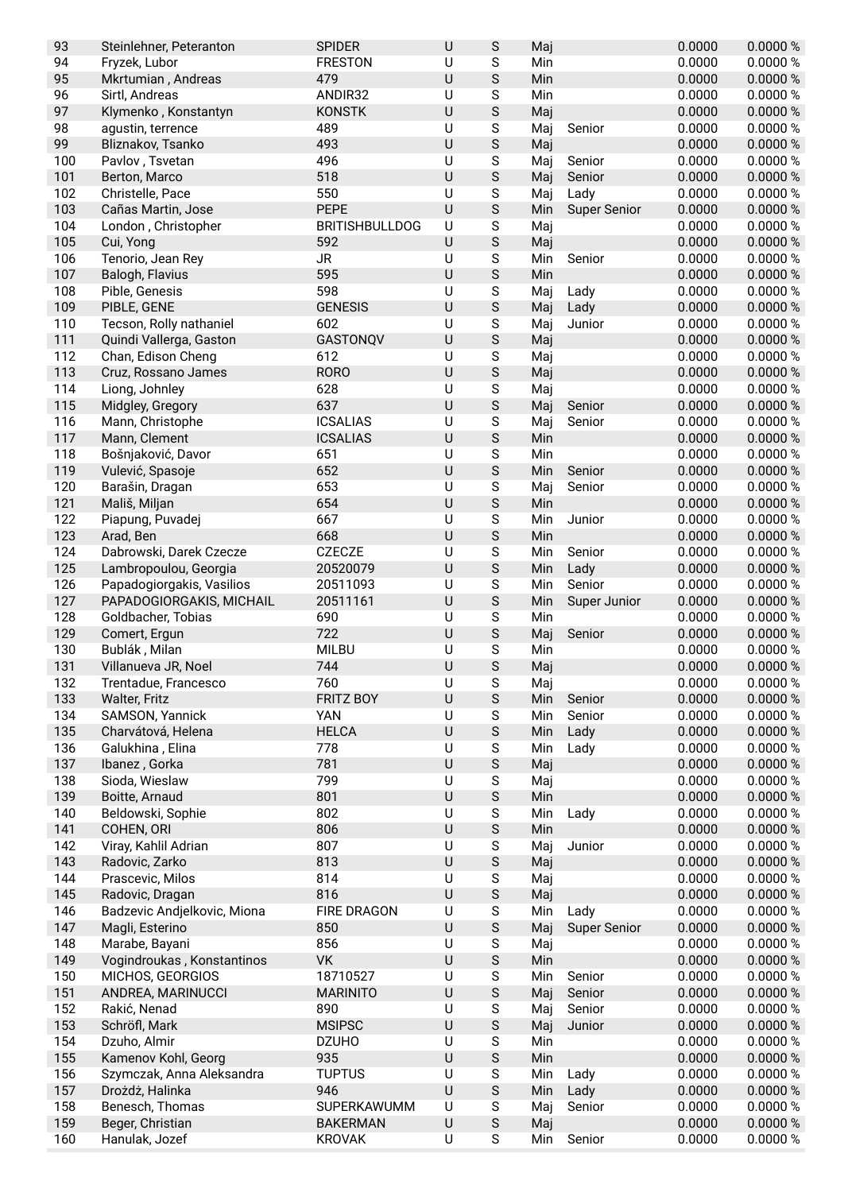| 93         | Steinlehner, Peteranton          | <b>SPIDER</b>         | $\sf U$            | S                | Maj        |                     | 0.0000           | 0.0000%              |
|------------|----------------------------------|-----------------------|--------------------|------------------|------------|---------------------|------------------|----------------------|
| 94         | Fryzek, Lubor                    | <b>FRESTON</b>        | U                  | S                | Min        |                     | 0.0000           | 0.0000 %             |
| 95         | Mkrtumian, Andreas               | 479                   | $\cup$             | S                | Min        |                     | 0.0000           | 0.0000 %             |
| 96         | Sirtl, Andreas                   | ANDIR32               | U                  | S                | Min        |                     | 0.0000           | 0.0000%              |
| 97         | Klymenko, Konstantyn             | <b>KONSTK</b>         | $\sf U$            | S                | Maj        |                     | 0.0000           | 0.0000%              |
| 98         | agustin, terrence                | 489                   | U                  | S                | Maj        | Senior              | 0.0000           | 0.0000%              |
| 99         | Bliznakov, Tsanko                | 493                   | $\sf U$            | $\mathsf S$      | Maj        |                     | 0.0000           | 0.0000 %             |
| 100        | Pavlov, Tsvetan                  | 496                   | U                  | S                | Maj        | Senior              | 0.0000           | 0.0000%              |
| 101        | Berton, Marco                    | 518                   | $\sf U$            | S                | Maj        | Senior              | 0.0000           | 0.0000%              |
| 102        | Christelle, Pace                 | 550<br><b>PEPE</b>    | U                  | S                | Maj        | Lady                | 0.0000           | 0.0000%              |
| 103        | Cañas Martin, Jose               |                       | $\sf U$            | S                | Min        | <b>Super Senior</b> | 0.0000           | 0.0000%              |
| 104        | London, Christopher              | <b>BRITISHBULLDOG</b> | $\sf U$<br>$\sf U$ | S                | Maj        |                     | 0.0000           | 0.0000 %             |
| 105<br>106 | Cui, Yong<br>Tenorio, Jean Rey   | 592<br><b>JR</b>      | $\sf U$            | $\mathsf S$<br>S | Maj<br>Min | Senior              | 0.0000<br>0.0000 | 0.0000%<br>0.0000 %  |
| 107        | Balogh, Flavius                  | 595                   | $\cup$             | S                | Min        |                     | 0.0000           | 0.0000%              |
| 108        | Pible, Genesis                   | 598                   | U                  | S                | Maj        | Lady                | 0.0000           | 0.0000 %             |
| 109        | PIBLE, GENE                      | <b>GENESIS</b>        | U                  | $\mathsf S$      | Maj        | Lady                | 0.0000           | 0.0000%              |
| 110        | Tecson, Rolly nathaniel          | 602                   | U                  | S                | Maj        | Junior              | 0.0000           | 0.0000%              |
| 111        | Quindi Vallerga, Gaston          | GASTONQV              | $\sf U$            | $\mathsf S$      | Maj        |                     | 0.0000           | 0.0000 %             |
| 112        | Chan, Edison Cheng               | 612                   | U                  | S                | Maj        |                     | 0.0000           | 0.0000%              |
| 113        | Cruz, Rossano James              | <b>RORO</b>           | U                  | S                | Maj        |                     | 0.0000           | 0.0000 %             |
| 114        | Liong, Johnley                   | 628                   | U                  | S                | Maj        |                     | 0.0000           | 0.0000%              |
| 115        | Midgley, Gregory                 | 637                   | $\sf U$            | S                | Maj        | Senior              | 0.0000           | 0.0000 %             |
| 116        | Mann, Christophe                 | <b>ICSALIAS</b>       | $\sf U$            | $\mathsf S$      | Maj        | Senior              | 0.0000           | 0.0000 %             |
| 117        | Mann, Clement                    | <b>ICSALIAS</b>       | $\sf U$            | $\mathsf S$      | Min        |                     | 0.0000           | 0.0000 %             |
| 118        | Bošnjaković, Davor               | 651                   | $\sf U$            | S                | Min        |                     | 0.0000           | 0.0000 %             |
| 119        | Vulević, Spasoje                 | 652                   | U                  | S                | Min        | Senior              | 0.0000           | 0.0000 %             |
| 120        | Barašin, Dragan                  | 653                   | U                  | S                | Maj        | Senior              | 0.0000           | 0.0000 %             |
| 121        | Mališ, Miljan                    | 654                   | $\cup$             | S                | Min        |                     | 0.0000           | 0.0000%              |
| 122        | Piapung, Puvadej                 | 667                   | $\cup$             | S                | Min        | Junior              | 0.0000           | 0.0000%              |
| 123        | Arad, Ben                        | 668                   | $\sf U$            | $\mathsf S$      | Min        |                     | 0.0000           | 0.0000 %             |
| 124        | Dabrowski, Darek Czecze          | <b>CZECZE</b>         | U                  | S                | Min        | Senior              | 0.0000           | 0.0000 %             |
| 125        | Lambropoulou, Georgia            | 20520079              | $\sf U$            | S                | Min        | Lady                | 0.0000           | 0.0000%              |
| 126        | Papadogiorgakis, Vasilios        | 20511093              | U                  | S                | Min        | Senior              | 0.0000           | 0.0000 %             |
| 127        | PAPADOGIORGAKIS, MICHAIL         | 20511161              | $\sf U$            | S                | Min        | Super Junior        | 0.0000           | 0.0000 %             |
| 128        | Goldbacher, Tobias               | 690                   | U                  | S                | Min        |                     | 0.0000           | 0.0000 %             |
| 129        | Comert, Ergun                    | 722                   | $\sf U$            | $\mathsf S$      | Maj        | Senior              | 0.0000           | 0.0000 %             |
| 130        | Bublák, Milan                    | <b>MILBU</b>          | U                  | S                | Min        |                     | 0.0000           | 0.0000%              |
| 131        | Villanueva JR, Noel              | 744                   | $\sf U$            | S                | Maj        |                     | 0.0000           | 0.0000%              |
| 132        | Trentadue, Francesco             | 760                   | U                  | S                | Maj        |                     | 0.0000           | 0.0000%              |
| 133        | Walter, Fritz                    | <b>FRITZ BOY</b>      | $\sf U$            | S                | Min        | Senior              | 0.0000           | 0.0000 %             |
| 134        | SAMSON, Yannick                  | YAN                   | U                  | S                | Min        | Senior              | 0.0000           | 0.0000 %             |
| 135        | Charvátová, Helena               | <b>HELCA</b>          | $\sf U$            | $\mathsf S$      | Min        | Lady                | 0.0000           | 0.0000 %             |
| 136        | Galukhina, Elina                 | 778                   | U                  | S                | Min        | Lady                | 0.0000           | 0.0000 %             |
| 137        | Ibanez, Gorka                    | 781<br>799            | $\sf U$            | S                | Maj        |                     | 0.0000<br>0.0000 | 0.0000 %<br>0.0000 % |
| 138<br>139 | Sioda, Wieslaw<br>Boitte, Arnaud | 801                   | U<br>$\sf U$       | S<br>S           | Maj<br>Min |                     | 0.0000           | 0.0000 %             |
| 140        | Beldowski, Sophie                | 802                   | U                  | S                | Min        | Lady                | 0.0000           | 0.0000%              |
| 141        | COHEN, ORI                       | 806                   | $\sf U$            | $\mathsf S$      | Min        |                     | 0.0000           | 0.0000 %             |
| 142        | Viray, Kahlil Adrian             | 807                   | $\sf U$            | ${\mathsf S}$    | Maj        | Junior              | 0.0000           | 0.0000%              |
| 143        | Radovic, Zarko                   | 813                   | $\sf U$            | S                | Maj        |                     | 0.0000           | 0.0000 %             |
| 144        | Prascevic, Milos                 | 814                   | U                  | S                | Maj        |                     | 0.0000           | 0.0000%              |
| 145        | Radovic, Dragan                  | 816                   | $\cup$             | S                | Maj        |                     | 0.0000           | 0.0000 %             |
| 146        | Badzevic Andjelkovic, Miona      | FIRE DRAGON           | U                  | S                | Min        | Lady                | 0.0000           | 0.0000%              |
| 147        | Magli, Esterino                  | 850                   | $\sf U$            | $\mathsf S$      | Maj        | <b>Super Senior</b> | 0.0000           | 0.0000 %             |
| 148        | Marabe, Bayani                   | 856                   | U                  | S                | Maj        |                     | 0.0000           | 0.0000%              |
| 149        | Vogindroukas, Konstantinos       | VK                    | $\sf U$            | S                | Min        |                     | 0.0000           | 0.0000 %             |
| 150        | MICHOS, GEORGIOS                 | 18710527              | U                  | S                | Min        | Senior              | 0.0000           | 0.0000%              |
| 151        | ANDREA, MARINUCCI                | <b>MARINITO</b>       | $\sf U$            | S                | Maj        | Senior              | 0.0000           | 0.0000 %             |
| 152        | Rakić, Nenad                     | 890                   | U                  | S                | Maj        | Senior              | 0.0000           | 0.0000%              |
| 153        | Schröfl, Mark                    | <b>MSIPSC</b>         | $\sf U$            | $\mathsf S$      | Maj        | Junior              | 0.0000           | 0.0000 %             |
| 154        | Dzuho, Almir                     | <b>DZUHO</b>          | $\sf U$            | ${\mathsf S}$    | Min        |                     | 0.0000           | 0.0000%              |
| 155        | Kamenov Kohl, Georg              | 935                   | $\sf U$            | $\mathsf S$      | Min        |                     | 0.0000           | 0.0000 %             |
| 156        | Szymczak, Anna Aleksandra        | <b>TUPTUS</b>         | U                  | S                | Min        | Lady                | 0.0000           | 0.0000%              |
| 157        | Drożdż, Halinka                  | 946                   | $\cup$             | S                | Min        | Lady                | 0.0000           | 0.0000 %             |
| 158        | Benesch, Thomas                  | SUPERKAWUMM           | U                  | S                | Maj        | Senior              | 0.0000           | 0.0000 %             |
| 159        | Beger, Christian                 | <b>BAKERMAN</b>       | $\sf U$            | ${\mathsf S}$    | Maj        |                     | 0.0000           | 0.0000 %             |
| 160        | Hanulak, Jozef                   | <b>KROVAK</b>         | $\sf U$            | S                | Min        | Senior              | 0.0000           | 0.0000 %             |